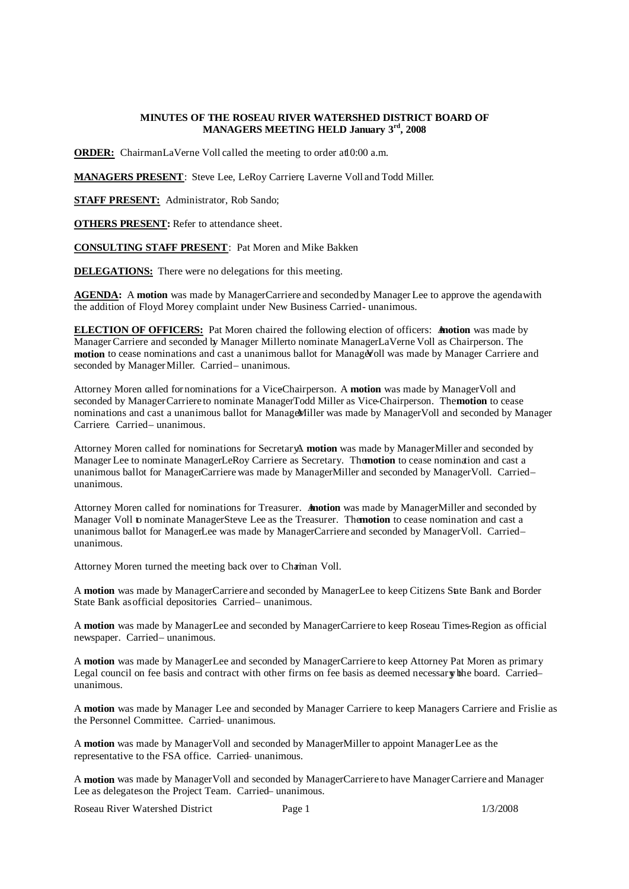### **MINUTES OF THE ROSEAU RIVER WATERSHED DISTRICT BOARD OF MANAGERS MEETING HELD January 3 rd , 2008**

**ORDER:** ChairmanLaVerne Voll called the meeting to order at 0:00 a.m.

**MANAGERS PRESENT**: Steve Lee, LeRoy Carriere, Laverne Voll and Todd Miller.

**STAFF PRESENT:** Administrator, Rob Sando;

**OTHERS PRESENT:** Refer to attendance sheet.

**CONSULTING STAFF PRESENT**: Pat Moren and Mike Bakken

**DELEGATIONS:** There were no delegations for this meeting.

**AGENDA:** A **motion** was made by ManagerCarriere and seconded by Manager Lee to approve the agendawith the addition of Floyd Morey complaint under New Business Carried- unanimous.

**ELECTION OF OFFICERS:** Pat Moren chaired the following election of officers: **Anotion** was made by Manager Carriere and seconded by Manager Millerto nominate ManagerLaVerne Voll as Chairperson. The **motion** to cease nominations and cast a unanimous ballot for Manager voll was made by Manager Carriere and seconded by Manager Miller. Carried– unanimous.

Attorney Moren called for nominations for a ViceChairperson. A motion was made by Manager Voll and seconded by Manager Carriere to nominate ManagerTodd Miller as Vice-Chairperson. The **motion** to cease nominations and cast a unanimous ballot for ManageMiller was made by Manager Voll and seconded by Manager Carriere. Carried-unanimous.

Attorney Moren called for nominations for SecretaryA. **motion** was made by Manager Miller and seconded by Manager Lee to nominate ManagerLeRoy Carriere as Secretary. The**motion** to cease nomination and cast a unanimous ballot for ManagerCarriere was made by ManagerMiller and seconded by Manager Voll. Carriedunanimous.

Attorney Moren called for nominations for Treasurer. **Anotion** was made by Manager Miller and seconded by Manager Voll to nominate ManagerSteve Lee as the Treasurer. The **motion** to cease nomination and cast a unanimous ballot for ManagerLee was made by ManagerCarriere and seconded by Manager Voll. Carriedunanimous.

Attorney Moren turned the meeting back over to Chaiman Voll.

A **motion** was made by ManagerCarriere and seconded by ManagerLee to keep Citizens State Bank and Border State Bank as official depositories. Carried- unanimous.

A motion was made by ManagerLee and seconded by ManagerCarriere to keep Roseau Times-Region as official newspaper. Carried– unanimous.

A motion was made by ManagerLee and seconded by ManagerCarriere to keep Attorney Pat Moren as primary Legal council on fee basis and contract with other firms on fee basis as deemed necessary bhe board. Carriedunanimous.

A **motion** was made by Manager Lee and seconded by Manager Carriere to keep Managers Carriere and Frislie as the Personnel Committee. Carried– unanimous.

A **motion** was made by Manager Voll and seconded by Manager Millerto appoint ManagerLee as the representative to the FSA office. Carried– unanimous.

A **motion** was made by Manager Voll and seconded by Manager Carriere to have Manager Carriere and Manager Lee as delegates on the Project Team. Carried– unanimous.

Roseau River Watershed District Page 1 2/3/2008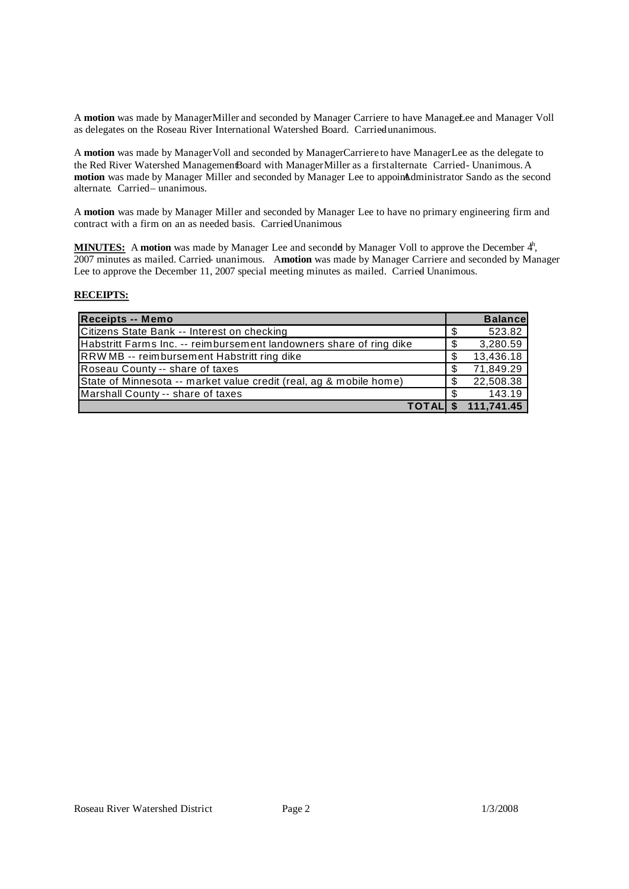A motion was made by Manager Miller and seconded by Manager Carriere to have ManageLee and Manager Voll as delegates on the Roseau River International Watershed Board. Carried unanimous.

A **motion** was made by Manager Voll and seconded by Manager Carriere to have ManagerLee as the delegate to the Red River Watershed ManagementBoard with ManagerMiller as a firstalternate Carried-Unanimous. A motion was made by Manager Miller and seconded by Manager Lee to appoint Administrator Sando as the second alternate. Carried-unanimous.

A **motion** was made by Manager Miller and seconded by Manager Lee to have no primary engineering firm and contract with a firm on an as needed basis. Carried Unanimous

MINUTES: A motion was made by Manager Lee and secondd by Manager Voll to approve the December 4<sup>h</sup>, 2007 minutes as mailed. Carried- unanimous. A **motion** was made by Manager Carriere and seconded by Manager Lee to approve the December 11, 2007 special meeting minutes as mailed. Carried Unanimous.

# **RECEIPTS:**

| Receipts -- Memo                                                    |     | <b>Balance</b> |
|---------------------------------------------------------------------|-----|----------------|
| Citizens State Bank -- Interest on checking                         | S   | 523.82         |
| Habstritt Farms Inc. -- reimbursement landowners share of ring dike | \$  | 3,280.59       |
| RRWMB -- reimbursement Habstritt ring dike                          | \$  | 13,436.18      |
| Roseau County -- share of taxes                                     | \$  | 71,849.29      |
| State of Minnesota -- market value credit (real, ag & mobile home)  | S   | 22,508.38      |
| Marshall County -- share of taxes                                   | \$  | 143.19         |
| <b>TOTALI</b>                                                       | \$. | 111,741.45     |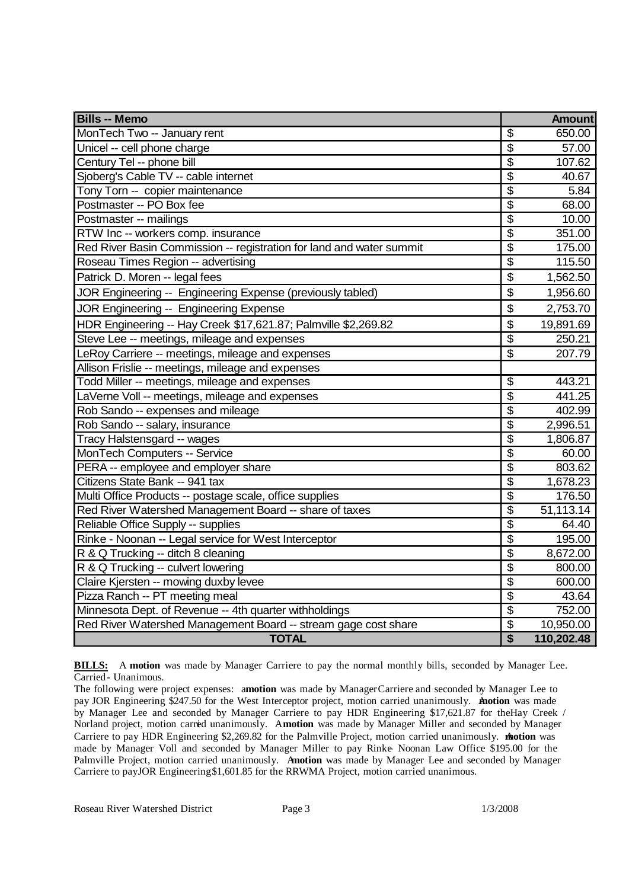| <b>Bills -- Memo</b>                                                 |                                      | <b>Amount</b> |
|----------------------------------------------------------------------|--------------------------------------|---------------|
| MonTech Two -- January rent                                          | $\overline{\mathcal{G}}$             | 650.00        |
| Unicel -- cell phone charge                                          | $\overline{\$}$                      | 57.00         |
| Century Tel -- phone bill                                            | $\overline{\$}$                      | 107.62        |
| Sjoberg's Cable TV -- cable internet                                 | $\overline{\$}$                      | 40.67         |
| Tony Torn -- copier maintenance                                      | $\overline{\$}$                      | 5.84          |
| Postmaster -- PO Box fee                                             | $\overline{\$}$                      | 68.00         |
| Postmaster -- mailings                                               | $\overline{\$}$                      | 10.00         |
| RTW Inc -- workers comp. insurance                                   | $\overline{\$}$                      | 351.00        |
| Red River Basin Commission -- registration for land and water summit | $\overline{\$}$                      | 175.00        |
| Roseau Times Region -- advertising                                   | $\overline{\$}$                      | 115.50        |
| Patrick D. Moren -- legal fees                                       | \$                                   | 1,562.50      |
| JOR Engineering -- Engineering Expense (previously tabled)           | \$                                   | 1,956.60      |
| JOR Engineering -- Engineering Expense                               | \$                                   | 2,753.70      |
| HDR Engineering -- Hay Creek \$17,621.87; Palmville \$2,269.82       | \$                                   | 19,891.69     |
| Steve Lee -- meetings, mileage and expenses                          | \$                                   | 250.21        |
| LeRoy Carriere -- meetings, mileage and expenses                     | $\overline{\mathcal{S}}$             | 207.79        |
| Allison Frislie -- meetings, mileage and expenses                    |                                      |               |
| Todd Miller -- meetings, mileage and expenses                        | $\overline{\mathcal{G}}$             | 443.21        |
| LaVerne Voll -- meetings, mileage and expenses                       | $\overline{\mathcal{S}}$             | 441.25        |
| Rob Sando -- expenses and mileage                                    | $\overline{\$}$                      | 402.99        |
| Rob Sando -- salary, insurance                                       | $\overline{\$}$                      | 2,996.51      |
| Tracy Halstensgard -- wages                                          | $\overline{\boldsymbol{\mathsf{S}}}$ | 1,806.87      |
| MonTech Computers -- Service                                         | $\overline{\$}$                      | 60.00         |
| PERA -- employee and employer share                                  | $\overline{\$}$                      | 803.62        |
| Citizens State Bank -- 941 tax                                       | $\overline{\$}$                      | 1,678.23      |
| Multi Office Products -- postage scale, office supplies              | $\overline{\$}$                      | 176.50        |
| Red River Watershed Management Board -- share of taxes               | $\overline{\$}$                      | 51,113.14     |
| Reliable Office Supply -- supplies                                   | $\overline{\$}$                      | 64.40         |
| Rinke - Noonan -- Legal service for West Interceptor                 | $\overline{\$}$                      | 195.00        |
| R & Q Trucking -- ditch 8 cleaning                                   | $\overline{\boldsymbol{\mathsf{S}}}$ | 8,672.00      |
| R & Q Trucking -- culvert lowering                                   | $\overline{\boldsymbol{\mathsf{S}}}$ | 800.00        |
| Claire Kjersten -- mowing duxby levee                                | $\overline{\$}$                      | 600.00        |
| Pizza Ranch -- PT meeting meal                                       | $\overline{\boldsymbol{\mathsf{S}}}$ | 43.64         |
| Minnesota Dept. of Revenue -- 4th quarter withholdings               | $\overline{\$}$                      | 752.00        |
| Red River Watershed Management Board -- stream gage cost share       | \$                                   | 10,950.00     |
| <b>TOTAL</b>                                                         | $\overline{\boldsymbol{\mathsf{s}}}$ | 110,202.48    |

**BILLS:** A motion was made by Manager Carriere to pay the normal monthly bills, seconded by Manager Lee. Carried - Unanimous.

The following were project expenses: a**motion** was made by ManagerCarriere and seconded by Manager Lee to pay JOR Engineering \$247.50 for the West Interceptor project, motion carried unanimously. A**motion** was made by Manager Lee and seconded by Manager Carriere to pay HDR Engineering \$17,621.87 for theHay Creek / Norland project, motion carried unanimously. A**motion** was made by Manager Miller and seconded by Manager Carriere to pay HDR Engineering \$2,269.82 for the Palmville Project, motion carried unanimously. **motion** was made by Manager Voll and seconded by Manager Miller to pay Rinke– Noonan Law Office \$195.00 for the Palmville Project, motion carried unanimously. A**motion** was made by Manager Lee and seconded by Manager Carriere to payJOR Engineering\$1,601.85 for the RRWMA Project, motion carried unanimous.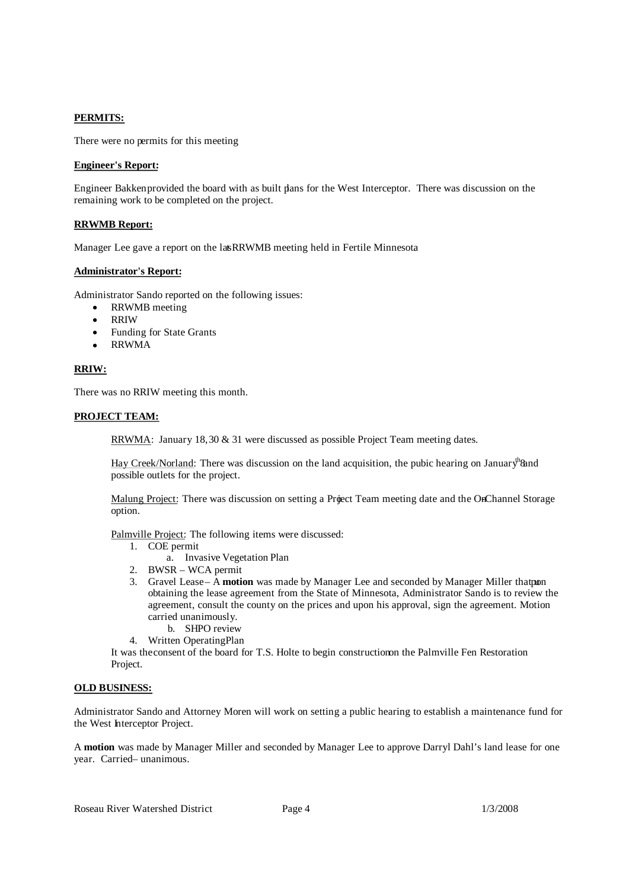# **PERMITS:**

There were no permits for this meeting

# **Engineer's Report:**

Engineer Bakken provided the board with as built plans for the West Interceptor. There was discussion on the remaining work to be completed on the project.

### **RRWMB Report:**

Manager Lee gave a report on the lat RRWMB meeting held in Fertile Minnesota

### **Administrator's Report:**

Administrator Sando reported on the following issues:

- RRWMB meeting
- RRIW
- Funding for State Grants
- RRWMA

# **RRIW:**

There was no RRIW meeting this month.

# **PROJECT TEAM:**

RRWMA: January 18, 30 & 31 were discussed as possible Project Team meeting dates.

Hay Creek/Norland: There was discussion on the land acquisition, the pubic hearing on January<sup>th</sup> $\alpha$ nd possible outlets for the project.

Malung Project: There was discussion on setting a Project Team meeting date and the OnChannel Storage option.

Palmville Project: The following items were discussed:

- 1. COE permit
	- a. Invasive Vegetation Plan
- 2. BWSR WCA permit
- 3. Gravel Lease A motion was made by Manager Lee and seconded by Manager Miller that pon obtaining the lease agreement from the State of Minnesota, Administrator Sando is to review the agreement, consult the county on the prices and upon his approval, sign the agreement. Motion carried unanimously.
	- b. SHPO review
- 4. Written Operating Plan

It was the consent of the board for T.S. Holte to begin construction the Palmville Fen Restoration Project.

# **OLD BUSINESS:**

Administrator Sando and Attorney Moren will work on setting a public hearing to establish a maintenance fund for the West Interceptor Project.

A **motion** was made by Manager Miller and seconded by Manager Lee to approve Darryl Dahl's land lease for one year. Carried-unanimous.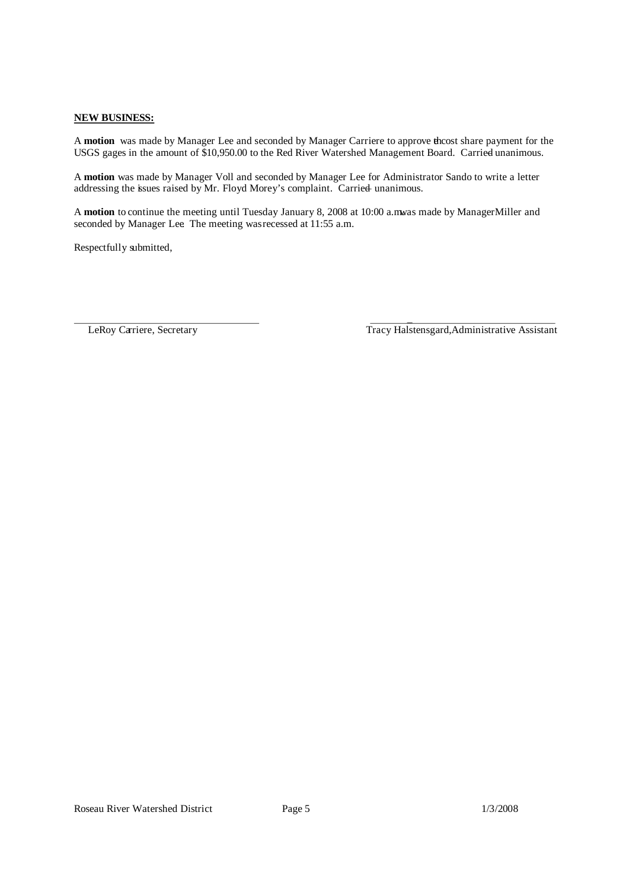# **NEW BUSINESS:**

A motion was made by Manager Lee and seconded by Manager Carriere to approve the cost share payment for the USGS gages in the amount of \$10,950.00 to the Red River Watershed Management Board. Carried unanimous.

A **motion** was made by Manager Voll and seconded by Manager Lee for Administrator Sando to write a letter addressing the issues raised by Mr. Floyd Morey's complaint. Carried– unanimous.

A motion to continue the meeting until Tuesday January 8, 2008 at 10:00 a.mwas made by Manager Miller and seconded by Manager Lee. The meeting wasrecessed at 11:55 a.m.

Respectfully submitted,

\_ LeRoy Carriere, Secretary Tracy Halstensgard, Administrative Assistant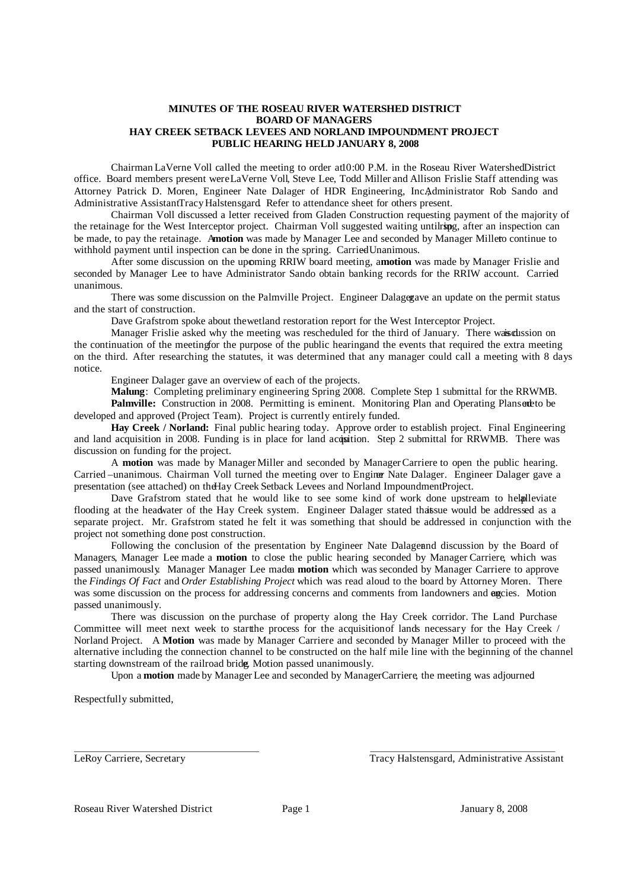### **MINUTES OF THE ROSEAU RIVER WATERSHED DISTRICT BOARD OF MANAGERS HAY CREEK SETBACK LEVEES AND NORLAND IMPOUNDMENT PROJECT PUBLIC HEARING HELD JANUARY 8, 2008**

ChairmanLaVerne Voll called the meeting to order at10:00 P.M. in the Roseau River WatershedDistrict office. Board members present wereLaVerne Voll, Steve Lee, Todd Miller and Allison Frislie. Staff attending was Attorney Patrick D. Moren, Engineer Nate Dalager of HDR Engineering, IncAdministrator Rob Sando and Administrative AssistantTracy Halstensgard Refer to attendance sheet for others present.

Chairman Voll discussed a letter received from Gladen Construction requesting payment of the majority of the retainage for the West Interceptor project. Chairman Voll suggested waiting untilring, after an inspection can be made, to pay the retainage. A**motion** was made by Manager Lee and seconded by Manager Millerto continue to withhold payment until inspection can be done in the spring. Carried Unanimous.

After some discussion on the upcoming RRIW board meeting, a**motion** was made by Manager Frislie and seconded by Manager Lee to have Administrator Sando obtain banking records for the RRIW account. Carried– unanimous.

There was some discussion on the Palmville Project. Engineer Dalagex an update on the permit status and the start of construction.

Dave Grafstrom spoke about thewetland restoration report for the West Interceptor Project.

Manager Frislie asked why the meeting was rescheduled for the third of January. There waised usion on the continuation of the meetingfor the purpose of the public hearingand the events that required the extra meeting on the third. After researching the statutes, it was determined that any manager could call a meeting with 8 days notice.

Engineer Dalager gave an overview of each of the projects.

**Malung**: Completing preliminary engineering Spring 2008. Complete Step 1 submittal for the RRWMB. Palmville: Construction in 2008. Permitting is eminent. Monitoring Plan and Operating Plansed to be developed and approved (Project Team). Project is currently entirely funded.

**Hay Creek / Norland:** Final public hearing today. Approve order to establish project. Final Engineering and land acquisition in 2008. Funding is in place for land acquisition. Step 2 submittal for RRWMB. There was discussion on funding for the project.

A **motion** was made by ManagerMiller and seconded by ManagerCarriere to open the public hearing. Carried –unanimous. Chairman Voll turned the meeting over to Enginer Nate Dalager. Engineer Dalager gave a presentation (see attached) on the Hay Creek Setback Levees and Norland Impoundment Project.

Dave Grafstrom stated that he would like to see some kind of work done upstream to helpalleviate flooding at the headwater of the Hay Creek system. Engineer Dalager stated thatsue would be addressed as a separate project. Mr. Grafstrom stated he felt it was something that should be addressed in conjunction with the project not something done post construction.

Following the conclusion of the presentation by Engineer Nate Dalagerand discussion by the Board of Managers, Manager Lee made a **motion** to close the public hearing, seconded by Manager Carriere, which was passed unanimously. Manager Manager Lee madea **motion** which was seconded by Manager Carriere to approve the *Findings Of Fact* and *Order Establishing Project* which was read aloud to the board by Attorney Moren. There was some discussion on the process for addressing concerns and comments from landowners and encies. Motion passed unanimously.

There was discussion on the purchase of property along the Hay Creek corridor. The Land Purchase Committee will meet next week to startthe process for the acquisitionof lands necessary for the Hay Creek / Norland Project. A **Motion** was made by Manager Carriere and seconded by Manager Miller to proceed with the alternative including the connection channel to be constructed on the half mile line with the beginning of the channel starting downstream of the railroad bridge. Motion passed unanimously.

Upon a **motion** made by Manager Lee and seconded by Manager Carriere, the meeting was adjourned

Respectfully submitted,

LeRoy Carriere, Secretary Tracy Halstensgard, Administrative Assistant

Roseau River Watershed District Page 1 January 8, 2008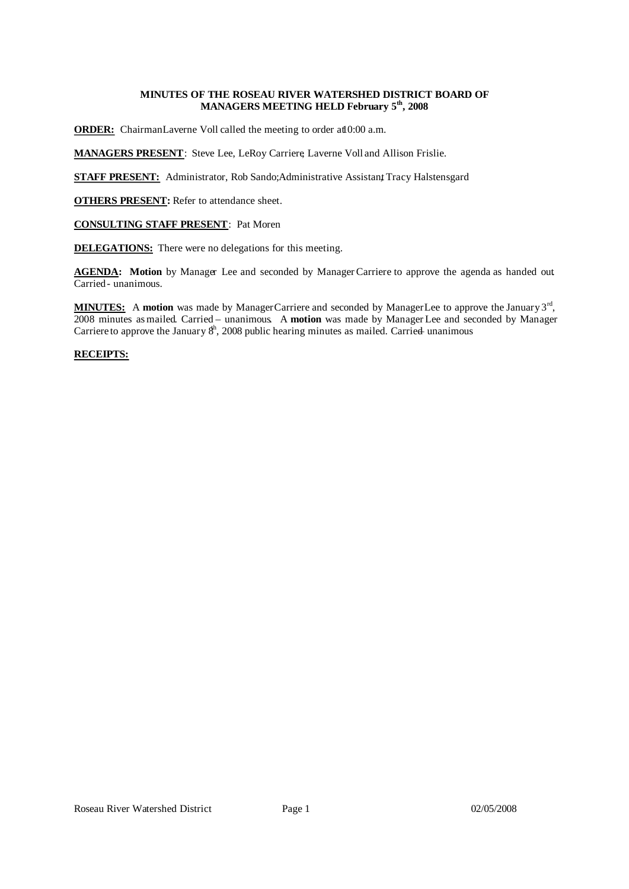# **MINUTES OF THE ROSEAU RIVER WATERSHED DISTRICT BOARD OF MANAGERS MEETING HELD February 5 th , 2008**

**ORDER:** ChairmanLaverne Voll called the meeting to order at 0:00 a.m.

**MANAGERS PRESENT**: Steve Lee, LeRoy Carriere, Laverne Voll and Allison Frislie.

**STAFF PRESENT:** Administrator, Rob Sando; Administrative Assistant Tracy Halstensgard

**OTHERS PRESENT:** Refer to attendance sheet.

**CONSULTING STAFF PRESENT**: Pat Moren

**DELEGATIONS:** There were no delegations for this meeting.

AGENDA: Motion by Manager Lee and seconded by Manager Carriere to approve the agenda as handed out. Carried - unanimous.

MINUTES: A motion was made by ManagerCarriere and seconded by ManagerLee to approve the January 3<sup>rd</sup>, 2008 minutes as mailed. Carried – unanimous. A **motion** was made by ManagerLee and seconded by Manager Carriere to approve the January  $8<sup>h</sup>$ , 2008 public hearing minutes as mailed. Carried unanimous

# **RECEIPTS:**

| <b>Receipts -- Memo</b>                                   |    | <b>Balance</b> |
|-----------------------------------------------------------|----|----------------|
| Interest -- Checking account                              | \$ | 496.83         |
| State of Minnesota -- ring dike reimbursement (Habstritt) | \$ | 23,965.63      |
| MAWD -- refund of registration                            | \$ | 75.00          |
| Citizens State Bank -- interest from CD 43275             | \$ | 922.47         |
| Marshall County -- share of taxes                         | \$ | 31.31          |
| Roseau County -- share of taxes                           | \$ | 10,686.72      |
| Beltrami County -- share of taxes                         | \$ | 111.43         |
| USDA - direct and county cyclical program                 | \$ | 8,592.00       |
| State of Minnesota -- Hay Creek / Norland reimbursement   | \$ | 70,136.91      |
| State of Minnesota -- Malung Impoundment reimbursement    | \$ | 8,382.98       |
| State of Minnesota -- Palmville Project reimbursement     | \$ | 31,857.06      |
| State of Minnesota -- RRWMA Project reimbursement         | \$ | 2,313.80       |
|                                                           | S  | 157,572.14     |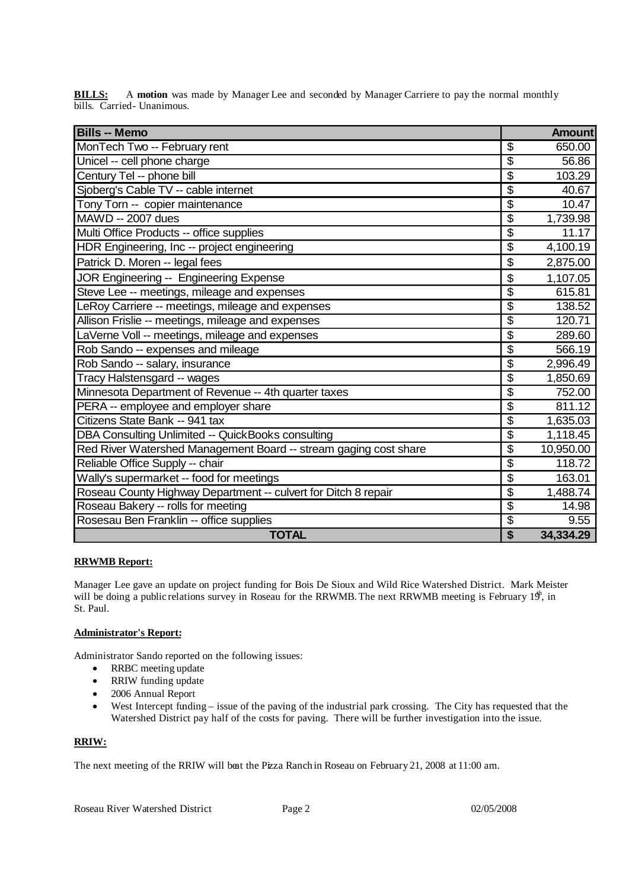| <b>Bills -- Memo</b>                                             |                                      | <b>Amount</b> |
|------------------------------------------------------------------|--------------------------------------|---------------|
| MonTech Two -- February rent                                     | \$                                   | 650.00        |
| Unicel -- cell phone charge                                      | \$                                   | 56.86         |
| Century Tel -- phone bill                                        | \$                                   | 103.29        |
| Sjoberg's Cable TV -- cable internet                             | $\overline{\$}$                      | 40.67         |
| Tony Torn -- copier maintenance                                  | $\overline{\$}$                      | 10.47         |
| MAWD -- 2007 dues                                                | $\overline{\boldsymbol{\mathsf{S}}}$ | 1,739.98      |
| Multi Office Products -- office supplies                         | \$                                   | 11.17         |
| HDR Engineering, Inc -- project engineering                      | $\overline{\$}$                      | 4,100.19      |
| Patrick D. Moren -- legal fees                                   | \$                                   | 2,875.00      |
| JOR Engineering -- Engineering Expense                           | \$                                   | 1,107.05      |
| Steve Lee -- meetings, mileage and expenses                      | $\overline{\mathcal{S}}$             | 615.81        |
| LeRoy Carriere -- meetings, mileage and expenses                 | \$                                   | 138.52        |
| Allison Frislie -- meetings, mileage and expenses                | $\overline{\$}$                      | 120.71        |
| LaVerne Voll -- meetings, mileage and expenses                   | \$                                   | 289.60        |
| Rob Sando -- expenses and mileage                                | $\overline{\boldsymbol{\mathsf{S}}}$ | 566.19        |
| Rob Sando -- salary, insurance                                   | \$                                   | 2,996.49      |
| Tracy Halstensgard -- wages                                      | $\overline{\$}$                      | 1,850.69      |
| Minnesota Department of Revenue -- 4th quarter taxes             | $\overline{\mathcal{S}}$             | 752.00        |
| PERA -- employee and employer share                              | $\overline{\$}$                      | 811.12        |
| Citizens State Bank -- 941 tax                                   | $\overline{\mathcal{G}}$             | 1,635.03      |
| DBA Consulting Unlimited -- QuickBooks consulting                | $\overline{\boldsymbol{\mathsf{S}}}$ | 1,118.45      |
| Red River Watershed Management Board -- stream gaging cost share | $\overline{\boldsymbol{\mathsf{S}}}$ | 10,950.00     |
| Reliable Office Supply -- chair                                  | $\overline{\mathcal{G}}$             | 118.72        |
| Wally's supermarket -- food for meetings                         | $\overline{\boldsymbol{\mathsf{S}}}$ | 163.01        |
| Roseau County Highway Department -- culvert for Ditch 8 repair   | \$                                   | 1,488.74      |
| Roseau Bakery -- rolls for meeting                               | $\overline{\mathcal{S}}$             | 14.98         |
| Rosesau Ben Franklin -- office supplies                          | \$                                   | 9.55          |
| <b>TOTAL</b>                                                     | $\overline{\mathbf{S}}$              | 34,334.29     |

**BILLS:** A motion was made by Manager Lee and seconded by Manager Carriere to pay the normal monthly bills. Carried- Unanimous.

# **RRWMB Report:**

Manager Lee gave an update on project funding for Bois De Sioux and Wild Rice Watershed District. Mark Meister will be doing a public relations survey in Roseau for the RRWMB. The next RRWMB meeting is February  $19<sup>h</sup>$ , in St. Paul.

# **Administrator's Report:**

Administrator Sando reported on the following issues:

- RRBC meeting update
- RRIW funding update
- 2006 Annual Report
- West Intercept funding issue of the paving of the industrial park crossing. The City has requested that the Watershed District pay half of the costs for paving. There will be further investigation into the issue.

# **RRIW:**

The next meeting of the RRIW will beat the Pizza Ranch in Roseau on February 21, 2008 at 11:00 am.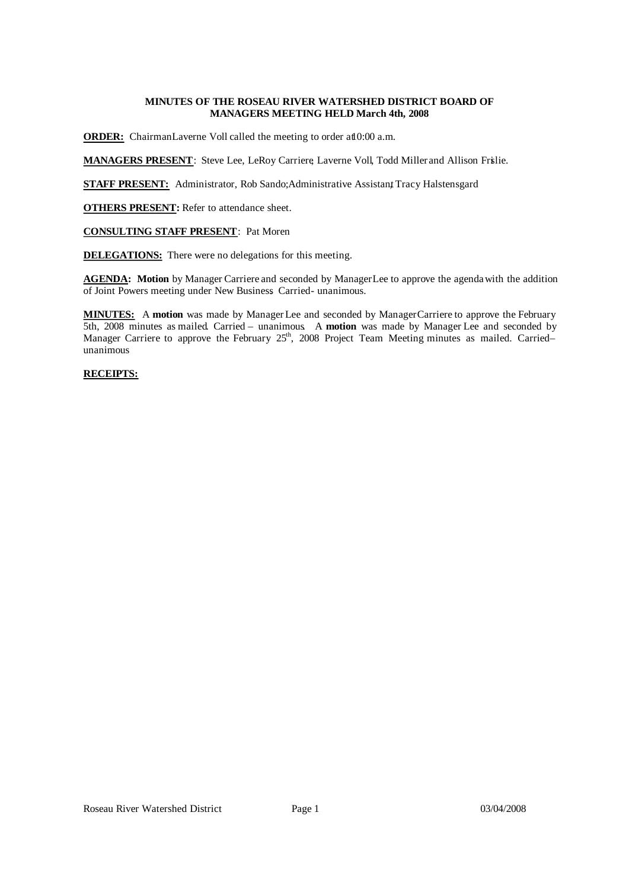# **MINUTES OF THE ROSEAU RIVER WATERSHED DISTRICT BOARD OF MANAGERS MEETING HELD March 4th, 2008**

**ORDER:** ChairmanLaverne Voll called the meeting to order at 0:00 a.m.

**MANAGERS PRESENT**: Steve Lee, LeRoy Carriere, Laverne Voll, Todd Miller and Allison Frislie.

**STAFF PRESENT:** Administrator, Rob Sando; Administrative Assistant Tracy Halstensgard

**OTHERS PRESENT:** Refer to attendance sheet.

### **CONSULTING STAFF PRESENT**: Pat Moren

**DELEGATIONS:** There were no delegations for this meeting.

**AGENDA: Motion** by Manager Carriere and seconded by ManagerLee to approve the agendawith the addition of Joint Powers meeting under New Business Carried- unanimous.

**MINUTES:** A **motion** was made by ManagerLee and seconded by ManagerCarriere to approve the February 5th, 2008 minutes as mailed. Carried – unanimous. A **motion** was made by Manager Lee and seconded by Manager Carriere to approve the February 25<sup>th</sup>, 2008 Project Team Meeting minutes as mailed. Carried– unanimous

# **RECEIPTS:**

| <b>Receipts -- Memo</b>           |     | <b>Balance</b> |
|-----------------------------------|-----|----------------|
| Interest -- Checking account      | AU. | 350.00         |
| Marshall County -- share of taxes |     | 9.18           |
|                                   |     | 359.18         |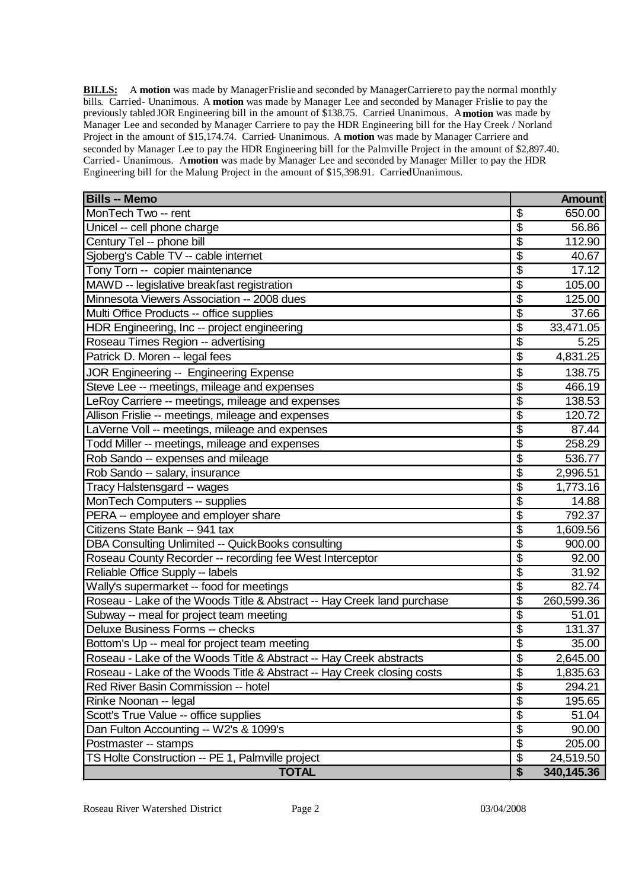**BILLS:** A motion was made by Manager Frislie and seconded by Manager Carriere to pay the normal monthly bills. Carried- Unanimous. A motion was made by Manager Lee and seconded by Manager Frislie to pay the previously tabled JOR Engineering bill in the amount of \$138.75. Carried Unanimous. Amotion was made by Manager Lee and seconded by Manager Carriere to pay the HDR Engineering bill for the Hay Creek / Norland Project in the amount of \$15,174.74. Carried Unanimous. A motion was made by Manager Carriere and seconded by Manager Lee to pay the HDR Engineering bill for the Palmville Project in the amount of \$2,897.40. Carried - Unanimous. A **motion** was made by Manager Lee and seconded by Manager Miller to pay the HDR Engineering bill for the Malung Project in the amount of \$15,398.91. Carried Unanimous.

| <b>Bills -- Memo</b>                                                   |                                      | <b>Amount</b> |
|------------------------------------------------------------------------|--------------------------------------|---------------|
| MonTech Two -- rent                                                    | \$                                   | 650.00        |
| Unicel -- cell phone charge                                            | \$                                   | 56.86         |
| Century Tel -- phone bill                                              | \$                                   | 112.90        |
| Sjoberg's Cable TV -- cable internet                                   | $\overline{\boldsymbol{\mathsf{S}}}$ | 40.67         |
| Tony Torn -- copier maintenance                                        | $\overline{\mathcal{S}}$             | 17.12         |
| MAWD -- legislative breakfast registration                             | $\overline{\boldsymbol{\mathsf{S}}}$ | 105.00        |
| Minnesota Viewers Association -- 2008 dues                             | \$                                   | 125.00        |
| Multi Office Products -- office supplies                               | $\overline{\$}$                      | 37.66         |
| HDR Engineering, Inc -- project engineering                            | $\overline{\mathcal{S}}$             | 33,471.05     |
| Roseau Times Region -- advertising                                     | \$                                   | 5.25          |
| Patrick D. Moren -- legal fees                                         | \$                                   | 4,831.25      |
| JOR Engineering -- Engineering Expense                                 | \$                                   | 138.75        |
| Steve Lee -- meetings, mileage and expenses                            | \$                                   | 466.19        |
| LeRoy Carriere -- meetings, mileage and expenses                       | \$                                   | 138.53        |
| Allison Frislie -- meetings, mileage and expenses                      | \$                                   | 120.72        |
| LaVerne Voll -- meetings, mileage and expenses                         | \$                                   | 87.44         |
| Todd Miller -- meetings, mileage and expenses                          | \$                                   | 258.29        |
| Rob Sando -- expenses and mileage                                      | \$                                   | 536.77        |
| Rob Sando -- salary, insurance                                         | \$                                   | 2,996.51      |
| Tracy Halstensgard -- wages                                            | \$                                   | 1,773.16      |
| MonTech Computers -- supplies                                          | \$                                   | 14.88         |
| PERA -- employee and employer share                                    | $\overline{\boldsymbol{\mathsf{S}}}$ | 792.37        |
| Citizens State Bank -- 941 tax                                         | \$                                   | 1,609.56      |
| DBA Consulting Unlimited -- QuickBooks consulting                      | \$                                   | 900.00        |
| Roseau County Recorder -- recording fee West Interceptor               | \$                                   | 92.00         |
| Reliable Office Supply -- labels                                       | $\overline{\boldsymbol{\mathsf{S}}}$ | 31.92         |
| Wally's supermarket -- food for meetings                               | $\overline{\mathcal{G}}$             | 82.74         |
| Roseau - Lake of the Woods Title & Abstract -- Hay Creek land purchase | $\overline{\mathcal{S}}$             | 260,599.36    |
| Subway -- meal for project team meeting                                | \$                                   | 51.01         |
| Deluxe Business Forms -- checks                                        | \$                                   | 131.37        |
| Bottom's Up -- meal for project team meeting                           | \$                                   | 35.00         |
| Roseau - Lake of the Woods Title & Abstract -- Hay Creek abstracts     | $\overline{\mathcal{S}}$             | 2,645.00      |
| Roseau - Lake of the Woods Title & Abstract -- Hay Creek closing costs | \$                                   | 1,835.63      |
| Red River Basin Commission -- hotel                                    | $\overline{\mathcal{S}}$             | 294.21        |
| Rinke Noonan -- legal                                                  | \$                                   | 195.65        |
| Scott's True Value -- office supplies                                  | \$                                   | 51.04         |
| Dan Fulton Accounting -- W2's & 1099's                                 | \$                                   | 90.00         |
| Postmaster -- stamps                                                   | \$                                   | 205.00        |
| TS Holte Construction -- PE 1, Palmville project                       | \$                                   | 24,519.50     |
| <b>TOTAL</b>                                                           | \$                                   | 340,145.36    |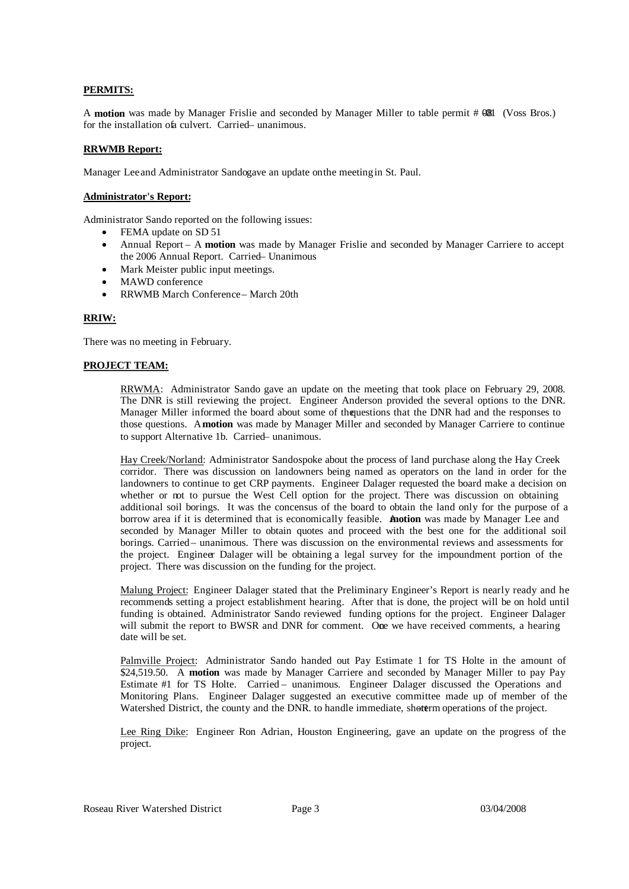### **PERMITS:**

A **motion** was made by Manager Frislie and seconded by Manager Miller to table permit # 081 (Voss Bros.) for the installation of aculvert. Carried – unanimous.

### **RRWMB Report:**

Manager Lee and Administrator Sandogave an update on the meeting in St. Paul.

#### **Administrator's Report:**

Administrator Sando reported on the following issues:

- FEMA update on SD 51
	- Annual Report A **motion** was made by Manager Frislie and seconded by Manager Carriere to accept the 2006 Annual Report. Carried – Unanimous
	- Mark Meister public input meetings.
	- MAWD conference
- RRWMB March Conference– March 20th

### **RRIW:**

There was no meeting in February.

### **PROJECT TEAM:**

RRWMA: Administrator Sando gave an update on the meeting that took place on February 29, 2008. The DNR is still reviewing the project. Engineer Anderson provided the several options to the DNR. Manager Miller informed the board about some of thequestions that the DNR had and the responses to those questions. A**motion** was made by Manager Miller and seconded by Manager Carriere to continue to support Alternative 1b. Carried – unanimous.

Hay Creek/Norland: Administrator Sandospoke about the process of land purchase along the Hay Creek corridor. There was discussion on landowners being named as operators on the land in order for the landowners to continue to get CRP payments. Engineer Dalager requested the board make a decision on whether or not to pursue the West Cell option for the project. There was discussion on obtaining additional soil borings. It was the concensus of the board to obtain the land only for the purpose of a borrow area if it is determined that is economically feasible. A**motion** was made by Manager Lee and seconded by Manager Miller to obtain quotes and proceed with the best one for the additional soil borings. Carried – unanimous. There was discussion on the environmental reviews and assessments for the project. Engineer Dalager will be obtaining a legal survey for the impoundment portion of the project. There was discussion on the funding for the project.

Malung Project: Engineer Dalager stated that the Preliminary Engineer's Report is nearly ready and he recommends setting a project establishment hearing. After that is done, the project will be on hold until funding is obtained. Administrator Sando reviewed funding options for the project. Engineer Dalager will submit the report to BWSR and DNR for comment. One we have received comments, a hearing date will be set.

Palmville Project: Administrator Sando handed out Pay Estimate 1 for TS Holte in the amount of \$24,519.50. A **motion** was made by Manager Carriere and seconded by Manager Miller to pay Pay Estimate #1 for TS Holte. Carried – unanimous. Engineer Dalager discussed the Operations and Monitoring Plans. Engineer Dalager suggested an executive committee made up of member of the Watershed District, the county and the DNR. to handle immediate, shorterm operations of the project.

Lee Ring Dike: Engineer Ron Adrian, Houston Engineering, gave an update on the progress of the project.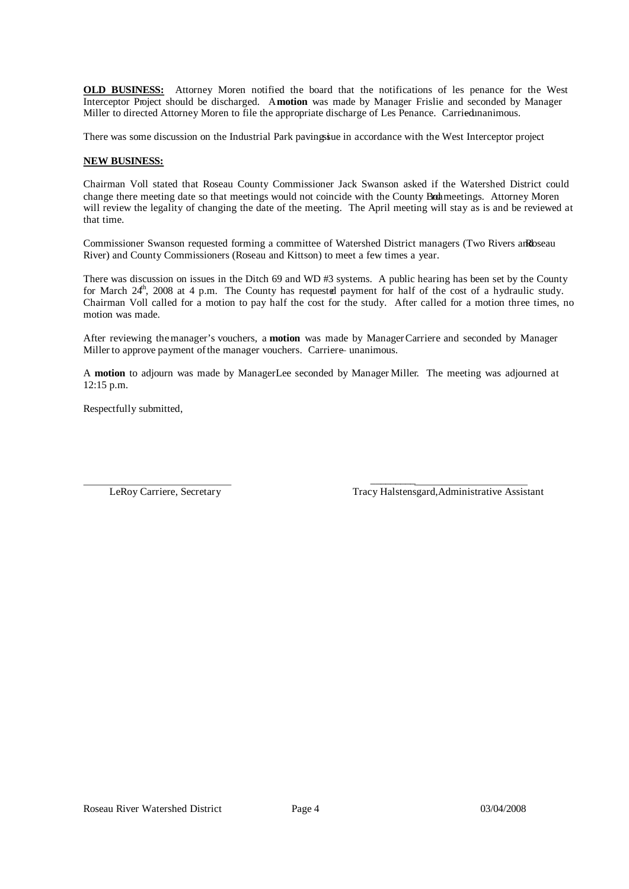**OLD BUSINESS:** Attorney Moren notified the board that the notifications of les penance for the West Interceptor Project should be discharged. A**motion** was made by Manager Frislie and seconded by Manager Miller to directed Attorney Moren to file the appropriate discharge of Les Penance. Carried unanimous.

There was some discussion on the Industrial Park paving in accordance with the West Interceptor project.

#### **NEW BUSINESS:**

Chairman Voll stated that Roseau County Commissioner Jack Swanson asked if the Watershed District could change there meeting date so that meetings would not coincide with the County Broameetings. Attorney Moren will review the legality of changing the date of the meeting. The April meeting will stay as is and be reviewed at that time.

Commissioner Swanson requested forming a committee of Watershed District managers (Two Rivers andRoseau River) and County Commissioners (Roseau and Kittson) to meet a few times a year.

There was discussion on issues in the Ditch 69 and WD #3 systems. A public hearing has been set by the County for March 24<sup>th</sup>, 2008 at 4 p.m. The County has requested payment for half of the cost of a hydraulic study. Chairman Voll called for a motion to pay half the cost for the study. After called for a motion three times, no motion was made.

After reviewing the manager's vouchers, a **motion** was made by ManagerCarriere and seconded by Manager Miller to approve payment of the manager vouchers. Carriere – unanimous.

A **motion** to adjourn was made by ManagerLee seconded by Manager Miller. The meeting was adjourned at 12:15 p.m.

 $\mathcal{L}_\text{max}$  and  $\mathcal{L}_\text{max}$  and  $\mathcal{L}_\text{max}$ 

Respectfully submitted,

LeRoy Carriere, Secretary Tracy Halstensgard,Administrative Assistant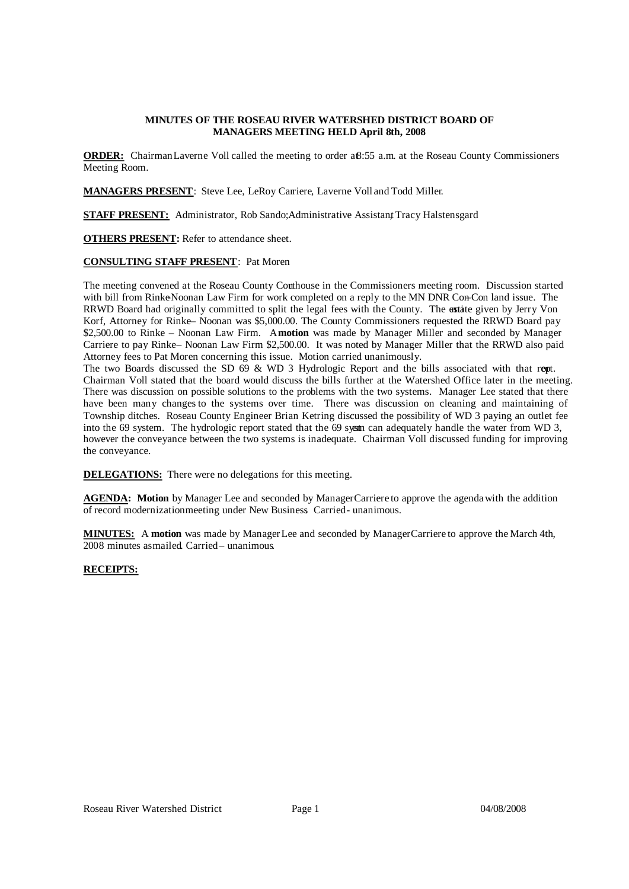# **MINUTES OF THE ROSEAU RIVER WATERSHED DISTRICT BOARD OF MANAGERS MEETING HELD April 8th, 2008**

**ORDER:** ChairmanLaverne Voll called the meeting to order a8:55 a.m. at the Roseau County Commissioners Meeting Room.

**MANAGERS PRESENT**: Steve Lee, LeRoy Carriere, Laverne Voll and Todd Miller.

**STAFF PRESENT:** Administrator, Rob Sando; Administrative Assistant Tracy Halstensgard

**OTHERS PRESENT:** Refer to attendance sheet.

### **CONSULTING STAFF PRESENT**: Pat Moren

The meeting convened at the Roseau County Courthouse in the Commissioners meeting room. Discussion started with bill from Rinke-Noonan Law Firm for work completed on a reply to the MN DNR Con-Con land issue. The RRWD Board had originally committed to split the legal fees with the County. The estate given by Jerry Von Korf, Attorney for Rinke– Noonan was \$5,000.00. The County Commissioners requested the RRWD Board pay \$2,500.00 to Rinke – Noonan Law Firm. A**motion** was made by Manager Miller and seconded by Manager Carriere to pay Rinke– Noonan Law Firm \$2,500.00. It was noted by Manager Miller that the RRWD also paid Attorney fees to Pat Moren concerning this issue. Motion carried unanimously.

The two Boards discussed the SD 69 & WD 3 Hydrologic Report and the bills associated with that rept. Chairman Voll stated that the board would discuss the bills further at the Watershed Office later in the meeting. There was discussion on possible solutions to the problems with the two systems. Manager Lee stated that there have been many changes to the systems over time. There was discussion on cleaning and maintaining of Township ditches. Roseau County Engineer Brian Ketring discussed the possibility of WD 3 paying an outlet fee into the 69 system. The hydrologic report stated that the 69 system can adequately handle the water from WD 3, however the conveyance between the two systems is inadequate. Chairman Voll discussed funding for improving the conveyance.

**DELEGATIONS:** There were no delegations for this meeting.

**AGENDA: Motion** by Manager Lee and seconded by ManagerCarriere to approve the agendawith the addition of record modernizationmeeting under New Business Carried- unanimous.

**MINUTES:** A **motion** was made by ManagerLee and seconded by ManagerCarriere to approve the March 4th, 2008 minutes asmailed. Carried– unanimous.

# **RECEIPTS:**

| Receipts -- Memo                                      |     | <b>Balance</b> |
|-------------------------------------------------------|-----|----------------|
| Interest -- Checking account                          |     | 247.59         |
| State of Minnesota -- Hay Creek Grant (land purchase) | -\$ | 195,449.52     |
| Joe Laurin -- data retrieval                          |     | 31.00          |
| Border State Bank -- CD #200240                       |     | 2,231.10       |
|                                                       |     | 197,959.21     |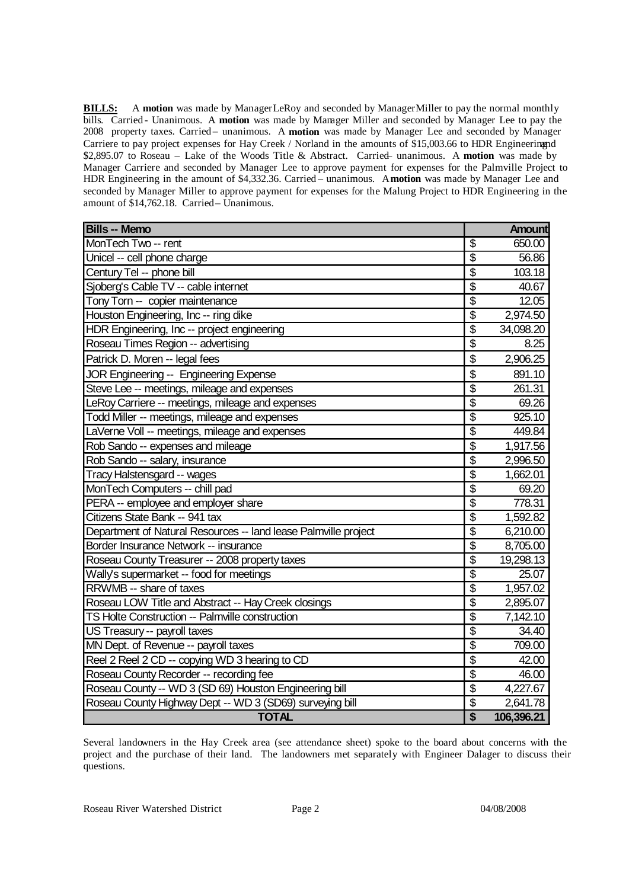**BILLS:** A **motion** was made by ManagerLeRoy and seconded by ManagerMiller to pay the normal monthly bills. Carried - Unanimous. A motion was made by Mamager Miller and seconded by Manager Lee to pay the 2008 property taxes. Carried- unanimous. A motion was made by Manager Lee and seconded by Manager Carriere to pay project expenses for Hay Creek / Norland in the amounts of \$15,003.66 to HDR Engineeringand \$2,895.07 to Roseau – Lake of the Woods Title & Abstract. Carried– unanimous. A **motion** was made by Manager Carriere and seconded by Manager Lee to approve payment for expenses for the Palmville Project to HDR Engineering in the amount of \$4,332.36. Carried – unanimous. A**motion** was made by Manager Lee and seconded by Manager Miller to approve payment for expenses for the Malung Project to HDR Engineering in the amount of \$14,762.18. Carried– Unanimous.

| <b>Bills -- Memo</b>                                            |                                      | <b>Amount</b> |
|-----------------------------------------------------------------|--------------------------------------|---------------|
| MonTech Two -- rent                                             | \$                                   | 650.00        |
| Unicel -- cell phone charge                                     | $\overline{\mathcal{S}}$             | 56.86         |
| Century Tel -- phone bill                                       | \$                                   | 103.18        |
| Sjoberg's Cable TV -- cable internet                            | \$                                   | 40.67         |
| Tony Torn -- copier maintenance                                 | $\overline{\$}$                      | 12.05         |
| Houston Engineering, Inc -- ring dike                           | $\overline{\mathcal{S}}$             | 2,974.50      |
| HDR Engineering, Inc -- project engineering                     | $\overline{\$}$                      | 34,098.20     |
| Roseau Times Region -- advertising                              | $\overline{\mathcal{S}}$             | 8.25          |
| Patrick D. Moren -- legal fees                                  | \$                                   | 2,906.25      |
| JOR Engineering -- Engineering Expense                          | \$                                   | 891.10        |
| Steve Lee -- meetings, mileage and expenses                     | $\overline{\$}$                      | 261.31        |
| LeRoy Carriere -- meetings, mileage and expenses                | $\overline{\mathfrak{s}}$            | 69.26         |
| Todd Miller -- meetings, mileage and expenses                   | $\overline{\$}$                      | 925.10        |
| LaVerne Voll -- meetings, mileage and expenses                  | $\overline{\$}$                      | 449.84        |
| Rob Sando -- expenses and mileage                               | $\overline{\mathbb{S}}$              | 1,917.56      |
| Rob Sando -- salary, insurance                                  | $\boldsymbol{\mathsf{S}}$            | 2,996.50      |
| Tracy Halstensgard -- wages                                     | $\boldsymbol{\mathsf{S}}$            | 1,662.01      |
| MonTech Computers -- chill pad                                  | \$                                   | 69.20         |
| PERA -- employee and employer share                             | $\overline{\mathcal{S}}$             | 778.31        |
| Citizens State Bank -- 941 tax                                  | $\overline{\mathcal{S}}$             | 1,592.82      |
| Department of Natural Resources -- land lease Palmville project | \$                                   | 6,210.00      |
| Border Insurance Network -- insurance                           | $\overline{\mathcal{S}}$             | 8,705.00      |
| Roseau County Treasurer -- 2008 property taxes                  | \$                                   | 19,298.13     |
| Wally's supermarket -- food for meetings                        | $\overline{\mathcal{S}}$             | 25.07         |
| RRWMB -- share of taxes                                         | \$                                   | 1,957.02      |
| Roseau LOW Title and Abstract -- Hay Creek closings             | $\overline{\boldsymbol{\mathsf{S}}}$ | 2,895.07      |
| TS Holte Construction -- Palmville construction                 | $\overline{\$}$                      | 7,142.10      |
| US Treasury -- payroll taxes                                    | $\overline{\$}$                      | 34.40         |
| MN Dept. of Revenue -- payroll taxes                            | \$                                   | 709.00        |
| Reel 2 Reel 2 CD -- copying WD 3 hearing to CD                  | $\overline{\$}$                      | 42.00         |
| Roseau County Recorder -- recording fee                         | \$                                   | 46.00         |
| Roseau County -- WD 3 (SD 69) Houston Engineering bill          | $\overline{\mathcal{S}}$             | 4,227.67      |
| Roseau County Highway Dept -- WD 3 (SD69) surveying bill        | \$                                   | 2,641.78      |
| <b>TOTAL</b>                                                    | $\overline{\mathbf{s}}$              | 106,396.21    |

Several landowners in the Hay Creek area (see attendance sheet) spoke to the board about concerns with the project and the purchase of their land. The landowners met separately with Engineer Dalager to discuss their questions.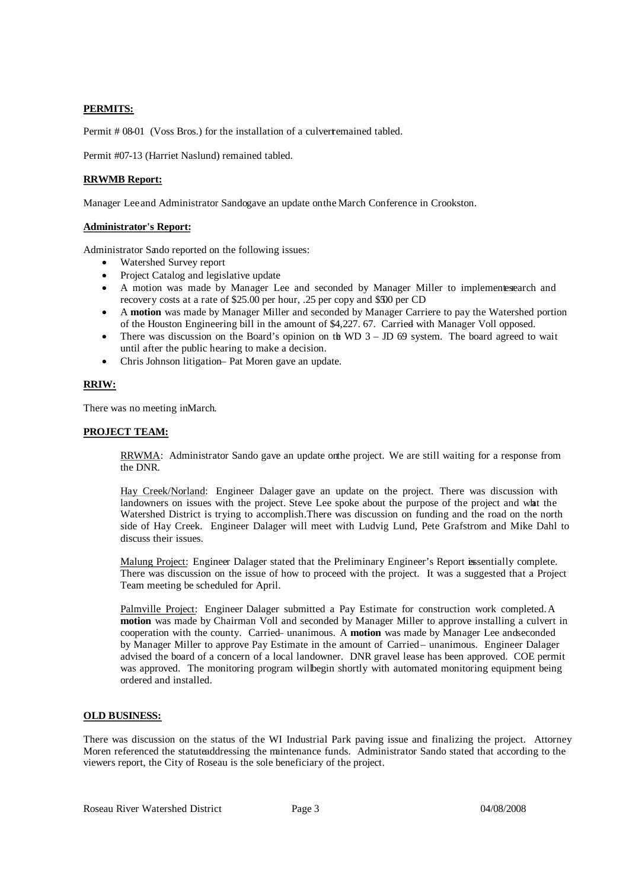### **PERMITS:**

Permit # 08-01 (Voss Bros.) for the installation of a culvertemained tabled.

Permit #07-13 (Harriet Naslund) remained tabled.

# **RRWMB Report:**

Manager Lee and Administrator Sandogave an update on the March Conference in Crookston.

### **Administrator's Report:**

Administrator Sando reported on the following issues:

- Watershed Survey report
- Project Catalog and legislative update
- A motion was made by Manager Lee and seconded by Manager Miller to implementes earch and recovery costs at a rate of \$25.00 per hour, .25 per copy and \$500 per CD
- A **motion** was made by Manager Miller and seconded by Manager Carriere to pay the Watershed portion of the Houston Engineering bill in the amount of \$4,227. 67. Carried with Manager Voll opposed.
- There was discussion on the Board's opinion on the WD  $3 JD$  69 system. The board agreed to wait until after the public hearing to make a decision.
- Chris Johnson litigation– Pat Moren gave an update.

### **RRIW:**

There was no meeting in March.

### **PROJECT TEAM:**

RRWMA: Administrator Sando gave an update onthe project. We are still waiting for a response from the DNR.

Hay Creek/Norland: Engineer Dalager gave an update on the project. There was discussion with landowners on issues with the project. Steve Lee spoke about the purpose of the project and what the Watershed District is trying to accomplish. There was discussion on funding and the road on the north side of Hay Creek. Engineer Dalager will meet with Ludvig Lund, Pete Grafstrom and Mike Dahl to discuss their issues.

Malung Project: Engineer Dalager stated that the Preliminary Engineer's Report is sentially complete. There was discussion on the issue of how to proceed with the project. It was a suggested that a Project Team meeting be scheduled for April.

Palmville Project: Engineer Dalager submitted a Pay Estimate for construction work completed. A **motion** was made by Chairman Voll and seconded by Manager Miller to approve installing a culvert in cooperation with the county. Carried– unanimous. A **motion** was made by Manager Lee andseconded by Manager Miller to approve Pay Estimate in the amount of Carried – unanimous. Engineer Dalager advised the board of a concern of a local landowner. DNR gravel lease has been approved. COE permit was approved. The monitoring program willbegin shortly with automated monitoring equipment being ordered and installed.

# **OLD BUSINESS:**

There was discussion on the status of the WI Industrial Park paving issue and finalizing the project. Attorney Moren referenced the statuteaddressing the maintenance funds. Administrator Sando stated that according to the viewers report, the City of Roseau is the sole beneficiary of the project.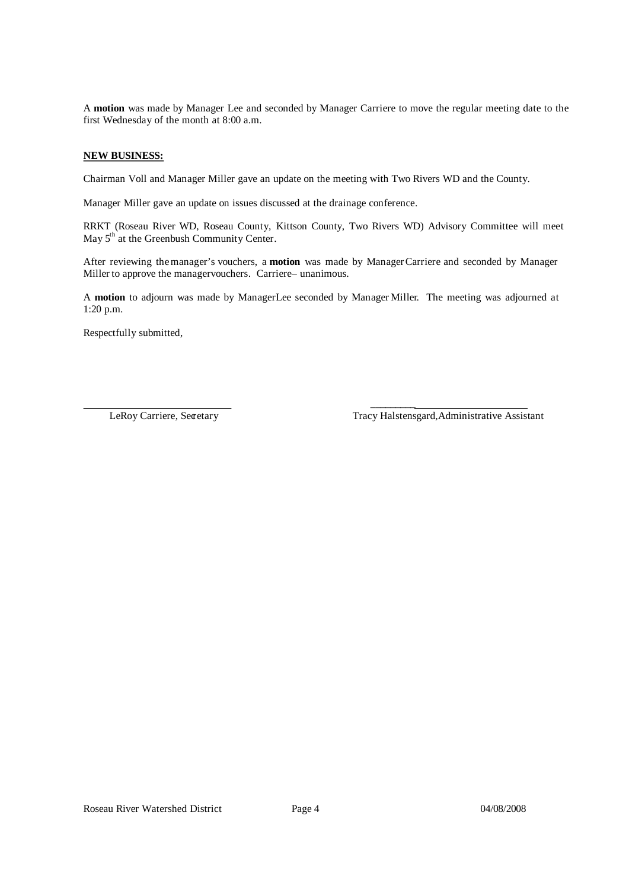A **motion** was made by Manager Lee and seconded by Manager Carriere to move the regular meeting date to the first Wednesday of the month at 8:00 a.m.

# **NEW BUSINESS:**

Chairman Voll and Manager Miller gave an update on the meeting with Two Rivers WD and the County.

Manager Miller gave an update on issues discussed at the drainage conference.

RRKT (Roseau River WD, Roseau County, Kittson County, Two Rivers WD) Advisory Committee will meet May 5<sup>th</sup> at the Greenbush Community Center.

After reviewing themanager's vouchers, a **motion** was made by ManagerCarriere and seconded by Manager Miller to approve the manager vouchers. Carriere– unanimous.

A **motion** to adjourn was made by ManagerLee seconded by Manager Miller. The meeting was adjourned at 1:20 p.m.

 $\mathcal{L}_\text{max}$  and  $\mathcal{L}_\text{max}$  and  $\mathcal{L}_\text{max}$ 

Respectfully submitted,

LeRoy Carriere, Secretary Tracy Halstensgard,Administrative Assistant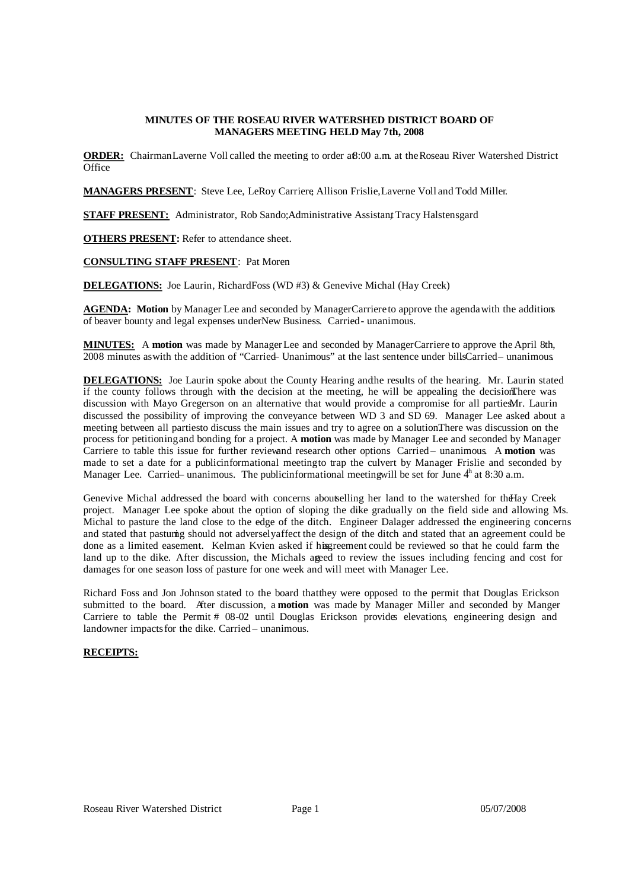# **MINUTES OF THE ROSEAU RIVER WATERSHED DISTRICT BOARD OF MANAGERS MEETING HELD May 7th, 2008**

**ORDER:** ChairmanLaverne Voll called the meeting to order a<sub>8:00</sub> a.m. at the Roseau River Watershed District **Office** 

**MANAGERS PRESENT**: Steve Lee, LeRoy Carriere, Allison Frislie, Laverne Voll and Todd Miller.

**STAFF PRESENT:** Administrator, Rob Sando; Administrative Assistant Tracy Halstensgard

**OTHERS PRESENT:** Refer to attendance sheet.

### **CONSULTING STAFF PRESENT**: Pat Moren

**DELEGATIONS:** Joe Laurin, RichardFoss (WD #3) & Genevive Michal (Hay Creek)

**AGENDA: Motion** by Manager Lee and seconded by ManagerCarriere to approve the agendawith the additions of beaver bounty and legal expenses under New Business. Carried- unanimous.

**MINUTES:** A **motion** was made by ManagerLee and seconded by ManagerCarriere to approve the April 8th, 2008 minutes as with the addition of "Carried- Unanimous" at the last sentence under billsCarried – unanimous.

**DELEGATIONS:** Joe Laurin spoke about the County Hearing andthe results of the hearing. Mr. Laurin stated if the county follows through with the decision at the meeting, he will be appealing the decisionThere was discussion with Mayo Gregerson on an alternative that would provide a compromise for all partiesMr. Laurin discussed the possibility of improving the conveyance between WD 3 and SD 69. Manager Lee asked about a meeting between all partiesto discuss the main issues and try to agree on a solution.There was discussion on the process for petitioningand bonding for a project. A **motion** was made by Manager Lee and seconded by Manager Carriere to table this issue for further reviewand research other options. Carried – unanimous. A **motion** was made to set a date for a publicinformational meetingto trap the culvert by Manager Frislie and seconded by Manager Lee. Carried – unanimous. The publicinformational meetingwill be set for June  $4<sup>h</sup>$  at 8:30 a.m.

Genevive Michal addressed the board with concerns aboutselling her land to the watershed for theHay Creek project. Manager Lee spoke about the option of sloping the dike gradually on the field side and allowing Ms. Michal to pasture the land close to the edge of the ditch. Engineer Dalager addressed the engineering concerns and stated that pasturing should not adverselyaffect the design of the ditch and stated that an agreement could be done as a limited easement. Kelman Kvien asked if his greement could be reviewed so that he could farm the land up to the dike. After discussion, the Michals agreed to review the issues including fencing and cost for damages for one season loss of pasture for one week and will meet with Manager Lee.

Richard Foss and Jon Johnson stated to the board thatthey were opposed to the permit that Douglas Erickson submitted to the board. After discussion, a **motion** was made by Manager Miller and seconded by Manger Carriere to table the Permit # 08-02 until Douglas Erickson provides elevations, engineering design and landowner impacts for the dike. Carried – unanimous.

### **RECEIPTS:**

| <b>Receipts -- Memo</b>            | <b>Balance</b> |
|------------------------------------|----------------|
| Interest -- Checking account       | 278.25         |
| City of Roseau -- WI reimbursement | 13,808.70      |
| <b>RRWMB</b> -- PT reimbursement   | 4,409.66       |
| Citizens State Bank -- CD #43275   | 740.47         |
|                                    | 19,237.08      |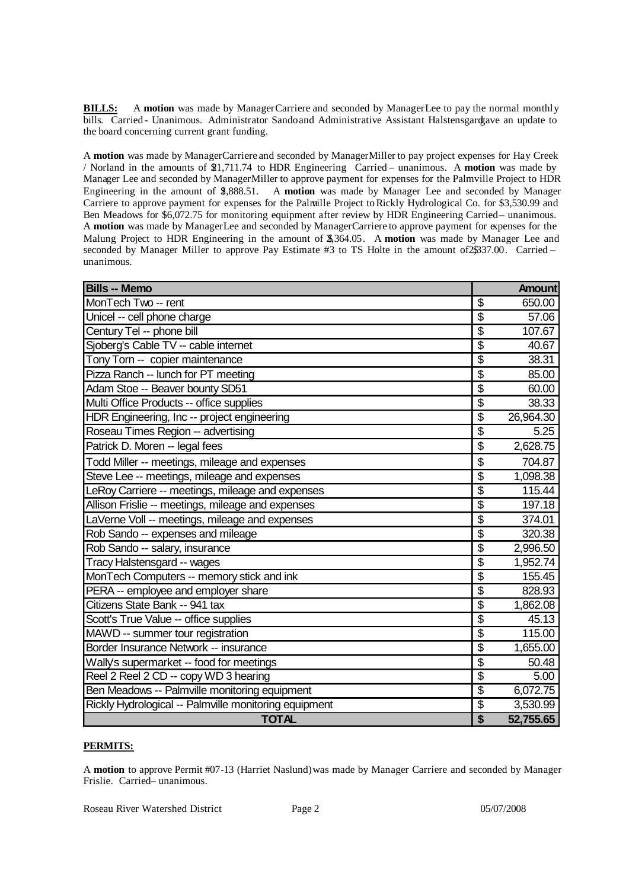**BILLS:** A **motion** was made by ManagerCarriere and seconded by ManagerLee to pay the normal monthly bills. Carried - Unanimous. Administrator Sandoand Administrative Assistant Halstensgardgave an update to the board concerning current grant funding.

A **motion** was made by ManagerCarriere and seconded by ManagerMillerto pay project expenses for Hay Creek / Norland in the amounts of \$21,711.74 to HDR Engineering. Carried – unanimous. A **motion** was made by Manager Lee and seconded by ManagerMiller to approve payment for expenses for the Palmville Project to HDR Engineering in the amount of \$2,888.51. A **motion** was made by Manager Lee and seconded by Manager Carriere to approve payment for expenses for the Palmville Project to Rickly Hydrological Co. for \$3,530.99 and Ben Meadows for \$6,072.75 for monitoring equipment after review by HDR Engineering Carried– unanimous. A **motion** was made by ManagerLee and seconded by ManagerCarriere to approve payment for expenses for the Malung Project to HDR Engineering in the amount of  $\frac{4}{3}$  364.05. A motion was made by Manager Lee and seconded by Manager Miller to approve Pay Estimate #3 to TS Holte in the amount of2\$337.00. Carried – unanimous.

| <b>Bills -- Memo</b>                                  |                                      | <b>Amount</b> |
|-------------------------------------------------------|--------------------------------------|---------------|
| MonTech Two -- rent                                   | \$                                   | 650.00        |
| Unicel -- cell phone charge                           | \$                                   | 57.06         |
| Century Tel -- phone bill                             | \$                                   | 107.67        |
| Sjoberg's Cable TV -- cable internet                  | \$                                   | 40.67         |
| Tony Torn -- copier maintenance                       | \$                                   | 38.31         |
| Pizza Ranch -- lunch for PT meeting                   | \$                                   | 85.00         |
| Adam Stoe -- Beaver bounty SD51                       | $\overline{\$}$                      | 60.00         |
| Multi Office Products -- office supplies              | $\overline{\$}$                      | 38.33         |
| HDR Engineering, Inc -- project engineering           | $\overline{\$}$                      | 26,964.30     |
| Roseau Times Region -- advertising                    | $\overline{\boldsymbol{\mathsf{S}}}$ | 5.25          |
| Patrick D. Moren -- legal fees                        | \$                                   | 2,628.75      |
| Todd Miller -- meetings, mileage and expenses         | \$                                   | 704.87        |
| Steve Lee -- meetings, mileage and expenses           | $\overline{\mathcal{S}}$             | 1,098.38      |
| LeRoy Carriere -- meetings, mileage and expenses      | $\overline{\$}$                      | 115.44        |
| Allison Frislie -- meetings, mileage and expenses     | $\overline{\$}$                      | 197.18        |
| LaVerne Voll -- meetings, mileage and expenses        | $\overline{\$}$                      | 374.01        |
| Rob Sando -- expenses and mileage                     | $\overline{\mathcal{S}}$             | 320.38        |
| Rob Sando -- salary, insurance                        | $\overline{\$}$                      | 2,996.50      |
| Tracy Halstensgard -- wages                           | $\overline{\$}$                      | 1,952.74      |
| MonTech Computers -- memory stick and ink             | \$                                   | 155.45        |
| PERA -- employee and employer share                   | $\overline{\boldsymbol{\mathsf{S}}}$ | 828.93        |
| Citizens State Bank -- 941 tax                        | $\overline{\$}$                      | 1,862.08      |
| Scott's True Value -- office supplies                 | $\overline{\mathcal{S}}$             | 45.13         |
| MAWD -- summer tour registration                      | $\overline{\$}$                      | 115.00        |
| Border Insurance Network -- insurance                 | $\overline{\mathcal{S}}$             | 1,655.00      |
| Wally's supermarket -- food for meetings              | $\overline{\mathcal{S}}$             | 50.48         |
| Reel 2 Reel 2 CD -- copy WD 3 hearing                 | $\overline{\boldsymbol{\mathsf{S}}}$ | 5.00          |
| Ben Meadows -- Palmville monitoring equipment         | $\overline{\mathcal{S}}$             | 6,072.75      |
| Rickly Hydrological -- Palmville monitoring equipment | \$                                   | 3,530.99      |
| <b>TOTAL</b>                                          | \$                                   | 52,755.65     |

# **PERMITS:**

A **motion** to approve Permit #07-13 (Harriet Naslund)was made by Manager Carriere and seconded by Manager Frislie. Carried – unanimous.

Roseau River Watershed District Page 2 05/07/2008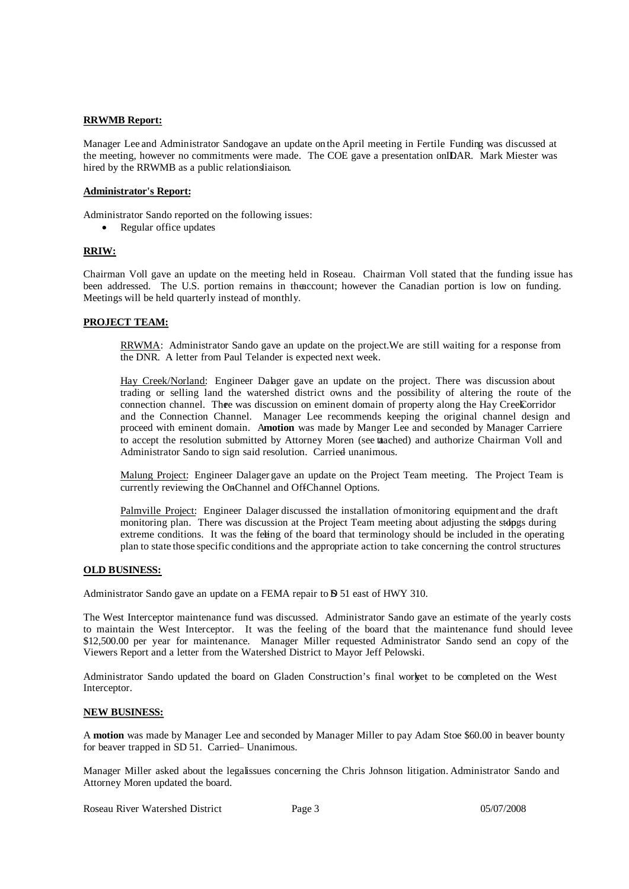### **RRWMB Report:**

Manager Lee and Administrator Sandogave an update onthe April meeting in Fertile. Funding was discussed at the meeting, however no commitments were made. The COE gave a presentation onIDAR. Mark Miester was hired by the RRWMB as a public relationsliaison.

### **Administrator's Report:**

Administrator Sando reported on the following issues:

• Regular office updates

# **RRIW:**

Chairman Voll gave an update on the meeting held in Roseau. Chairman Voll stated that the funding issue has been addressed. The U.S. portion remains in theaccount; however the Canadian portion is low on funding. Meetings will be held quarterly instead of monthly.

### **PROJECT TEAM:**

RRWMA: Administrator Sando gave an update on the project.We are still waiting for a response from the DNR. A letter from Paul Telander is expected next week.

Hay Creek/Norland: Engineer Dalager gave an update on the project. There was discussion about trading or selling land the watershed district owns and the possibility of altering the route of the connection channel. Thee was discussion on eminent domain of property along the Hay CreekCorridor and the Connection Channel. Manager Lee recommends keeping the original channel design and proceed with eminent domain. A**motion** was made by Manger Lee and seconded by Manager Carriere to accept the resolution submitted by Attorney Moren (see tatached) and authorize Chairman Voll and Administrator Sando to sign said resolution. Carried unanimous.

Malung Project: Engineer Dalagergave an update on the Project Team meeting. The Project Team is currently reviewing the OnChannel and OffChannel Options.

Palmville Project: Engineer Dalager discussed the installation of monitoring equipment and the draft monitoring plan. There was discussion at the Project Team meeting about adjusting the stopes during extreme conditions. It was the feling of the board that terminology should be included in the operating plan to state those specific conditions and the appropriate action to take concerning the control structures

### **OLD BUSINESS:**

Administrator Sando gave an update on a FEMA repair to **D** 51 east of HWY 310.

The West Interceptor maintenance fund was discussed. Administrator Sando gave an estimate of the yearly costs to maintain the West Interceptor. It was the feeling of the board that the maintenance fund should levee \$12,500.00 per year for maintenance. Manager Miller requested Administrator Sando send an copy of the Viewers Report and a letter from the Watershed District to Mayor Jeff Pelowski.

Administrator Sando updated the board on Gladen Construction's final worket to be completed on the West Interceptor.

### **NEW BUSINESS:**

A **motion** was made by Manager Lee and seconded by Manager Miller to pay Adam Stoe \$60.00 in beaver bounty for beaver trapped in SD 51. Carried – Unanimous.

Manager Miller asked about the legalissues concerning the Chris Johnson litigation. Administrator Sando and Attorney Moren updated the board.

Roseau River Watershed District Page 3 05/07/2008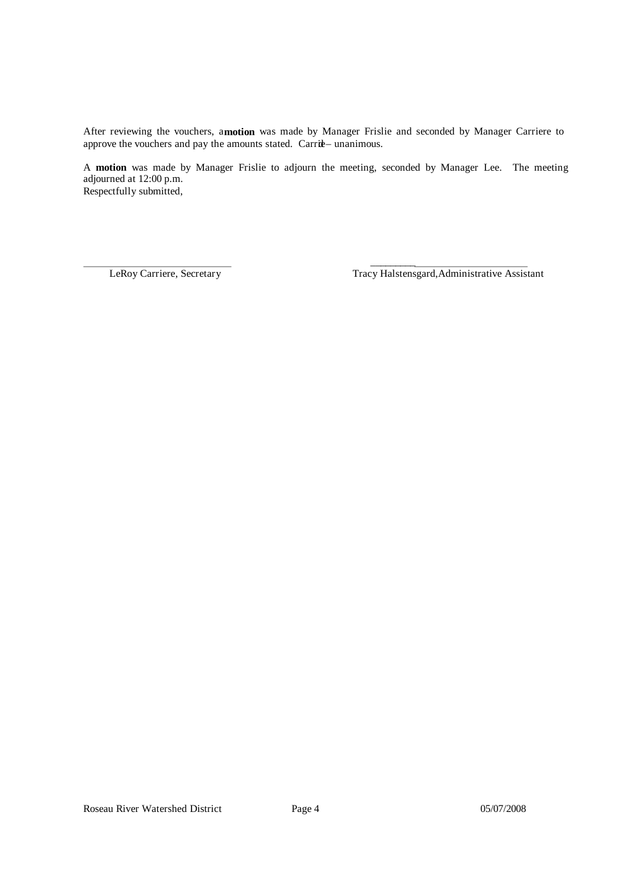After reviewing the vouchers, a**motion** was made by Manager Frislie and seconded by Manager Carriere to approve the vouchers and pay the amounts stated. Carrie-unanimous.

A **motion** was made by Manager Frislie to adjourn the meeting, seconded by Manager Lee. The meeting adjourned at 12:00 p.m. Respectfully submitted,

 $\mathcal{L}_\text{max}$  and  $\mathcal{L}_\text{max}$  and  $\mathcal{L}_\text{max}$ 

LeRoy Carriere, Secretary Tracy Halstensgard,Administrative Assistant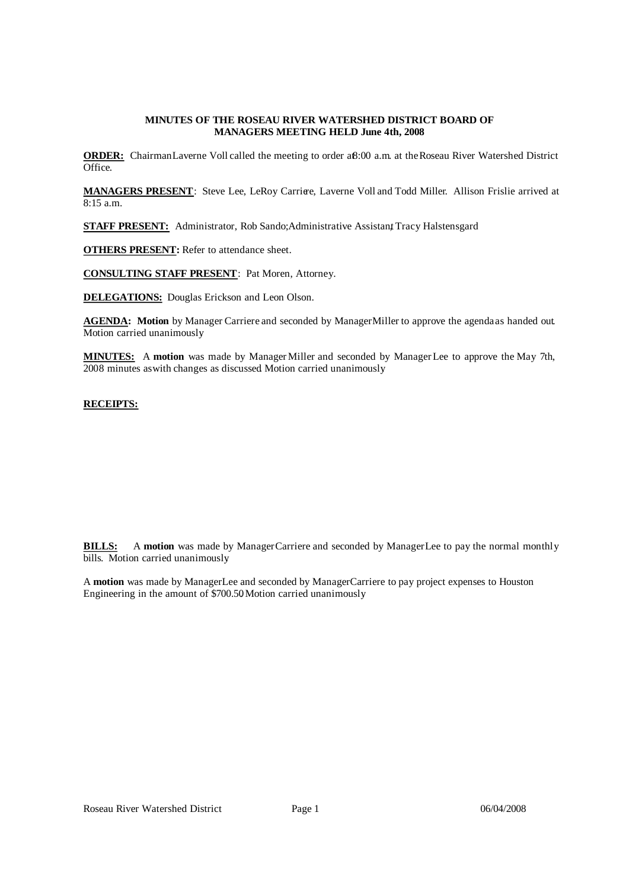# **MINUTES OF THE ROSEAU RIVER WATERSHED DISTRICT BOARD OF MANAGERS MEETING HELD June 4th, 2008**

**ORDER:** ChairmanLaverne Voll called the meeting to order aß:00 a.m. at the Roseau River Watershed District Office.

**MANAGERS PRESENT**: Steve Lee, LeRoy Carriere, Laverne Voll and Todd Miller. Allison Frislie arrived at 8:15 a.m.

**STAFF PRESENT:** Administrator, Rob Sando; Administrative Assistant Tracy Halstensgard

**OTHERS PRESENT:** Refer to attendance sheet.

**CONSULTING STAFF PRESENT**: Pat Moren, Attorney.

**DELEGATIONS:** Douglas Erickson and Leon Olson.

**AGENDA: Motion** by Manager Carriere and seconded by ManagerMiller to approve the agendaas handed out. Motion carried unanimously.

**MINUTES:** A **motion** was made by ManagerMiller and seconded by ManagerLee to approve the May 7th, 2008 minutes as with changes as discussed. Motion carried unanimously.

### **RECEIPTS:**

| Receipts -- Memo                             |   | <b>Balance</b> |
|----------------------------------------------|---|----------------|
| Interest -- Checking account                 | S | 221.78         |
| Daryle Dahl -- first half land rent          |   | 934.50         |
| Roseau County -- first half taxes            |   | 244,299.72     |
| Lake of the Woods County -- first half taxes |   | 510.68         |
|                                              |   | 245,966.68     |

**BILLS:** A **motion** was made by ManagerCarriere and seconded by ManagerLee to pay the normal monthly bills. Motion carried unanimously.

A motion was made by ManagerLee and seconded by ManagerCarriere to pay project expenses to Houston Engineering in the amount of \$700.50. Motion carried unanimously.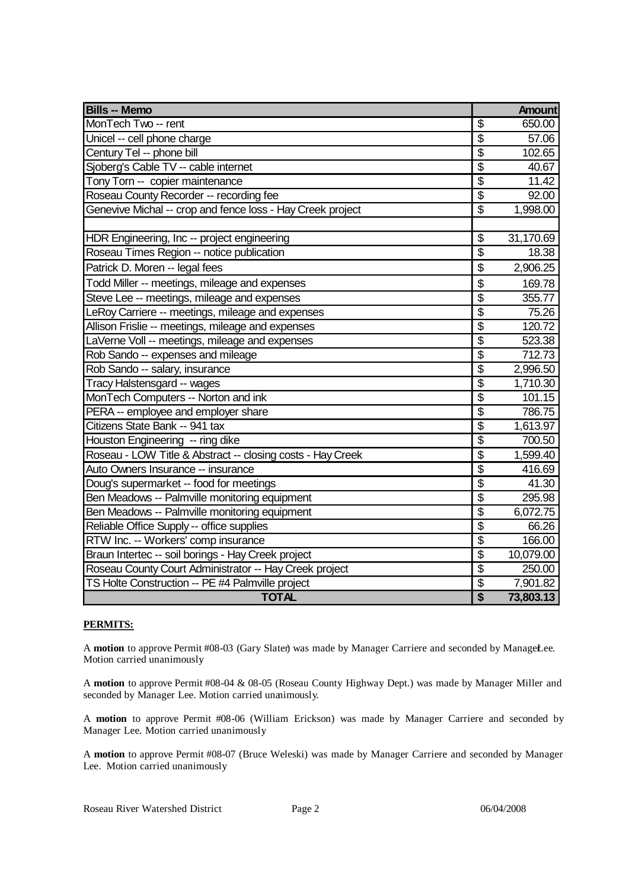| <b>Bills -- Memo</b>                                       |                           | <b>Amount</b> |
|------------------------------------------------------------|---------------------------|---------------|
| MonTech Two -- rent                                        | \$                        | 650.00        |
| Unicel -- cell phone charge                                | \$                        | 57.06         |
| Century Tel -- phone bill                                  | \$                        | 102.65        |
| Sjoberg's Cable TV -- cable internet                       | \$                        | 40.67         |
| Tony Torn -- copier maintenance                            | \$                        | 11.42         |
| Roseau County Recorder -- recording fee                    | $\overline{\$}$           | 92.00         |
| Genevive Michal -- crop and fence loss - Hay Creek project | $\overline{\mathcal{S}}$  | 1,998.00      |
|                                                            |                           |               |
| HDR Engineering, Inc -- project engineering                | \$                        | 31,170.69     |
| Roseau Times Region -- notice publication                  | $\overline{\mathfrak{s}}$ | 18.38         |
| Patrick D. Moren -- legal fees                             | \$                        | 2,906.25      |
| Todd Miller -- meetings, mileage and expenses              | \$                        | 169.78        |
| Steve Lee -- meetings, mileage and expenses                | $\overline{\mathcal{S}}$  | 355.77        |
| LeRoy Carriere -- meetings, mileage and expenses           | $\overline{\$}$           | 75.26         |
| Allison Frislie -- meetings, mileage and expenses          | \$                        | 120.72        |
| LaVerne Voll -- meetings, mileage and expenses             | $\overline{\$}$           | 523.38        |
| Rob Sando -- expenses and mileage                          | $\overline{\mathbb{S}}$   | 712.73        |
| Rob Sando -- salary, insurance                             | \$                        | 2,996.50      |
| Tracy Halstensgard -- wages                                | \$                        | 1,710.30      |
| MonTech Computers -- Norton and ink                        | $\overline{\mathbb{S}}$   | 101.15        |
| PERA -- employee and employer share                        | $\overline{\$}$           | 786.75        |
| Citizens State Bank -- 941 tax                             | $\overline{\$}$           | 1,613.97      |
| Houston Engineering -- ring dike                           | $\overline{\mathcal{S}}$  | 700.50        |
| Roseau - LOW Title & Abstract -- closing costs - Hay Creek | $\overline{\mathcal{S}}$  | 1,599.40      |
| Auto Owners Insurance -- insurance                         | $\overline{\$}$           | 416.69        |
| Doug's supermarket -- food for meetings                    | $\overline{\$}$           | 41.30         |
| Ben Meadows -- Palmville monitoring equipment              | \$                        | 295.98        |
| Ben Meadows -- Palmville monitoring equipment              | \$                        | 6,072.75      |
| Reliable Office Supply -- office supplies                  | $\overline{\$}$           | 66.26         |
| RTW Inc. -- Workers' comp insurance                        | $\overline{\$}$           | 166.00        |
| Braun Intertec -- soil borings - Hay Creek project         | $\overline{\mathbf{S}}$   | 10,079.00     |
| Roseau County Court Administrator -- Hay Creek project     | $\overline{\$}$           | 250.00        |
| TS Holte Construction -- PE #4 Palmville project           | \$                        | 7,901.82      |
| <b>TOTAL</b>                                               | $\overline{\mathbf{S}}$   | 73,803.13     |

# **PERMITS:**

A motion to approve Permit #08-03 (Gary Slater) was made by Manager Carriere and seconded by ManageLee. Motion carried unanimously.

A **motion** to approve Permit #08-04 & 08-05 (Roseau County Highway Dept.) was made by Manager Miller and seconded by Manager Lee. Motion carried unanimously.

A **motion** to approve Permit #08-06 (William Erickson) was made by Manager Carriere and seconded by Manager Lee. Motion carried unanimously.

A **motion** to approve Permit #08-07 (Bruce Weleski) was made by Manager Carriere and seconded by Manager Lee. Motion carried unanimously.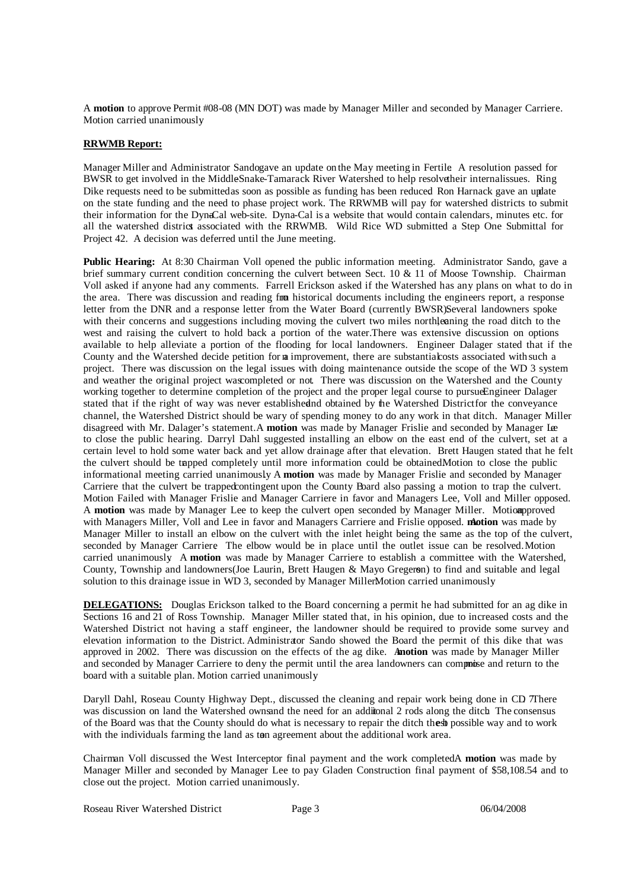A **motion** to approve Permit #08-08 (MN DOT) was made by Manager Miller and seconded by Manager Carriere. Motion carried unanimously.

### **RRWMB Report:**

Manager Miller and Administrator Sandogave an update onthe May meeting in Fertile. A resolution passed for BWSR to get involved in the MiddleSnake-Tamarack River Watershed to help resolvetheir internalissues. Ring Dike requests need to be submittedas soon as possible as funding has been reduced. Ron Harnack gave an update on the state funding and the need to phase project work. The RRWMB will pay for watershed districts to submit their information for the Dyna-Cal web-site. Dyna-Cal is a website that would contain calendars, minutes etc. for all the watershed district associated with the RRWMB. Wild Rice WD submitted a Step One Submittal for Project 42. A decision was deferred until the June meeting.

**Public Hearing:** At 8:30 Chairman Voll opened the public information meeting. Administrator Sando, gave a brief summary current condition concerning the culvert between Sect. 10 & 11 of Moose Township. Chairman Voll asked if anyone had any comments. Farrell Erickson asked if the Watershed has any plans on what to do in the area. There was discussion and reading from historical documents including the engineers report, a response letter from the DNR and a response letter from the Water Board (currently BWSR)Several landowners spoke with their concerns and suggestions including moving the culvert two miles northleaning the road ditch to the west and raising the culvert to hold back a portion of the water.There was extensive discussion on options available to help alleviate a portion of the flooding for local landowners. Engineer Dalager stated that if the County and the Watershed decide petition for na improvement, there are substantialcosts associated withsuch a project. There was discussion on the legal issues with doing maintenance outside the scope of the WD 3 system and weather the original project wascompleted or not. There was discussion on the Watershed and the County working together to determine completion of the project and the proper legal course to pursueEngineer Dalager stated that if the right of way was never establishedand obtained by the Watershed Districtfor the conveyance channel, the Watershed District should be wary of spending money to do any work in that ditch. Manager Miller disagreed with Mr. Dalager's statement.A **motion** was made by Manager Frislie and seconded by Manager Lee to close the public hearing. Darryl Dahl suggested installing an elbow on the east end of the culvert, set at a certain level to hold some water back and yet allow drainage after that elevation. Brett Haugen stated that he felt the culvert should be tapped completely until more information could be obtained.Motion to close the public informational meeting carried unanimously A **motion** was made by Manager Frislie and seconded by Manager Carriere that the culvert be trappedcontingent upon the County Board also passing a motion to trap the culvert. Motion Failed with Manager Frislie and Manager Carriere in favor and Managers Lee, Voll and Miller opposed. A **motion** was made by Manager Lee to keep the culvert open seconded by Manager Miller. Motionapproved with Managers Miller, Voll and Lee in favor and Managers Carriere and Frislie opposed. **motion** was made by Manager Miller to install an elbow on the culvert with the inlet height being the same as the top of the culvert, seconded by Manager Carriere. The elbow would be in place until the outlet issue can be resolved.Motion carried unanimously. A **motion** was made by Manager Carriere to establish a committee with the Watershed, County, Township and landowners(Joe Laurin, Brett Haugen & Mayo Gregerson) to find and suitable and legal solution to this drainage issue in WD 3, seconded by Manager Miller.Motion carried unanimously.

**DELEGATIONS:** Douglas Erickson talked to the Board concerning a permit he had submitted for an ag dike in Sections 16 and 21 of Ross Township. Manager Miller stated that, in his opinion, due to increased costs and the Watershed District not having a staff engineer, the landowner should be required to provide some survey and elevation information to the District. Administrator Sando showed the Board the permit of this dike that was approved in 2002. There was discussion on the effects of the ag dike. A**motion** was made by Manager Miller and seconded by Manager Carriere to deny the permit until the area landowners can compnise and return to the board with a suitable plan. Motion carried unanimously.

Daryll Dahl, Roseau County Highway Dept., discussed the cleaning and repair work being done in CD There was discussion on land the Watershed ownsand the need for an additional 2 rods along the ditch. The consensus of the Board was that the County should do what is necessary to repair the ditch thest possible way and to work with the individuals farming the land as to agreement about the additional work area.

Chairman Voll discussed the West Interceptor final payment and the work completed.A **motion** was made by Manager Miller and seconded by Manager Lee to pay Gladen Construction final payment of \$58,108.54 and to close out the project. Motion carried unanimously.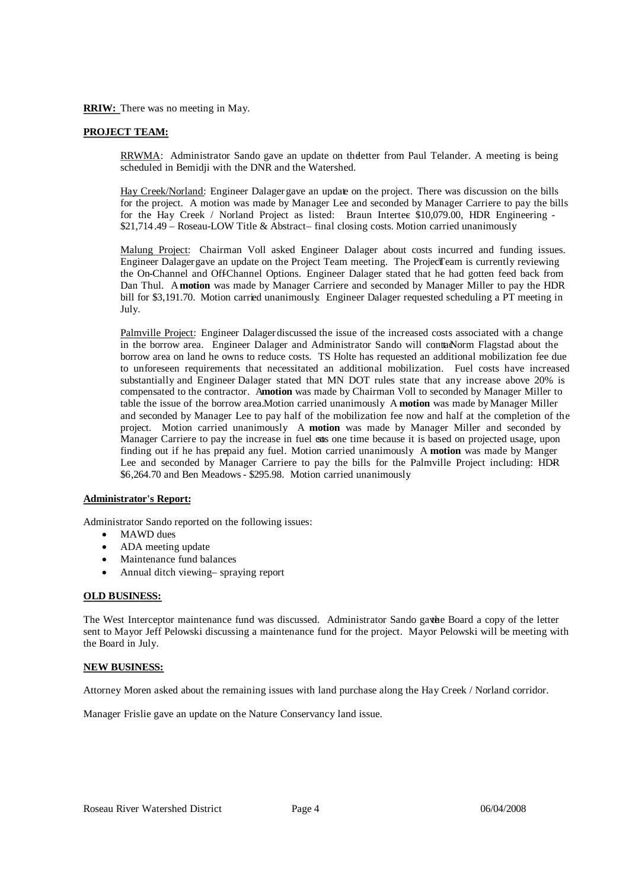**RRIW:** There was no meeting in May.

# **PROJECT TEAM:**

RRWMA: Administrator Sando gave an update on theletter from Paul Telander . A meeting is being scheduled in Bemidji with the DNR and the Watershed.

Hay Creek/Norland: Engineer Dalager gave an update on the project. There was discussion on the bills for the project. A motion was made by Manager Lee and seconded by Manager Carriere to pay the bills for the Hay Creek / Norland Project as listed: Braun Intertee \$10,079.00, HDR Engineering - $$21,714.49 - Roseau-LOW Title & Abstract-final closing costs. Motion carried unanimously.$ 

Malung Project: Chairman Voll asked Engineer Dalager about costs incurred and funding issues. Engineer Dalager gave an update on the Project Team meeting. The ProjectTeam is currently reviewing the On-Channel and Off-Channel Options. Engineer Dalager stated that he had gotten feed back from Dan Thul. A**motion** was made by Manager Carriere and seconded by Manager Miller to pay the HDR bill for \$3,191.70. Motion carried unanimously. Engineer Dalager requested scheduling a PT meeting in July.

Palmville Project: Engineer Dalagerdiscussed the issue of the increased costs associated with a change in the borrow area. Engineer Dalager and Administrator Sando will contacNorm Flagstad about the borrow area on land he owns to reduce costs. TS Holte has requested an additional mobilization fee due to unforeseen requirements that necessitated an additional mobilization. Fuel costs have increased substantially and Engineer Dalager stated that MN DOT rules state that any increase above 20% is compensated to the contractor. Amotion was made by Chairman Voll to seconded by Manager Miller to table the issue of the borrow area. Motion carried unanimously. A **motion** was made by Manager Miller and seconded by Manager Lee to pay half of the mobilization fee now and half at the completion of the project. Motion carried unanimously. A **motion** was made by Manager Miller and seconded by Manager Carriere to pay the increase in fuel ones one time because it is based on projected usage, upon finding out if he has prepaid any fuel. Motion carried unanimously. A motion was made by Manger Lee and seconded by Manager Carriere to pay the bills for the Palmville Project including: HDR- \$6,264.70 and Ben Meadows - \$295.98. Motion carried unanimously.

# **Administrator's Report:**

Administrator Sando reported on the following issues:

- MAWD dues
- ADA meeting update
- Maintenance fund balances
- Annual ditch viewing-spraying report

### **OLD BUSINESS:**

The West Interceptor maintenance fund was discussed. Administrator Sando gave be Board a copy of the letter sent to Mayor Jeff Pelowski discussing a maintenance fund for the project. Mayor Pelowski will be meeting with the Board in July.

### **NEW BUSINESS:**

Attorney Moren asked about the remaining issues with land purchase along the Hay Creek / Norland corridor.

Manager Frislie gave an update on the Nature Conservancy land issue.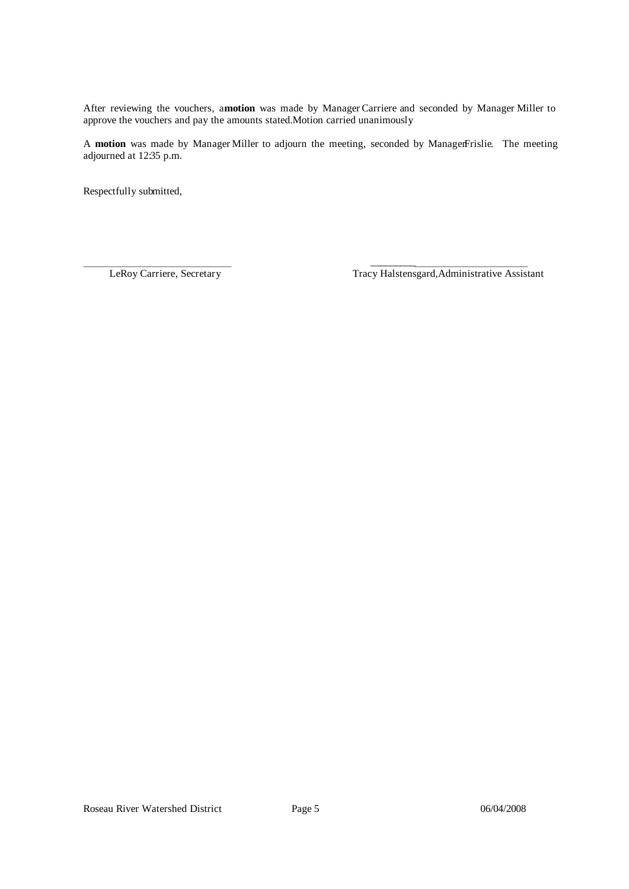After reviewing the vouchers, a**motion** was made by ManagerCarriere and seconded by Manager Miller to approve the vouchers and pay the amounts stated.Motion carried unanimously

A **motion** was made by Manager Miller to adjourn the meeting, seconded by ManagerFrislie. The meeting adjourned at 12:35 p.m.

 $\mathcal{L}_\text{max}$  and  $\mathcal{L}_\text{max}$  and  $\mathcal{L}_\text{max}$ 

Respectfully submitted,

LeRoy Carriere, Secretary Tracy Halstensgard,Administrative Assistant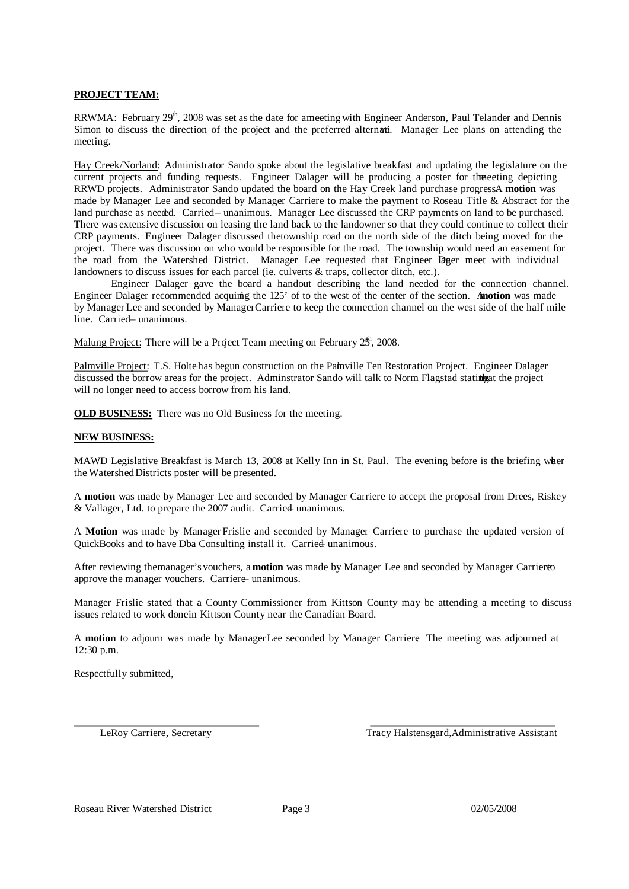# **PROJECT TEAM:**

RRWMA: February 29<sup>th</sup>, 2008 was set as the date for ameeting with Engineer Anderson, Paul Telander and Dennis Simon to discuss the direction of the project and the preferred alternation. Manager Lee plans on attending the meeting.

Hay Creek/Norland: Administrator Sando spoke about the legislative breakfast and updating the legislature on the current projects and funding requests. Engineer Dalager will be producing a poster for themeeting depicting RRWD projects. Administrator Sando updated the board on the Hay Creek land purchase progressA **motion** was made by Manager Lee and seconded by Manager Carriere to make the payment to Roseau Title & Abstract for the land purchase as needed. Carried– unanimous. Manager Lee discussed the CRP payments on land to be purchased. There was extensive discussion on leasing the land back to the landowner so that they could continue to collect their CRP payments. Engineer Dalager discussed thetownship road on the north side of the ditch being moved for the project. There was discussion on who would be responsible for the road. The township would need an easement for the road from the Watershed District. Manager Lee requested that Engineer lager meet with individual landowners to discuss issues for each parcel (ie. culverts & traps, collector ditch, etc.).

Engineer Dalager gave the board a handout describing the land needed for the connection channel. Engineer Dalager recommended acquiring the 125' of to the west of the center of the section. A**motion** was made by Manager Lee and seconded by ManagerCarriere to keep the connection channel on the west side of the half mile line. Carried- unanimous.

Malung Project: There will be a Project Team meeting on February 25<sup>h</sup>, 2008.

Palmville Project: T.S. Holte has begun construction on the Palmville Fen Restoration Project. Engineer Dalager discussed the borrow areas for the project. Adminstrator Sando will talk to Norm Flagstad stating at the project will no longer need to access borrow from his land.

**OLD BUSINESS:** There was no Old Business for the meeting.

### **NEW BUSINESS:**

MAWD Legislative Breakfast is March 13, 2008 at Kelly Inn in St. Paul. The evening before is the briefing wher the Watershed Districts poster will be presented.

A **motion** was made by Manager Lee and seconded by Manager Carriere to accept the proposal from Drees, Riskey  $&$  Vallager, Ltd. to prepare the 2007 audit. Carried unanimous.

A **Motion** was made by Manager Frislie and seconded by Manager Carriere to purchase the updated version of QuickBooks and to have Dba Consulting install it. Carried unanimous.

After reviewing themanager's vouchers, a **motion** was made by Manager Lee and seconded by Manager Carriereto approve the manager vouchers. Carriere- unanimous.

Manager Frislie stated that a County Commissioner from Kittson County may be attending a meeting to discuss issues related to work donein Kittson County near the Canadian Board.

A **motion** to adjourn was made by ManagerLee seconded by Manager Carriere. The meeting was adjourned at 12:30 p.m.

Respectfully submitted,

LeRoy Carriere, Secretary Tracy Halstensgard, Administrative Assistant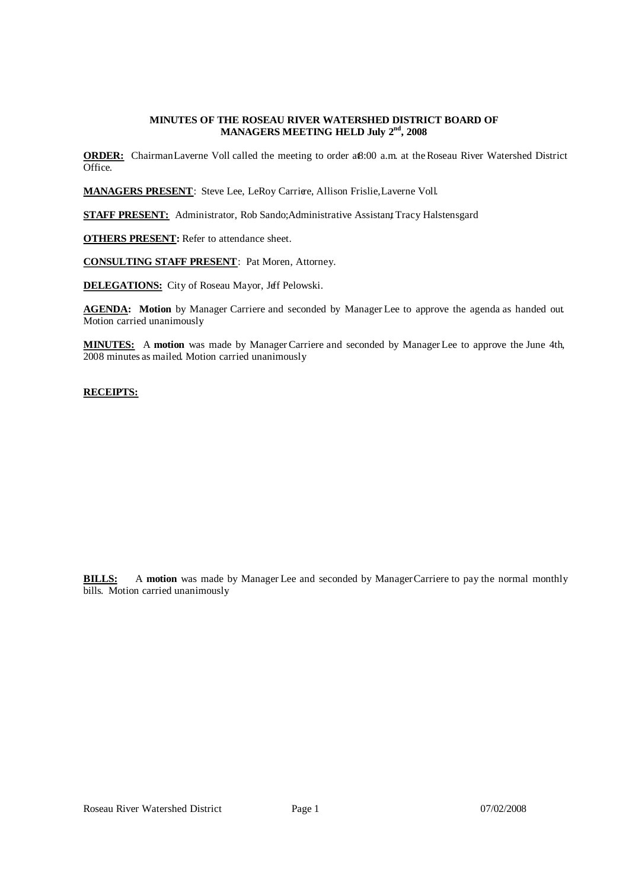### **MINUTES OF THE ROSEAU RIVER WATERSHED DISTRICT BOARD OF MANAGERS MEETING HELD July 2 nd, 2008**

**ORDER:** ChairmanLaverne Voll called the meeting to order aß:00 a.m. at the Roseau River Watershed District Office.

MANAGERS PRESENT: Steve Lee, LeRoy Carriere, Allison Frislie, Laverne Voll.

**STAFF PRESENT:** Administrator, Rob Sando; Administrative Assistant Tracy Halstensgard

**OTHERS PRESENT:** Refer to attendance sheet.

**CONSULTING STAFF PRESENT**: Pat Moren, Attorney.

**DELEGATIONS:** City of Roseau Mayor, Jeff Pelowski.

**AGENDA: Motion** by Manager Carriere and seconded by Manager Lee to approve the agenda as handed out. Motion carried unanimously.

**MINUTES:** A **motion** was made by ManagerCarriere and seconded by ManagerLee to approve the June 4th, 2008 minutes as mailed. Motion carried unanimously.

# **RECEIPTS:**

| Receipts -- Memo                            |    | <b>Balance</b> |
|---------------------------------------------|----|----------------|
| Interest -- Checking account                |    | 235.92         |
| Beltrami County -- taxes                    |    | 400.93         |
| Roseau - LOW Title & Abstract -- refund     | \$ | 687.50         |
| <b>RRWMB</b> -- Project Team reimbursement  | \$ | 10,590.34      |
| Roseau County -- 2007 deliquent ditch taxes |    | 129.35         |
| Marshall County -- share of taxes           | S  | 291.10         |
|                                             |    | 12,335.14      |

**BILLS:** A motion was made by Manager Lee and seconded by Manager Carriere to pay the normal monthly bills. Motion carried unanimously.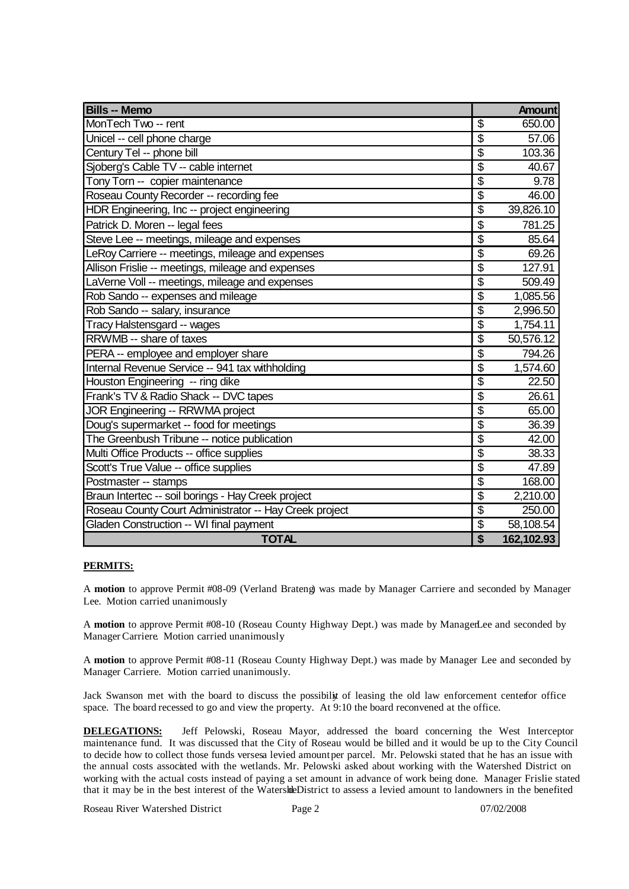| <b>Bills -- Memo</b>                                   |                                      | <b>Amount</b> |
|--------------------------------------------------------|--------------------------------------|---------------|
| MonTech Two -- rent                                    | \$                                   | 650.00        |
| Unicel -- cell phone charge                            | \$                                   | 57.06         |
| Century Tel -- phone bill                              | $\overline{\mathcal{S}}$             | 103.36        |
| Sjoberg's Cable TV -- cable internet                   | $\overline{\mathcal{S}}$             | 40.67         |
| Tony Torn -- copier maintenance                        | $\overline{\mathcal{S}}$             | 9.78          |
| Roseau County Recorder -- recording fee                | \$                                   | 46.00         |
| HDR Engineering, Inc -- project engineering            | $\overline{\$}$                      | 39,826.10     |
| Patrick D. Moren -- legal fees                         | \$                                   | 781.25        |
| Steve Lee -- meetings, mileage and expenses            | $\overline{\$}$                      | 85.64         |
| LeRoy Carriere -- meetings, mileage and expenses       | $\overline{\$}$                      | 69.26         |
| Allison Frislie -- meetings, mileage and expenses      | $\overline{\$}$                      | 127.91        |
| LaVerne Voll -- meetings, mileage and expenses         | $\overline{\boldsymbol{\mathsf{S}}}$ | 509.49        |
| Rob Sando -- expenses and mileage                      | \$                                   | 1,085.56      |
| Rob Sando -- salary, insurance                         | $\overline{\boldsymbol{\mathsf{S}}}$ | 2,996.50      |
| Tracy Halstensgard -- wages                            | \$                                   | 1,754.11      |
| RRWMB -- share of taxes                                | \$                                   | 50,576.12     |
| PERA -- employee and employer share                    | $\overline{\boldsymbol{\mathsf{S}}}$ | 794.26        |
| Internal Revenue Service -- 941 tax withholding        | $\overline{\boldsymbol{\mathsf{S}}}$ | 1,574.60      |
| Houston Engineering -- ring dike                       | $\overline{\$}$                      | 22.50         |
| Frank's TV & Radio Shack -- DVC tapes                  | $\overline{\boldsymbol{\mathsf{S}}}$ | 26.61         |
| JOR Engineering -- RRWMA project                       | $\overline{\mathbb{S}}$              | 65.00         |
| Doug's supermarket -- food for meetings                | $\overline{\$}$                      | 36.39         |
| The Greenbush Tribune -- notice publication            | \$                                   | 42.00         |
| Multi Office Products -- office supplies               | $\overline{\mathcal{S}}$             | 38.33         |
| Scott's True Value -- office supplies                  | $\overline{\$}$                      | 47.89         |
| Postmaster -- stamps                                   | $\overline{\mathcal{S}}$             | 168.00        |
| Braun Intertec -- soil borings - Hay Creek project     | $\overline{\mathcal{S}}$             | 2,210.00      |
| Roseau County Court Administrator -- Hay Creek project | $\overline{\$}$                      | 250.00        |
| Gladen Construction -- WI final payment                | $\overline{\boldsymbol{\theta}}$     | 58,108.54     |
| <b>TOTAL</b>                                           | \$                                   | 162,102.93    |

# **PERMITS:**

A **motion** to approve Permit #08-09 (Verland Brateng) was made by Manager Carriere and seconded by Manager Lee. Motion carried unanimously.

A **motion** to approve Permit #08-10 (Roseau County Highway Dept.) was made by ManagerLee and seconded by Manager Carriere. Motion carried unanimously.

A **motion** to approve Permit #08-11 (Roseau County Highway Dept.) was made by Manager Lee and seconded by Manager Carriere. Motion carried unanimously.

Jack Swanson met with the board to discuss the possibility of leasing the old law enforcement centerfor office space. The board recessed to go and view the property. At 9:10 the board reconvened at the office.

**DELEGATIONS:** Jeff Pelowski, Roseau Mayor, addressed the board concerning the West Interceptor maintenance fund. It was discussed that the City of Roseau would be billed and it would be up to the City Council to decide how to collect those funds versesa levied amountper parcel. Mr. Pelowski stated that he has an issue with the annual costs associated with the wetlands. Mr. Pelowski asked about working with the Watershed District on working with the actual costs instead of paying a set amount in advance of work being done. Manager Frislie stated that it may be in the best interest of the Watershe District to assess a levied amount to landowners in the benefited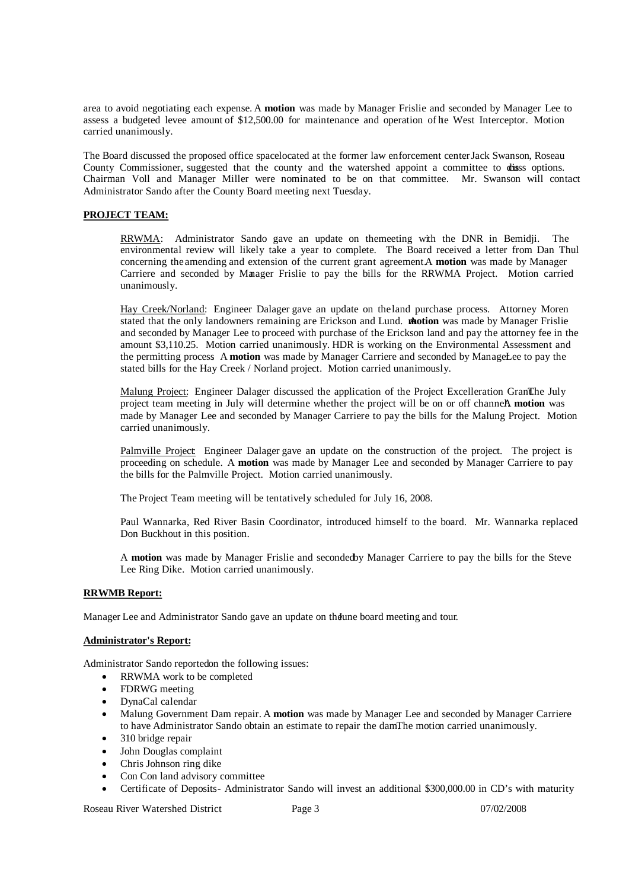area to avoid negotiating each expense. A **motion** was made by Manager Frislie and seconded by Manager Lee to assess a budgeted levee amount of \$12,500.00 for maintenance and operation of hte West Interceptor. Motion carried unanimously.

The Board discussed the proposed office spacelocated at the former law enforcement center Jack Swanson, Roseau County Commissioner, suggested that the county and the watershed appoint a committee to disss options. Chairman Voll and Manager Miller were nominated to be on that committee. Mr. Swanson will contact Administrator Sando after the County Board meeting next Tuesday.

# **PROJECT TEAM:**

RRWMA: Administrator Sando gave an update on themeeting with the DNR in Bemidji. The environmental review will likely take a year to complete. The Board received a letter from Dan Thul concerning the amending and extension of the current grant agreement.A **motion** was made by Manager Carriere and seconded by Manager Frislie to pay the bills for the RRWMA Project. Motion carried unanimously.

Hay Creek/Norland: Engineer Dalager gave an update on the land purchase process. Attorney Moren stated that the only landowners remaining are Erickson and Lund. **Motion** was made by Manager Frislie and seconded by Manager Lee to proceed with purchase of the Erickson land and pay the attorney fee in the amount \$3,110.25. Motion carried unanimously . HDR is working on the Environmental Assessment and the permitting process. A motion was made by Manager Carriere and seconded by ManageLee to pay the stated bills for the Hay Creek / Norland project. Motion carried unanimously.

Malung Project: Engineer Dalager discussed the application of the Project Excelleration GranThe July project team meeting in July will determine whether the project will be on or off channeA motion was made by Manager Lee and seconded by Manager Carriere to pay the bills for the Malung Project. Motion carried unanimously.

Palmville Project: Engineer Dalager gave an update on the construction of the project. The project is proceeding on schedule. A **motion** was made by Manager Lee and seconded by Manager Carriere to pay the bills for the Palmville Project. Motion carried unanimously.

The Project Team meeting will be tentatively scheduled for July 16, 2008.

Paul Wannarka, Red River Basin Coordinator, introduced himself to the board. Mr. Wannarka replaced Don Buckhout in this position.

A **motion** was made by Manager Frislie and secondedby Manager Carriere to pay the bills for the Steve Lee Ring Dike. Motion carried unanimously.

# **RRWMB Report:**

Manager Lee and Administrator Sando gave an update on the June board meeting and tour.

# **Administrator's Report:**

Administrator Sando reported on the following issues:

- RRWMA work to be completed
- FDRWG meeting
- DynaCal calendar
- Malung Government Dam repair. A **motion** was made by Manager Lee and seconded by Manager Carriere to have Administrator Sando obtain an estimate to repair the damThe motion carried unanimously.
- 310 bridge repair
- John Douglas complaint
- Chris Johnson ring dike
- Con Con land advisory committee
- Certificate of Deposits- Administrator Sando will invest an additional \$300,000.00 in CD's with maturity

Roseau River Watershed District Page 3 07/02/2008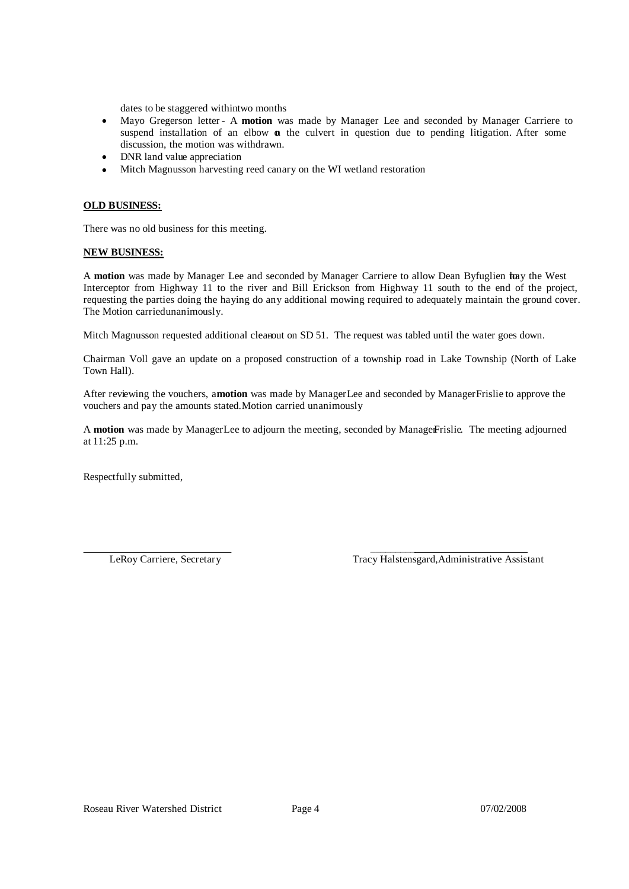dates to be staggered withintwo months

- Mayo Gregerson letter- A **motion** was made by Manager Lee and seconded by Manager Carriere to suspend installation of an elbow  $\alpha$  the culvert in question due to pending litigation. After some discussion, the motion was withdrawn.
- DNR land value appreciation
- Mitch Magnusson harvesting reed canary on the WI wetland restoration

# **OLD BUSINESS:**

There was no old business for this meeting.

### **NEW BUSINESS:**

A motion was made by Manager Lee and seconded by Manager Carriere to allow Dean Byfuglien tray the West Interceptor from Highway 11 to the river and Bill Erickson from Highway 11 south to the end of the project, requesting the parties doing the haying do any additional mowing required to adequately maintain the ground cover. The Motion carried unanimously.

Mitch Magnusson requested additional cleanout on SD 51. The request was tabled until the water goes down.

Chairman Voll gave an update on a proposed construction of a township road in Lake Township (North of Lake Town Hall).

After reviewing the vouchers, a**motion** was made by ManagerLee and seconded by Manager Frislie to approve the vouchers and pay the amounts stated. Motion carried unanimously.

A motion was made by ManagerLee to adjourn the meeting, seconded by ManagerFrislie. The meeting adjourned at 11:25 p.m.

Respectfully submitted,

 $\mathcal{L}_\text{max}$  and  $\mathcal{L}_\text{max}$  and  $\mathcal{L}_\text{max}$ LeRoy Carriere, Secretary Tracy Halstensgard,Administrative Assistant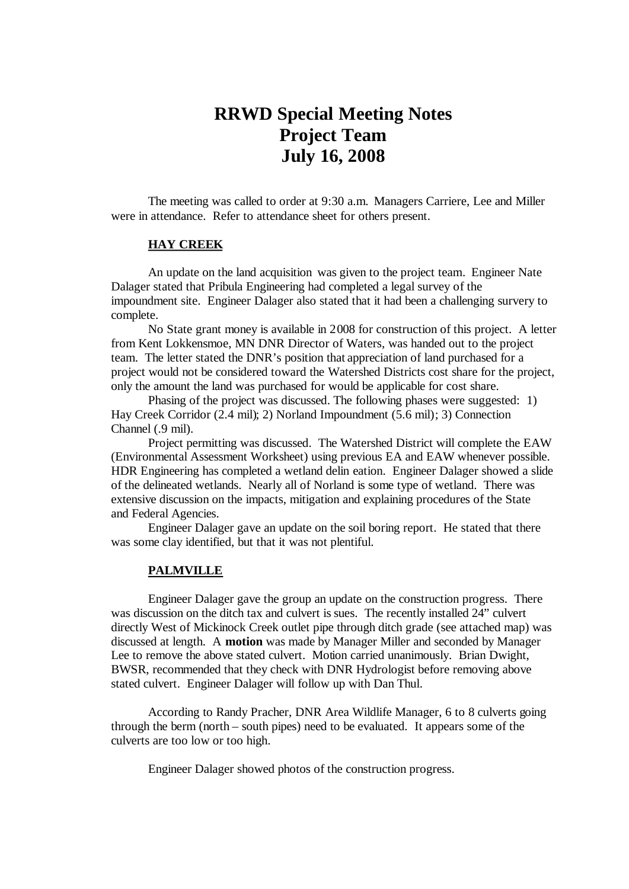# **RRWD Special Meeting Notes Project Team July 16, 2008**

The meeting was called to order at 9:30 a.m. Managers Carriere, Lee and Miller were in attendance. Refer to attendance sheet for others present.

# **HAY CREEK**

An update on the land acquisition was given to the project team. Engineer Nate Dalager stated that Pribula Engineering had completed a legal survey of the impoundment site. Engineer Dalager also stated that it had been a challenging survery to complete.

No State grant money is available in 2008 for construction of this project. A letter from Kent Lokkensmoe, MN DNR Director of Waters, was handed out to the project team. The letter stated the DNR's position that appreciation of land purchased for a project would not be considered toward the Watershed Districts cost share for the project, only the amount the land was purchased for would be applicable for cost share.

Phasing of the project was discussed. The following phases were suggested: 1) Hay Creek Corridor (2.4 mil); 2) Norland Impoundment (5.6 mil); 3) Connection Channel (.9 mil).

Project permitting was discussed. The Watershed District will complete the EAW (Environmental Assessment Worksheet) using previous EA and EAW whenever possible. HDR Engineering has completed a wetland delin eation. Engineer Dalager showed a slide of the delineated wetlands. Nearly all of Norland is some type of wetland. There was extensive discussion on the impacts, mitigation and explaining procedures of the State and Federal Agencies.

Engineer Dalager gave an update on the soil boring report. He stated that there was some clay identified, but that it was not plentiful.

# **PALMVILLE**

Engineer Dalager gave the group an update on the construction progress. There was discussion on the ditch tax and culvert is sues. The recently installed 24" culvert directly West of Mickinock Creek outlet pipe through ditch grade (see attached map) was discussed at length. A **motion** was made by Manager Miller and seconded by Manager Lee to remove the above stated culvert. Motion carried unanimously. Brian Dwight, BWSR, recommended that they check with DNR Hydrologist before removing above stated culvert. Engineer Dalager will follow up with Dan Thul.

According to Randy Pracher, DNR Area Wildlife Manager, 6 to 8 culverts going through the berm (north – south pipes) need to be evaluated. It appears some of the culverts are too low or too high.

Engineer Dalager showed photos of the construction progress.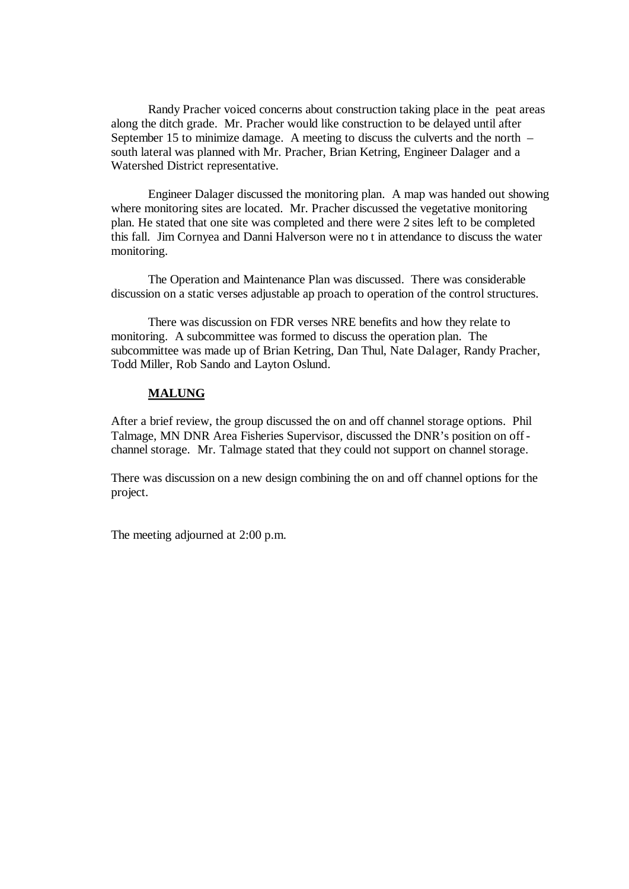Randy Pracher voiced concerns about construction taking place in the peat areas along the ditch grade. Mr. Pracher would like construction to be delayed until after September 15 to minimize damage. A meeting to discuss the culverts and the north – south lateral was planned with Mr. Pracher, Brian Ketring, Engineer Dalager and a Watershed District representative.

Engineer Dalager discussed the monitoring plan. A map was handed out showing where monitoring sites are located. Mr. Pracher discussed the vegetative monitoring plan. He stated that one site was completed and there were 2 sites left to be completed this fall. Jim Cornyea and Danni Halverson were no t in attendance to discuss the water monitoring.

The Operation and Maintenance Plan was discussed. There was considerable discussion on a static verses adjustable ap proach to operation of the control structures.

There was discussion on FDR verses NRE benefits and how they relate to monitoring. A subcommittee was formed to discuss the operation plan. The subcommittee was made up of Brian Ketring, Dan Thul, Nate Dalager, Randy Pracher, Todd Miller, Rob Sando and Layton Oslund.

# **MALUNG**

After a brief review, the group discussed the on and off channel storage options. Phil Talmage, MN DNR Area Fisheries Supervisor, discussed the DNR's position on off channel storage. Mr. Talmage stated that they could not support on channel storage.

There was discussion on a new design combining the on and off channel options for the project.

The meeting adjourned at 2:00 p.m.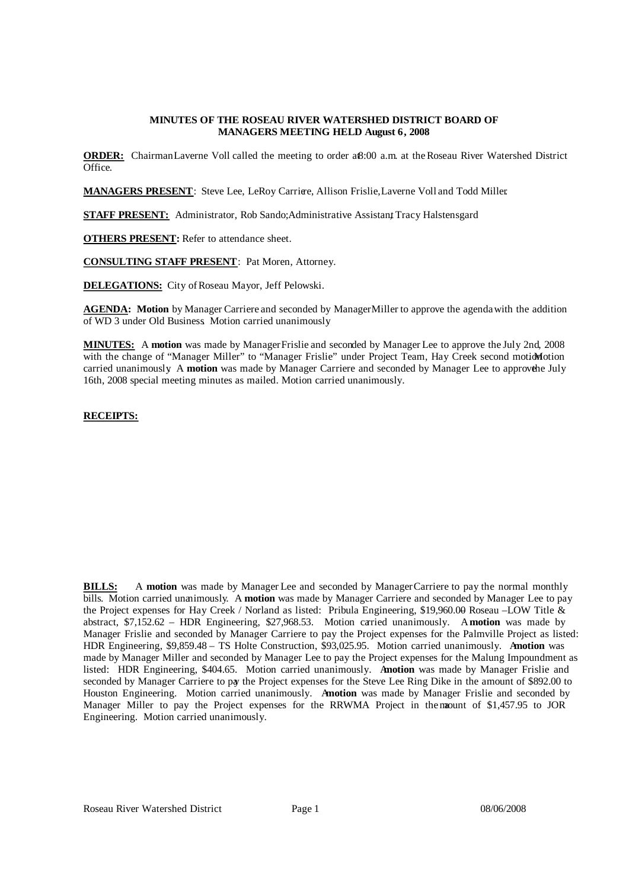### **MINUTES OF THE ROSEAU RIVER WATERSHED DISTRICT BOARD OF MANAGERS MEETING HELD August 6, 2008**

**ORDER:** ChairmanLaverne Voll called the meeting to order a<sub>8:00</sub> a.m. at the Roseau River Watershed District Office.

**MANAGERS PRESENT**: Steve Lee, LeRoy Carriere, Allison Frislie, Laverne Voll and Todd Miller.

**STAFF PRESENT:** Administrator, Rob Sando; Administrative Assistant Tracy Halstensgard

**OTHERS PRESENT:** Refer to attendance sheet.

**CONSULTING STAFF PRESENT**: Pat Moren, Attorney.

**DELEGATIONS:** City of Roseau Mayor, Jeff Pelowski.

**AGENDA: Motion** by Manager Carriere and seconded by ManagerMiller to approve the agendawith the addition of WD 3 under Old Business. Motion carried unanimously.

**MINUTES:** A **motion** was made by ManagerFrislie and seconded by Manager Lee to approve the July 2nd, 2008 with the change of "Manager Miller" to "Manager Frislie" under Project Team, Hay Creek second motion otion carried unanimously. A motion was made by Manager Carriere and seconded by Manager Lee to approve he July 16th, 2008 special meeting minutes as mailed. Motion carried unanimously.

### **RECEIPTS:**

| <b>Receipts -- Memo</b>                        |      | <b>Balance</b> |
|------------------------------------------------|------|----------------|
| Interest -- Checking account                   |      | 308.97         |
| State of Minnesota -- RRIW grant reimbursement |      | 5,000.00       |
| Citizens State Bank -- CD interest             |      | 618.30         |
| Kittson County -- share of taxes               | - 35 | 2,053.77       |
| City of Roseau -- WI final reimbursement       | - \$ | 58,264.79      |
|                                                |      | 66,245.83      |

**BILLS:** A **motion** was made by Manager Lee and seconded by Manager Carriere to pay the normal monthly bills. Motion carried unanimously. A **motion** was made by Manager Carriere and seconded by Manager Lee to pay the Project expenses for Hay Creek / Norland as listed: Pribula Engineering, \$19,960.00 Roseau –LOW Title  $\&$ abstract, \$7,152.62 – HDR Engineering, \$27,968.53. Motion carried unanimously. A**motion** was made by Manager Frislie and seconded by Manager Carriere to pay the Project expenses for the Palmville Project as listed: HDR Engineering, \$9,859.48 – TS Holte Construction, \$93,025.95. Motion carried unanimously. A**motion** was made by Manager Miller and seconded by Manager Lee to pay the Project expenses for the Malung Impoundment as listed: HDR Engineering, \$404.65. Motion carried unanimously. A**motion** was made by Manager Frislie and seconded by Manager Carriere to pay the Project expenses for the Steve Lee Ring Dike in the amount of \$892.00 to Houston Engineering. Motion carried unanimously. A**motion** was made by Manager Frislie and seconded by Manager Miller to pay the Project expenses for the RRWMA Project in the mount of \$1,457.95 to JOR Engineering. Motion carried unanimously.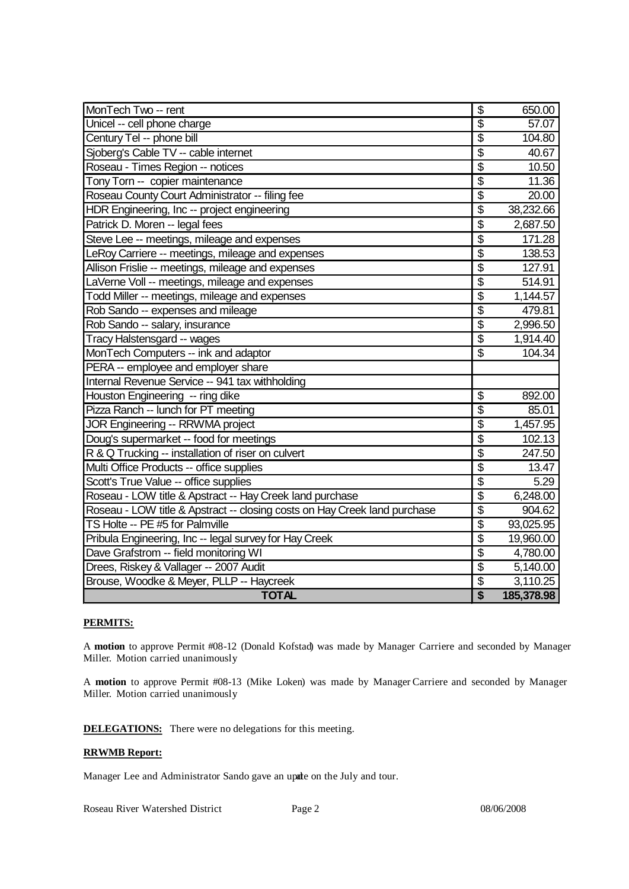| MonTech Two -- rent                                                       | \$                                   | 650.00     |
|---------------------------------------------------------------------------|--------------------------------------|------------|
| Unicel -- cell phone charge                                               | $\overline{\mathcal{S}}$             | 57.07      |
| Century Tel -- phone bill                                                 | $\overline{\$}$                      | 104.80     |
| Sjoberg's Cable TV -- cable internet                                      | \$                                   | 40.67      |
| Roseau - Times Region -- notices                                          | $\overline{\mathbb{S}}$              | 10.50      |
| Tony Torn -- copier maintenance                                           | $\overline{\mathfrak{s}}$            | 11.36      |
| Roseau County Court Administrator -- filing fee                           | $\overline{\$}$                      | 20.00      |
| HDR Engineering, Inc -- project engineering                               | $\overline{\$}$                      | 38,232.66  |
| Patrick D. Moren -- legal fees                                            | \$                                   | 2,687.50   |
| Steve Lee -- meetings, mileage and expenses                               | $\overline{\$}$                      | 171.28     |
| LeRoy Carriere -- meetings, mileage and expenses                          | $\overline{\boldsymbol{\mathsf{S}}}$ | 138.53     |
| Allison Frislie -- meetings, mileage and expenses                         | $\overline{\$}$                      | 127.91     |
| LaVerne Voll -- meetings, mileage and expenses                            | $\overline{\mathcal{S}}$             | 514.91     |
| Todd Miller -- meetings, mileage and expenses                             | $\overline{\$}$                      | 1,144.57   |
| Rob Sando -- expenses and mileage                                         | $\overline{\$}$                      | 479.81     |
| Rob Sando -- salary, insurance                                            | $\overline{\$}$                      | 2,996.50   |
| Tracy Halstensgard -- wages                                               | \$                                   | 1,914.40   |
| MonTech Computers -- ink and adaptor                                      | \$                                   | 104.34     |
| PERA -- employee and employer share                                       |                                      |            |
| Internal Revenue Service -- 941 tax withholding                           |                                      |            |
| Houston Engineering -- ring dike                                          | \$                                   | 892.00     |
| Pizza Ranch -- lunch for PT meeting                                       | $\overline{\mathcal{S}}$             | 85.01      |
| <b>JOR Engineering -- RRWMA project</b>                                   | $\overline{\$}$                      | 1,457.95   |
| Doug's supermarket -- food for meetings                                   | $\overline{\$}$                      | 102.13     |
| R & Q Trucking -- installation of riser on culvert                        | $\overline{\$}$                      | 247.50     |
| Multi Office Products -- office supplies                                  | \$                                   | 13.47      |
| Scott's True Value -- office supplies                                     | $\overline{\$}$                      | 5.29       |
| Roseau - LOW title & Apstract -- Hay Creek land purchase                  | \$                                   | 6,248.00   |
| Roseau - LOW title & Apstract -- closing costs on Hay Creek land purchase | $\overline{\mathcal{S}}$             | 904.62     |
| TS Holte -- PE #5 for Palmville                                           | $\overline{\mathcal{S}}$             | 93,025.95  |
| Pribula Engineering, Inc -- legal survey for Hay Creek                    | $\overline{\$}$                      | 19,960.00  |
| Dave Grafstrom -- field monitoring WI                                     | $\overline{\$}$                      | 4,780.00   |
| Drees, Riskey & Vallager -- 2007 Audit                                    | $\overline{\$}$                      | 5,140.00   |
| Brouse, Woodke & Meyer, PLLP -- Haycreek                                  | $\overline{\mathcal{G}}$             | 3,110.25   |
| <b>TOTAL</b>                                                              | $\overline{\$}$                      | 185,378.98 |

# **PERMITS:**

A **motion** to approve Permit #08-12 (Donald Kofstad) was made by Manager Carriere and seconded by Manager Miller. Motion carried unanimously.

A **motion** to approve Permit #08-13 (Mike Loken) was made by ManagerCarriere and seconded by Manager Miller. Motion carried unanimously.

**DELEGATIONS:** There were no delegations for this meeting.

### **RRWMB Report:**

Manager Lee and Administrator Sando gave an upde on the July and tour.

Roseau River Watershed District Page 2 08/06/2008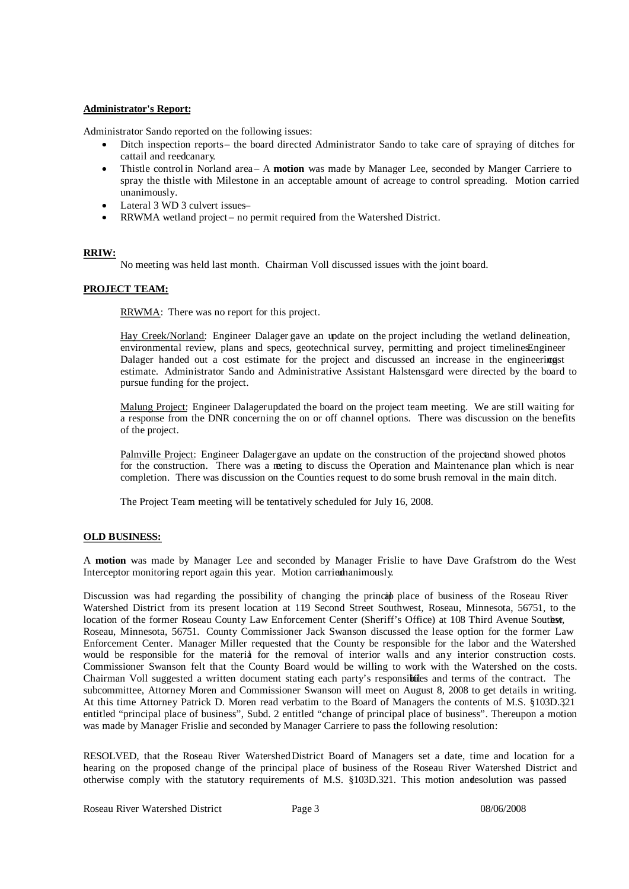### **Administrator's Report:**

Administrator Sando reported on the following issues:

- Ditch inspection reports– the board directed Administrator Sando to take care of spraying of ditches for cattail and reedcanary.
- Thistle controlin Norland area– A **motion** was made by Manager Lee, seconded by Manger Carriere to spray the thistle with Milestone in an acceptable amount of acreage to control spreading. Motion carried unanimously.
- Lateral 3 WD 3 culvert issues–
- RRWMA wetland project no permit required from the Watershed District.

# **RRIW:**

No meeting was held last month. Chairman Voll discussed issues with the joint board.

# **PROJECT TEAM:**

RRWMA: There was no report for this project.

Hay Creek/Norland: Engineer Dalager gave an update on the project including the wetland delineation, environmental review, plans and specs, geotechnical survey, permitting and project timelinesEngineer Dalager handed out a cost estimate for the project and discussed an increase in the engineeringst estimate. Administrator Sando and Administrative Assistant Halstensgard were directed by the board to pursue funding for the project.

Malung Project: Engineer Dalager updated the board on the project team meeting. We are still waiting for a response from the DNR concerning the on or off channel options. There was discussion on the benefits of the project.

Palmville Project: Engineer Dalagergave an update on the construction of the projectand showed photos for the construction. There was a meting to discuss the Operation and Maintenance plan which is near completion. There was discussion on the Counties request to do some brush removal in the main ditch.

The Project Team meeting will be tentatively scheduled for July 16, 2008.

# **OLD BUSINESS:**

A **motion** was made by Manager Lee and seconded by Manager Frislie to have Dave Grafstrom do the West Interceptor monitoring report again this year. Motion carried nanimously.

Discussion was had regarding the possibility of changing the principal place of business of the Roseau River Watershed District from its present location at 119 Second Street Southwest, Roseau, Minnesota, 56751, to the location of the former Roseau County Law Enforcement Center (Sheriff's Office) at 108 Third Avenue Southst, Roseau, Minnesota, 56751. County Commissioner Jack Swanson discussed the lease option for the former Law Enforcement Center. Manager Miller requested that the County be responsible for the labor and the Watershed would be responsible for the material for the removal of interior walls and any interior construction costs. Commissioner Swanson felt that the County Board would be willing to work with the Watershed on the costs. Chairman Voll suggested a written document stating each party's responsibiles and terms of the contract. The subcommittee, Attorney Moren and Commissioner Swanson will meet on August 8, 2008 to get details in writing. At this time Attorney Patrick D. Moren read verbatim to the Board of Managers the contents of M.S. §103D.32, 1 entitled "principal place of business", Subd. 2 entitled "change of principal place of business". Thereupon a motion was made by Manager Frislie and seconded by Manager Carriere to pass the following resolution:

RESOLVED, that the Roseau River WatershedDistrict Board of Managers set a date, time and location for a hearing on the proposed change of the principal place of business of the Roseau River Watershed District and otherwise comply with the statutory requirements of M.S. §103D.321. This motion andresolution was passed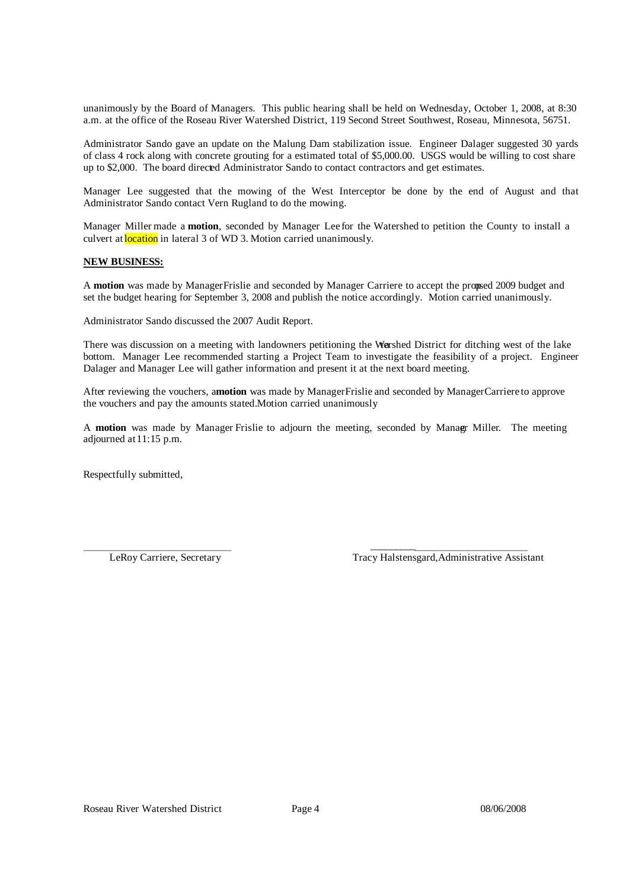unanimously by the Board of Managers. This public hearing shall be held on Wednesday, October 1, 2008, at 8:30 a.m. at the office of the Roseau River Watershed District, 119 Second Street Southwest, Roseau, Minnesota, 5675 1.

Administrator Sando gave an update on the Malung Dam stabilization issue. Engineer Dalager suggested 30 yards of class 4 rock along with concrete grouting for a estimated total of \$5,000.00. USGS would be willing to cost share up to \$2,000. The board directed Administrator Sando to contact contractors and get estimates.

Manager Lee suggested that the mowing of the West Interceptor be done by the end of August and that Administrator Sando contact Vern Rugland to do the mowing.

Manager Miller made a **motion**, seconded by Manager Lee for the Watershed to petition the County to install a culvert at **location** in lateral 3 of WD 3. Motion carried unanimously.

### **NEW BUSINESS:**

A motion was made by ManagerFrislie and seconded by Manager Carriere to accept the propsed 2009 budget and set the budget hearing for September 3, 2008 and publish the notice accordingly. Motion carried unanimously.

Administrator Sando discussed the 2007 Audit Report.

There was discussion on a meeting with landowners petitioning the Wershed District for ditching west of the lake bottom. Manager Lee recommended starting a Project Team to investigate the feasibility of a project. Engineer Dalager and Manager Lee will gather information and present it at the next board meeting.

After reviewing the vouchers, a**motion** was made by ManagerFrislie and seconded by ManagerCarriere to approve the vouchers and pay the amounts stated.Motion carried unanimously.

A **motion** was made by Manager Frislie to adjourn the meeting, seconded by Managr Miller. The meeting adjourned at 11:15 p.m.

Respectfully submitted,

 $\mathcal{L}_\text{max}$  and  $\mathcal{L}_\text{max}$  and  $\mathcal{L}_\text{max}$ LeRoy Carriere, Secretary Tracy Halstensgard,Administrative Assistant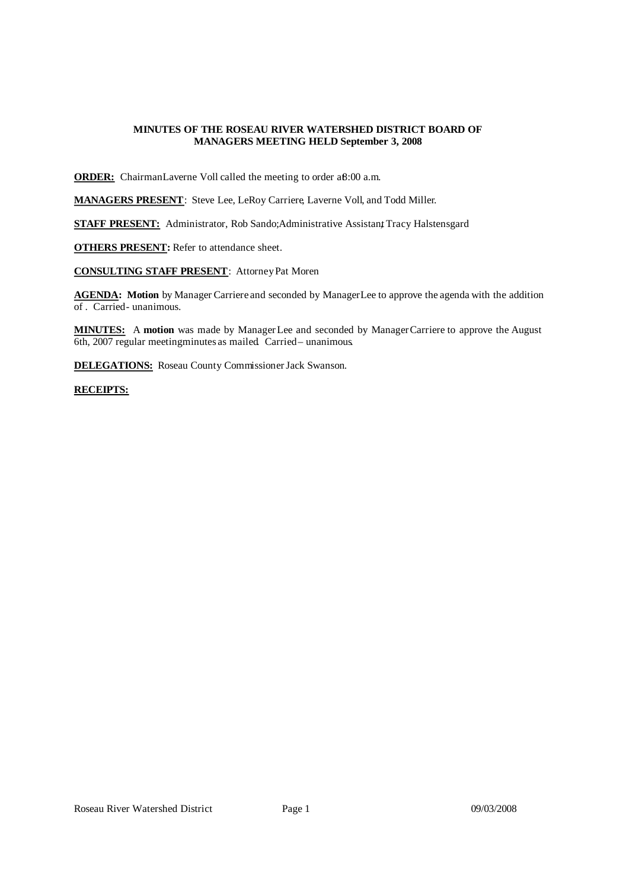# **MINUTES OF THE ROSEAU RIVER WATERSHED DISTRICT BOARD OF MANAGERS MEETING HELD September 3, 2008**

**ORDER:** ChairmanLaverne Voll called the meeting to order a 8:00 a.m.

**MANAGERS PRESENT**: Steve Lee, LeRoy Carriere, Laverne Voll, and Todd Miller.

**STAFF PRESENT:** Administrator, Rob Sando; Administrative Assistant Tracy Halstensgard

**OTHERS PRESENT:** Refer to attendance sheet.

**CONSULTING STAFF PRESENT**: Attorney Pat Moren

**AGENDA: Motion** by ManagerCarriere and seconded by ManagerLee to approve the agenda with the addition of . Carried- unanimous.

**MINUTES:** A **motion** was made by ManagerLee and seconded by ManagerCarriere to approve the August 6th, 2007 regular meeting minutes as mailed Carried – unanimous.

**DELEGATIONS:** Roseau County Commissioner Jack Swanson.

### **RECEIPTS:**

| <b>Receipts -- Memo</b>      |      | <b>Balancel</b> |
|------------------------------|------|-----------------|
| Interest -- Checking account | - 11 | $\sim$<br>ں ے.  |
|                              |      | 227.26          |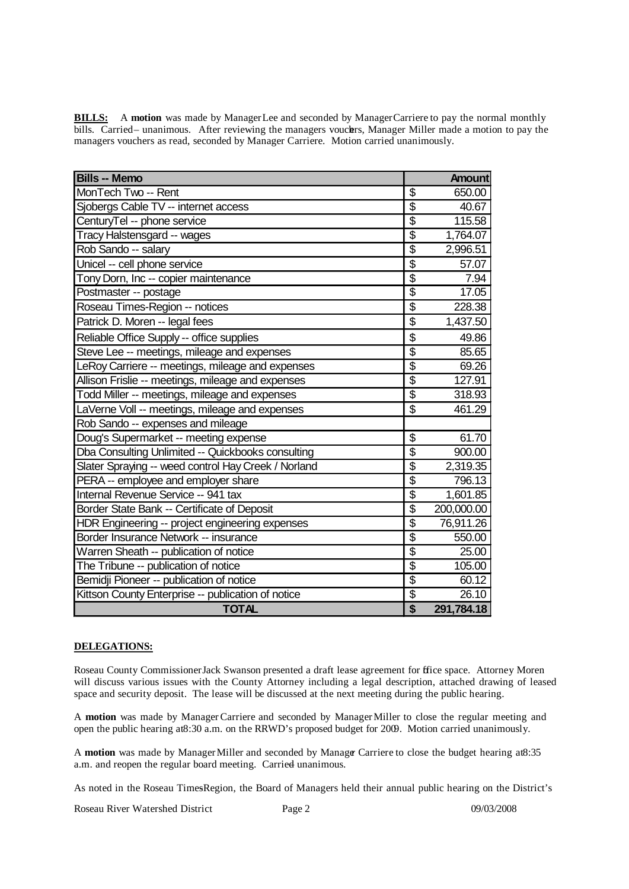**BILLS:** A motion was made by ManagerLee and seconded by ManagerCarriere to pay the normal monthly bills. Carried– unanimous. After reviewing the managers vouchers, Manager Miller made a motion to pay the managers vouchers as read, seconded by Manager Carriere. Motion carried unanimously.

| <b>Bills -- Memo</b>                                |                                  | <b>Amount</b> |
|-----------------------------------------------------|----------------------------------|---------------|
| MonTech Two -- Rent                                 | $\overline{\boldsymbol{\theta}}$ | 650.00        |
| Sjobergs Cable TV -- internet access                | $\overline{\mathcal{S}}$         | 40.67         |
| CenturyTel -- phone service                         | $\overline{\$}$                  | 115.58        |
| Tracy Halstensgard -- wages                         | $\overline{\$}$                  | 1,764.07      |
| Rob Sando -- salary                                 | \$                               | 2,996.51      |
| Unicel -- cell phone service                        | \$                               | 57.07         |
| Tony Dorn, Inc -- copier maintenance                | $\overline{\mathcal{S}}$         | 7.94          |
| Postmaster -- postage                               | $\overline{\mathcal{S}}$         | 17.05         |
| Roseau Times-Region -- notices                      | $\overline{\$}$                  | 228.38        |
| Patrick D. Moren -- legal fees                      | \$                               | 1,437.50      |
| Reliable Office Supply -- office supplies           | \$                               | 49.86         |
| Steve Lee -- meetings, mileage and expenses         | $\overline{\$}$                  | 85.65         |
| LeRoy Carriere -- meetings, mileage and expenses    | $\overline{\$}$                  | 69.26         |
| Allison Frislie -- meetings, mileage and expenses   | $\overline{\$}$                  | 127.91        |
| Todd Miller -- meetings, mileage and expenses       | $\overline{\$}$                  | 318.93        |
| LaVerne Voll -- meetings, mileage and expenses      | \$                               | 461.29        |
| Rob Sando -- expenses and mileage                   |                                  |               |
| Doug's Supermarket -- meeting expense               | \$                               | 61.70         |
| Dba Consulting Unlimited -- Quickbooks consulting   | $\overline{\$}$                  | 900.00        |
| Slater Spraying -- weed control Hay Creek / Norland | $\overline{\$}$                  | 2,319.35      |
| PERA -- employee and employer share                 | $\overline{\mathcal{S}}$         | 796.13        |
| Internal Revenue Service -- 941 tax                 | $\overline{\$}$                  | 1,601.85      |
| Border State Bank -- Certificate of Deposit         | \$                               | 200,000.00    |
| HDR Engineering -- project engineering expenses     | $\overline{\$}$                  | 76,911.26     |
| Border Insurance Network -- insurance               | \$                               | 550.00        |
| Warren Sheath -- publication of notice              | $\overline{\$}$                  | 25.00         |
| The Tribune -- publication of notice                | $\overline{\$}$                  | 105.00        |
| Bemidji Pioneer -- publication of notice            | $\overline{\$}$                  | 60.12         |
| Kittson County Enterprise -- publication of notice  | $\overline{\$}$                  | 26.10         |
| <b>TOTAL</b>                                        | $\overline{\$}$                  | 291,784.18    |

# **DELEGATIONS:**

Roseau County Commissioner Jack Swanson presented a draft lease agreement for ffice space. Attorney Moren will discuss various issues with the County Attorney including a legal description, attached drawing of leased space and security deposit. The lease will be discussed at the next meeting during the public hearing.

A **motion** was made by ManagerCarriere and seconded by ManagerMiller to close the regular meeting and open the public hearing at 8:30 a.m. on the RRWD's proposed budget for 2009. Motion carried unanimously.

A **motion** was made by Manager Miller and seconded by Manager Carriere to close the budget hearing at8:35 a.m. and reopen the regular board meeting. Carried unanimous.

As noted in the Roseau TimesRegion, the Board of Managers held their annual public hearing on the District's

Roseau River Watershed District Page 2 09/03/2008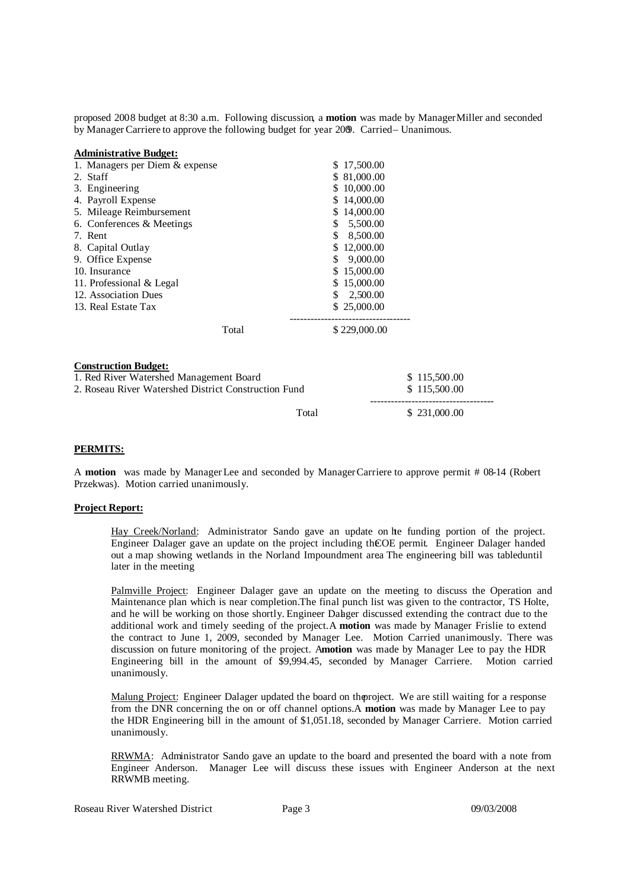proposed 2008 budget at 8:30 a.m. Following discussion, a **motion** was made by ManagerMiller and seconded by ManagerCarriere to approve the following budget for year 2009. Carried – Unanimous.

| <b>Administrative Budget:</b>                                                                                                  |                 |                              |
|--------------------------------------------------------------------------------------------------------------------------------|-----------------|------------------------------|
| 1. Managers per Diem & expense                                                                                                 | 17,500.00<br>\$ |                              |
| 2. Staff                                                                                                                       | \$ 81,000.00    |                              |
| 3. Engineering                                                                                                                 | 10,000.00       |                              |
| 4. Payroll Expense                                                                                                             | 14,000.00       |                              |
| 5. Mileage Reimbursement                                                                                                       | 14,000.00<br>S. |                              |
| 6. Conferences & Meetings                                                                                                      | 5,500.00<br>S   |                              |
| 7. Rent                                                                                                                        | 8,500.00        |                              |
| 8. Capital Outlay                                                                                                              | \$12,000.00     |                              |
| 9. Office Expense                                                                                                              | 9,000.00<br>S   |                              |
| 10. Insurance                                                                                                                  | 15,000.00       |                              |
| 11. Professional & Legal                                                                                                       | \$15,000.00     |                              |
| 12. Association Dues                                                                                                           | 2,500.00<br>S   |                              |
| 13. Real Estate Tax                                                                                                            | \$25,000.00     |                              |
| Total                                                                                                                          | \$229,000.00    |                              |
| <b>Construction Budget:</b><br>1. Red River Watershed Management Board<br>2. Roseau River Watershed District Construction Fund |                 | \$115,500.00<br>\$115,500.00 |
|                                                                                                                                | Total           | \$231,000.00                 |

# **PERMITS:**

A **motion** was made by ManagerLee and seconded by ManagerCarriere to approve permit # 08-14 (Robert Przekwas). Motion carried unanimously.

### **Project Report:**

Hay Creek/Norland: Administrator Sando gave an update on hte funding portion of the project. Engineer Dalager gave an update on the project including theCOE permit. Engineer Dalager handed out a map showing wetlands in the Norland Impoundment are.a The engineering bill was tableduntil later in the meeting.

Palmville Project: Engineer Dalager gave an update on the meeting to discuss the Operation and Maintenance plan which is near completion. The final punch list was given to the contractor, TS Holte, and he will be working on those shortly. Engineer Dalager discussed extending the contract due to the additional work and timely seeding of the project. A motion was made by Manager Frislie to extend the contract to June 1, 2009, seconded by Manager Lee. Motion Carried unanimously. There was discussion on future monitoring of the project. A**motion** was made by Manager Lee to pay the HDR Engineering bill in the amount of \$9,994.45, seconded by Manager Carriere. Motion carried unanimously.

Malung Project: Engineer Dalager updated the board on theproject. We are still waiting for a response from the DNR concerning the on or off channel options.A **motion** was made by Manager Lee to pay the HDR Engineering bill in the amount of \$1,051.18, seconded by Manager Carriere. Motion carried unanimously.

RRWMA: Administrator Sando gave an update to the board and presented the board with a note from Engineer Anderson. Manager Lee will discuss these issues with Engineer Anderson at the next RRWMB meeting.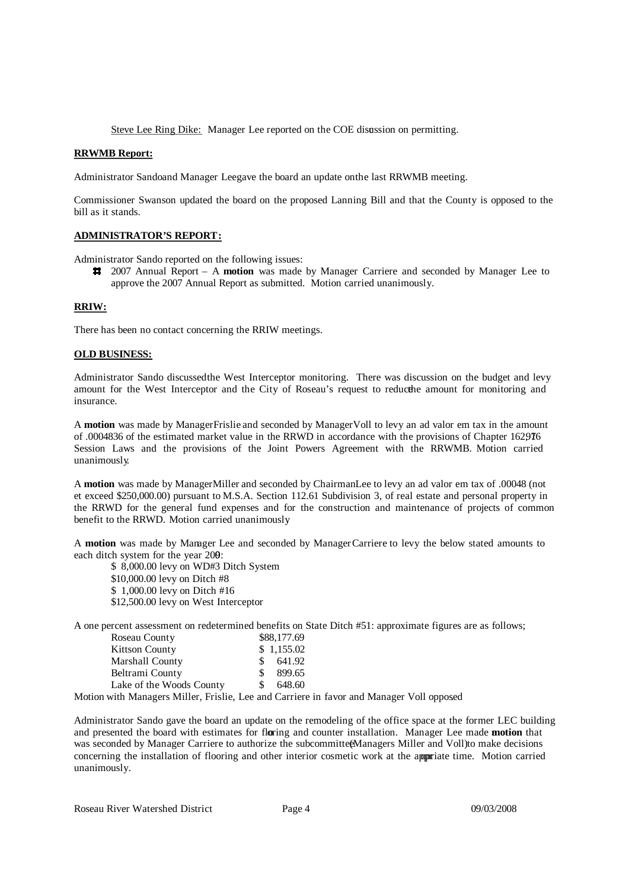Steve Lee Ring Dike: Manager Lee reported on the COE disussion on permitting.

### **RRWMB Report:**

Administrator Sandoand Manager Leegave the board an update on the last RRWMB meeting.

Commissioner Swanson updated the board on the proposed Lanning Bill and that the County is opposed to the bill as it stands.

### **ADMINISTRATOR'S REPORT:**

Administrator Sando reported on the following issues:

2007 Annual Report – A **motion** was made by Manager Carriere and seconded by Manager Lee to approve the 2007 Annual Report as submitted. Motion carried unanimously.

# **RRIW:**

There has been no contact concerning the RRIW meetings.

### **OLD BUSINESS:**

Administrator Sando discussedthe West Interceptor monitoring. There was discussion on the budget and levy amount for the West Interceptor and the City of Roseau's request to reducthe e amount for monitoring and insurance.

A **motion** was made by ManagerFrislie and seconded by ManagerVoll to levy an ad valor em tax in the amount of .0004836 of the estimated market value in the RRWD in accordance with the provisions of Chapter 162,976 1 Session Laws and the provisions of the Joint Powers Agreement with the RRWMB. Motion carried unanimously.

A **motion** was made by ManagerMiller and seconded by ChairmanLee to levy an ad valor em tax of .00048 (not et exceed \$250,000.00) pursuant to M.S.A. Section 112.61 Subdivision 3, of real estate and personal property in the RRWD for the general fund expenses and for the construction and maintenance of projects of common benefit to the RRWD. Motion carried unanimously.

A **motion** was made by Manager Lee and seconded by ManagerCarriere to levy the below stated amounts to each ditch system for the year 200:

\$ 8,000.00 levy on WD#3 Ditch System \$10,000.00 levy on Ditch #8 \$ 1,000.00 levy on Ditch #16 \$12,500.00 levy on West Interceptor

A one percent assessment on redetermined benefits on State Ditch #51: approximate figures are as follows;

| Roseau County            |    | \$88,177.69 |
|--------------------------|----|-------------|
| <b>Kittson County</b>    |    | \$1,155.02  |
| Marshall County          |    | 641.92      |
| Beltrami County          | S. | 899.65      |
| Lake of the Woods County |    | 648.60      |

Motion with Managers Miller, Frislie, Lee and Carriere in favor and Manager Voll opposed.

Administrator Sando gave the board an update on the remodeling of the office space at the former LEC building and presented the board with estimates for floring and counter installation. Manager Lee made **motion** that was seconded by Manager Carriere to authorize the subcommittee Managers Miller and Voll)to make decisions concerning the installation of flooring and other interior cosmetic work at the appriate time. Motion carried unanimously.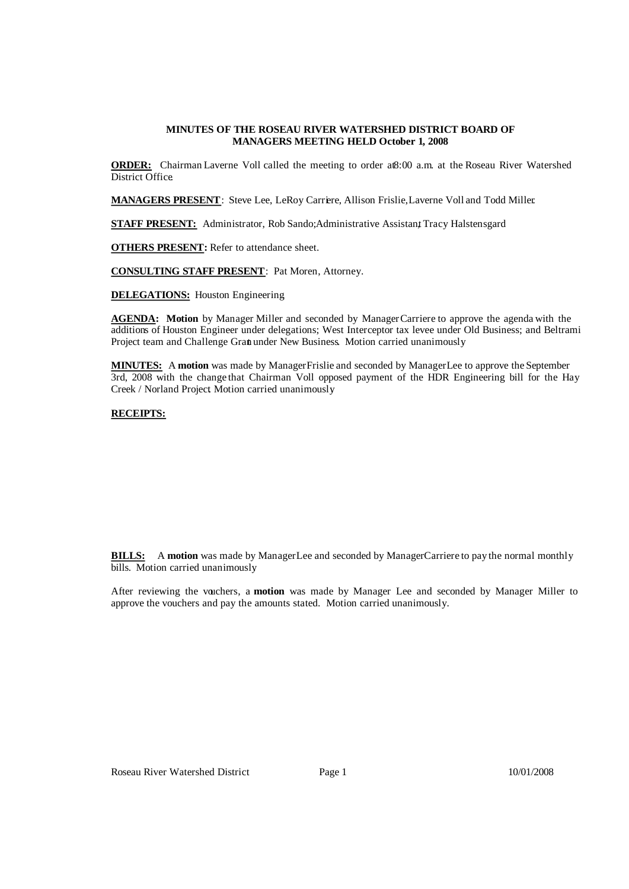### **MINUTES OF THE ROSEAU RIVER WATERSHED DISTRICT BOARD OF MANAGERS MEETING HELD October 1, 2008**

**ORDER:** Chairman Laverne Voll called the meeting to order at8:00 a.m. at the Roseau River Watershed District Office.

**MANAGERS PRESENT**: Steve Lee, LeRoy Carriere, Allison Frislie, Laverne Voll and Todd Miller.

**STAFF PRESENT:** Administrator, Rob Sando; Administrative Assistant Tracy Halstensgard

**OTHERS PRESENT:** Refer to attendance sheet.

**CONSULTING STAFF PRESENT**: Pat Moren, Attorney.

**DELEGATIONS:** Houston Engineering.

AGENDA: Motion by Manager Miller and seconded by Manager Carriere to approve the agenda with the additions of Houston Engineer under delegations; West Interceptor tax levee under Old Business; and Beltrami Project team and Challenge Grant under New Business. Motion carried unanimously.

**MINUTES:** A **motion** was made by ManagerFrislie and seconded by ManagerLee to approve the September 3rd, 2008 with the change that Chairman Voll opposed payment of the HDR Engineering bill for the Hay Creek / Norland Project. Motion carried unanimously.

# **RECEIPTS:**

| <b>Receipts -- Memo</b>                       |    | <b>Balance</b> |
|-----------------------------------------------|----|----------------|
| Interest -- Checking account                  |    | 177.16         |
| City of Warroad -- discharge fee              | \$ | 1,800.00       |
| State of Minnesota -- Palmville reimbursement | S. | 118,094.78     |
| <b>RRWMB</b> -- Project Team reimbursement    | \$ | 5,000.00       |
|                                               |    | 125,071.94     |

**BILLS:** A motion was made by ManagerLee and seconded by ManagerCarriere to pay the normal monthly bills. Motion carried unanimously.

After reviewing the vouchers, a **motion** was made by Manager Lee and seconded by Manager Miller to approve the vouchers and pay the amounts stated. Motion carried unanimously.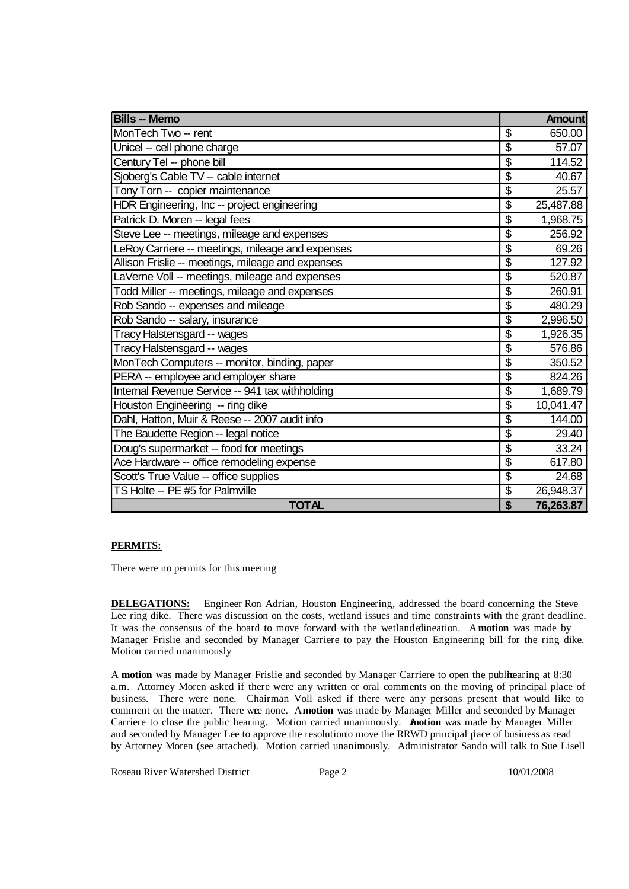| <b>Bills -- Memo</b>                              |                                      | <b>Amount</b> |
|---------------------------------------------------|--------------------------------------|---------------|
| MonTech Two -- rent                               | \$                                   | 650.00        |
| Unicel -- cell phone charge                       | $\overline{\mathcal{S}}$             | 57.07         |
| Century Tel -- phone bill                         | \$                                   | 114.52        |
| Sjoberg's Cable TV -- cable internet              | \$                                   | 40.67         |
| Tony Torn -- copier maintenance                   | $\overline{\mathcal{S}}$             | 25.57         |
| HDR Engineering, Inc -- project engineering       | \$                                   | 25,487.88     |
| Patrick D. Moren -- legal fees                    | \$                                   | 1,968.75      |
| Steve Lee -- meetings, mileage and expenses       | $\overline{\mathcal{S}}$             | 256.92        |
| LeRoy Carriere -- meetings, mileage and expenses  | \$                                   | 69.26         |
| Allison Frislie -- meetings, mileage and expenses | $\overline{\boldsymbol{\mathsf{S}}}$ | 127.92        |
| LaVerne Voll -- meetings, mileage and expenses    | \$                                   | 520.87        |
| Todd Miller -- meetings, mileage and expenses     | \$                                   | 260.91        |
| Rob Sando -- expenses and mileage                 | $\overline{\boldsymbol{\mathsf{S}}}$ | 480.29        |
| Rob Sando -- salary, insurance                    | $\overline{\boldsymbol{\theta}}$     | 2,996.50      |
| Tracy Halstensgard -- wages                       | \$                                   | 1,926.35      |
| Tracy Halstensgard -- wages                       | \$                                   | 576.86        |
| MonTech Computers -- monitor, binding, paper      | $\overline{\boldsymbol{\mathsf{S}}}$ | 350.52        |
| PERA -- employee and employer share               | $\overline{\mathcal{S}}$             | 824.26        |
| Internal Revenue Service -- 941 tax withholding   | \$                                   | 1,689.79      |
| Houston Engineering -- ring dike                  | $\overline{\mathbb{S}}$              | 10,041.47     |
| Dahl, Hatton, Muir & Reese -- 2007 audit info     | \$                                   | 144.00        |
| The Baudette Region -- legal notice               | $\overline{\$}$                      | 29.40         |
| Doug's supermarket -- food for meetings           | \$                                   | 33.24         |
| Ace Hardware -- office remodeling expense         | \$                                   | 617.80        |
| Scott's True Value -- office supplies             | $\overline{\$}$                      | 24.68         |
| TS Holte -- PE #5 for Palmville                   | \$                                   | 26,948.37     |
| <b>TOTAL</b>                                      | \$                                   | 76,263.87     |

# **PERMITS:**

There were no permits for this meeting

**DELEGATIONS:** Engineer Ron Adrian, Houston Engineering, addressed the board concerning the Steve Lee ring dike. There was discussion on the costs, wetland issues and time constraints with the grant deadline. It was the consensus of the board to move forward with the wetlandedlineation. A**motion** was made by Manager Frislie and seconded by Manager Carriere to pay the Houston Engineering bill for the ring dike. Motion carried unanimously

A motion was made by Manager Frislie and seconded by Manager Carriere to open the publicaring at 8:30 a.m. Attorney Moren asked if there were any written or oral comments on the moving of principal place of business. There were none. Chairman Voll asked if there were any persons present that would like to comment on the matter. There wee none. Amotion was made by Manager Miller and seconded by Manager Carriere to close the public hearing. Motion carried unanimously. A**motion** was made by Manager Miller and seconded by Manager Lee to approve the resolutionto move the RRWD principal place of business as read by Attorney Moren (see attached). Motion carried unanimously. Administrator Sando will talk to Sue Lisell

Roseau River Watershed District Page 2 10/01/2008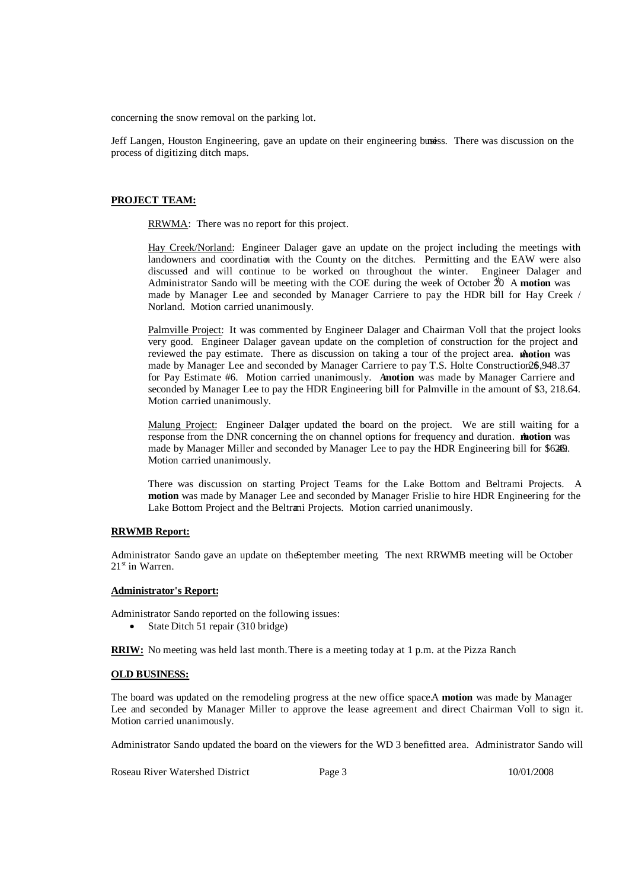concerning the snow removal on the parking lot.

Jeff Langen, Houston Engineering, gave an update on their engineering busiss. There was discussion on the process of digitizing ditch maps.

### **PROJECT TEAM:**

RRWMA: There was no report for this project.

Hay Creek/Norland: Engineer Dalager gave an update on the project including the meetings with landowners and coordination with the County on the ditches. Permitting and the EAW were also discussed and will continue to be worked on throughout the winter. Engineer Dalager and Administrator Sando will be meeting with the COE during the week of October 20 A motion was made by Manager Lee and seconded by Manager Carriere to pay the HDR bill for Hay Creek / Norland. Motion carried unanimously.

Palmville Project: It was commented by Engineer Dalager and Chairman Voll that the project looks very good. Engineer Dalager gavean update on the completion of construction for the project and reviewed the pay estimate. There as discussion on taking a tour of the project area. **motion** was made by Manager Lee and seconded by Manager Carriere to pay T.S. Holte Construction26\$,948.37 for Pay Estimate #6. Motion carried unanimously. A**motion** was made by Manager Carriere and seconded by Manager Lee to pay the HDR Engineering bill for Palmville in the amount of \$3, 218.64. Motion carried unanimously.

Malung Project: Engineer Dalager updated the board on the project. We are still waiting for a response from the DNR concerning the on channel options for frequency and duration. **Anotion** was made by Manager Miller and seconded by Manager Lee to pay the HDR Engineering bill for \$628. Motion carried unanimously.

There was discussion on starting Project Teams for the Lake Bottom and Beltrami Projects. A **motion** was made by Manager Lee and seconded by Manager Frislie to hire HDR Engineering for the Lake Bottom Project and the Beltrami Projects. Motion carried unanimously.

### **RRWMB Report:**

Administrator Sando gave an update on theSeptember meeting. The next RRWMB meeting will be October 21<sup>st</sup> in Warren.

### **Administrator's Report:**

Administrator Sando reported on the following issues:

State Ditch 51 repair (310 bridge)

**RRIW:** No meeting was held last month. There is a meeting today at 1 p.m. at the Pizza Ranch.

### **OLD BUSINESS:**

The board was updated on the remodeling progress at the new office space.A **motion** was made by Manager Lee and seconded by Manager Miller to approve the lease agreement and direct Chairman Voll to sign it. Motion carried unanimously.

Administrator Sando updated the board on the viewers for the WD 3 benefitted area. Administrator Sando will

Roseau River Watershed District Page 3 10/01/2008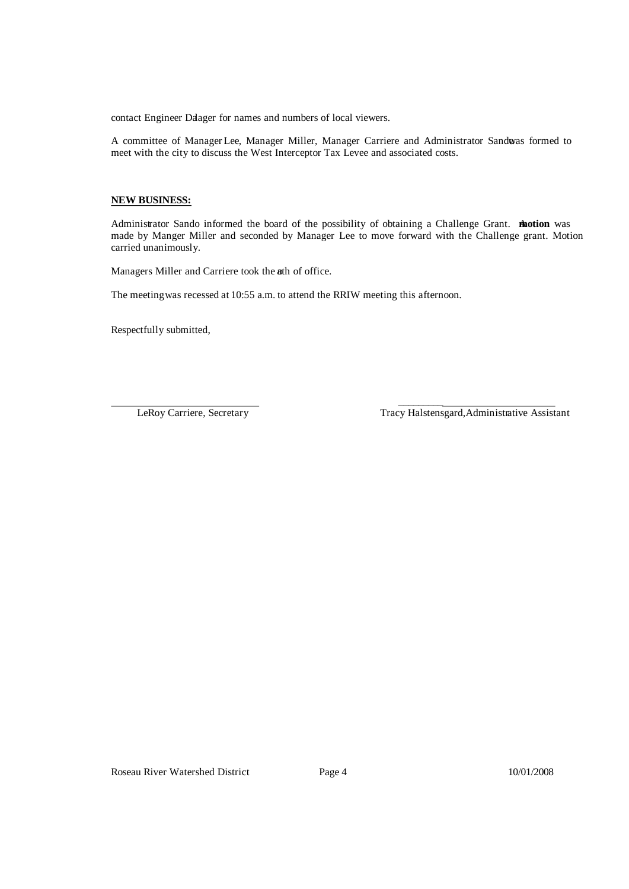contact Engineer Daager for names and numbers of local viewers.

A committee of ManagerLee, Manager Miller, Manager Carriere and Administrator Sandowas formed to meet with the city to discuss the West Interceptor Tax Levee and associated costs.

### **NEW BUSINESS:**

Administrator Sando informed the board of the possibility of obtaining a Challenge Grant. **motion** was made by Manger Miller and seconded by Manager Lee to move forward with the Challenge grant. Motion carried unanimously.

 $\frac{1}{2}$  ,  $\frac{1}{2}$  ,  $\frac{1}{2}$  ,  $\frac{1}{2}$  ,  $\frac{1}{2}$  ,  $\frac{1}{2}$  ,  $\frac{1}{2}$  ,  $\frac{1}{2}$ 

Managers Miller and Carriere took the ath of office.

The meeting was recessed at 10:55 a.m. to attend the RRIW meeting this afternoon.

Respectfully submitted,

LeRoy Carriere, Secretary Tracy Halstensgard,Administrative Assistant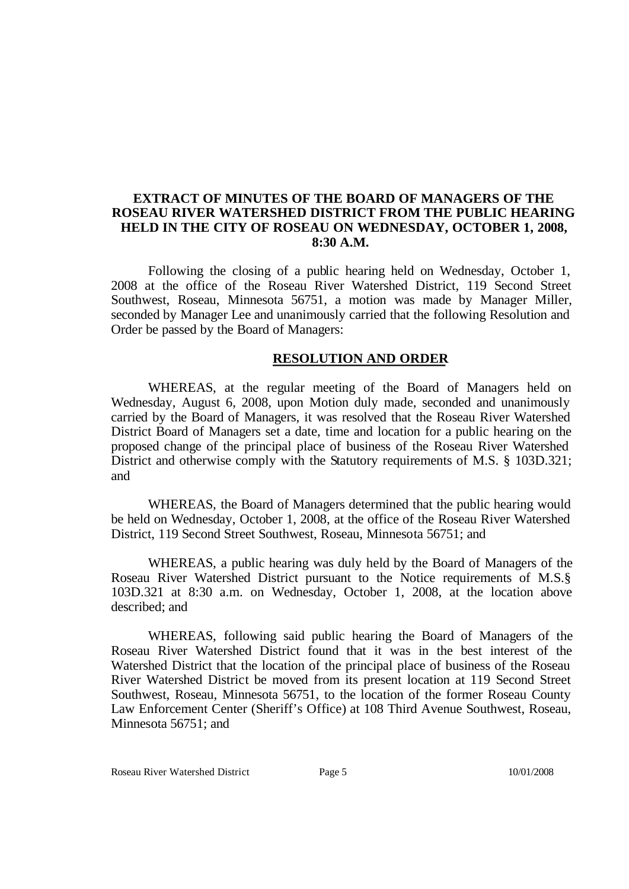# **EXTRACT OF MINUTES OF THE BOARD OF MANAGERS OF THE ROSEAU RIVER WATERSHED DISTRICT FROM THE PUBLIC HEARING HELD IN THE CITY OF ROSEAU ON WEDNESDAY, OCTOBER 1, 2008, 8:30 A.M.**

Following the closing of a public hearing held on Wednesday, October 1, 2008 at the office of the Roseau River Watershed District, 119 Second Street Southwest, Roseau, Minnesota 56751, a motion was made by Manager Miller, seconded by Manager Lee and unanimously carried that the following Resolution and Order be passed by the Board of Managers:

# **RESOLUTION AND ORDER**

WHEREAS, at the regular meeting of the Board of Managers held on Wednesday, August 6, 2008, upon Motion duly made, seconded and unanimously carried by the Board of Managers, it was resolved that the Roseau River Watershed District Board of Managers set a date, time and location for a public hearing on the proposed change of the principal place of business of the Roseau River Watershed District and otherwise comply with the Statutory requirements of M.S. § 103D.321; and

WHEREAS, the Board of Managers determined that the public hearing would be held on Wednesday, October 1, 2008, at the office of the Roseau River Watershed District, 119 Second Street Southwest, Roseau, Minnesota 56751; and

WHEREAS, a public hearing was duly held by the Board of Managers of the Roseau River Watershed District pursuant to the Notice requirements of M.S.§ 103D.321 at 8:30 a.m. on Wednesday, October 1, 2008, at the location above described; and

WHEREAS, following said public hearing the Board of Managers of the Roseau River Watershed District found that it was in the best interest of the Watershed District that the location of the principal place of business of the Roseau River Watershed District be moved from its present location at 119 Second Street Southwest, Roseau, Minnesota 56751, to the location of the former Roseau County Law Enforcement Center (Sheriff's Office) at 108 Third Avenue Southwest, Roseau, Minnesota 56751; and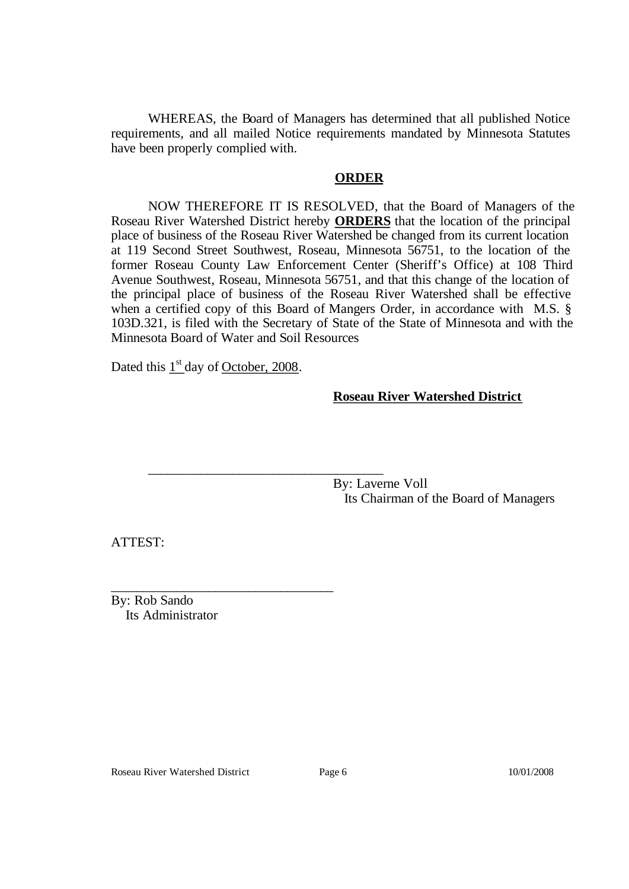WHEREAS, the Board of Managers has determined that all published Notice requirements, and all mailed Notice requirements mandated by Minnesota Statutes have been properly complied with.

# **ORDER**

NOW THEREFORE IT IS RESOLVED, that the Board of Managers of the Roseau River Watershed District hereby **ORDERS** that the location of the principal place of business of the Roseau River Watershed be changed from its current location at 119 Second Street Southwest, Roseau, Minnesota 56751, to the location of the former Roseau County Law Enforcement Center (Sheriff's Office) at 108 Third Avenue Southwest, Roseau, Minnesota 56751, and that this change of the location of the principal place of business of the Roseau River Watershed shall be effective when a certified copy of this Board of Mangers Order, in accordance with M.S. § 103D.321, is filed with the Secretary of State of the State of Minnesota and with the Minnesota Board of Water and Soil Resources

Dated this  $1<sup>st</sup>$  day of October, 2008.

\_\_\_\_\_\_\_\_\_\_\_\_\_\_\_\_\_\_\_\_\_\_\_\_\_\_\_\_\_\_\_\_\_\_

\_\_\_\_\_\_\_\_\_\_\_\_\_\_\_\_\_\_\_\_\_\_\_\_\_\_\_\_\_\_\_\_\_\_\_\_

# **Roseau River Watershed District**

By: Laverne Voll Its Chairman of the Board of Managers

ATTEST:

By: Rob Sando Its Administrator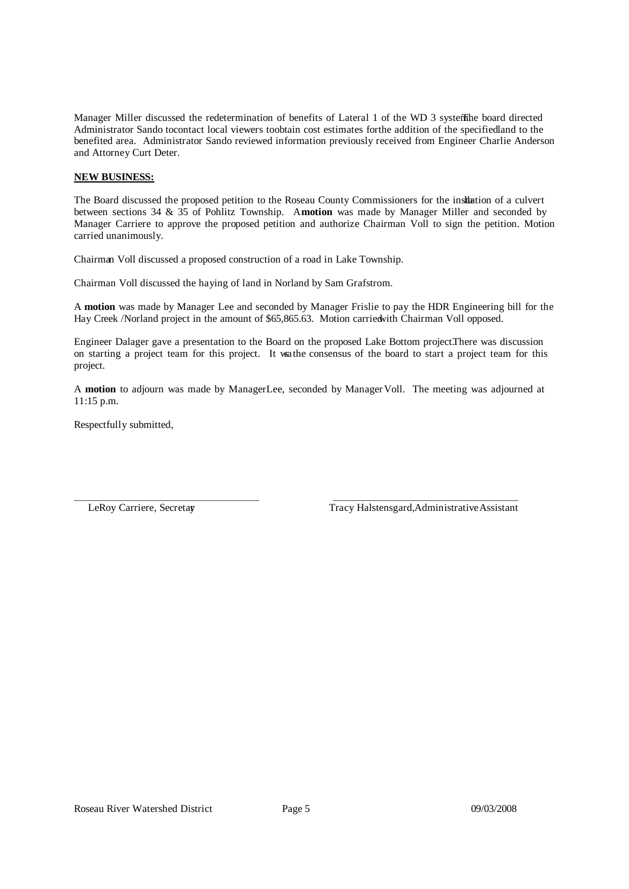Manager Miller discussed the redetermination of benefits of Lateral 1 of the WD 3 system. board directed Administrator Sando to contact local viewers toobtain cost estimates for the addition of the specifiedland to the benefited area. Administrator Sando reviewed information previously received from Engineer Charlie Anderson and Attorney Curt Deter.

# **NEW BUSINESS:**

The Board discussed the proposed petition to the Roseau County Commissioners for the insllation of a culvert between sections 34 & 35 of Pohlitz Township. A**motion** was made by Manager Miller and seconded by Manager Carriere to approve the proposed petition and authorize Chairman Voll to sign the petition. Motion carried unanimously.

Chairman Voll discussed a proposed construction of a road in Lake Township.

Chairman Voll discussed the haying of land in Norland by Sam Grafstrom.

A **motion** was made by Manager Lee and seconded by Manager Frislie to pay the HDR Engineering bill for the Hay Creek /Norland project in the amount of \$65,865.63. Motion carried with Chairman Voll opposed.

Engineer Dalager gave a presentation to the Board on the proposed Lake Bottom project. There was discussion on starting a project team for this project. It wsathe consensus of the board to start a project team for this project.

A **motion** to adjourn was made by ManagerLee, seconded by Manager Voll. The meeting was adjourned at 11:15 p.m.

Respectfully submitted,

LeRoy Carriere, Secretay Tracy Halstensgard, Administrative Assistant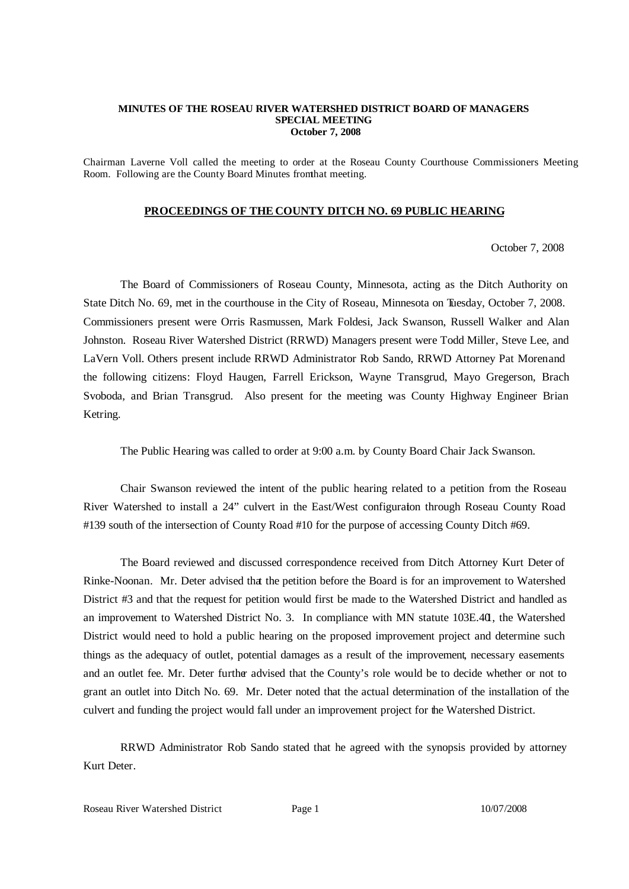### **MINUTES OF THE ROSEAU RIVER WATERSHED DISTRICT BOARD OF MANAGERS SPECIAL MEETING October 7, 2008**

Chairman Laverne Voll called the meeting to order at the Roseau County Courthouse Commissioners Meeting Room. Following are the County Board Minutes fromthat meeting.

### **PROCEEDINGS OF THE COUNTY DITCH NO. 69 PUBLIC HEARING**

October 7, 2008

The Board of Commissioners of Roseau County, Minnesota, acting as the Ditch Authority on State Ditch No. 69, met in the courthouse in the City of Roseau, Minnesota on Tuesday, October 7, 2008. Commissioners present were Orris Rasmussen, Mark Foldesi, Jack Swanson, Russell Walker and Alan Johnston. Roseau River Watershed District (RRWD) Managers present were Todd Miller, Steve Lee, and LaVern Voll. Others present include RRWD Administrator Rob Sando, RRWD Attorney Pat Morenand the following citizens: Floyd Haugen, Farrell Erickson, Wayne Transgrud, Mayo Gregerson, Brach Svoboda, and Brian Transgrud. Also present for the meeting was County Highway Engineer Brian Ketring.

The Public Hearing was called to order at 9:00 a.m. by County Board Chair Jack Swanson.

Chair Swanson reviewed the intent of the public hearing related to a petition from the Roseau River Watershed to install a 24" culvert in the East/West configuration through Roseau County Road #139 south of the intersection of County Road #10 for the purpose of accessing County Ditch #69.

The Board reviewed and discussed correspondence received from Ditch Attorney Kurt Deter of Rinke-Noonan. Mr. Deter advised that the petition before the Board is for an improvement to Watershed District #3 and that the request for petition would first be made to the Watershed District and handled as an improvement to Watershed District No. 3. In compliance with MN statute 103E.40, the Watershed District would need to hold a public hearing on the proposed improvement project and determine such things as the adequacy of outlet, potential damages as a result of the improvement, necessary easements and an outlet fee. Mr. Deter further advised that the County's role would be to decide whether or not to grant an outlet into Ditch No. 69. Mr. Deter noted that the actual determination of the installation of the culvert and funding the project would fall under an improvement project for the Watershed District.

RRWD Administrator Rob Sando stated that he agreed with the synopsis provided by attorney Kurt Deter.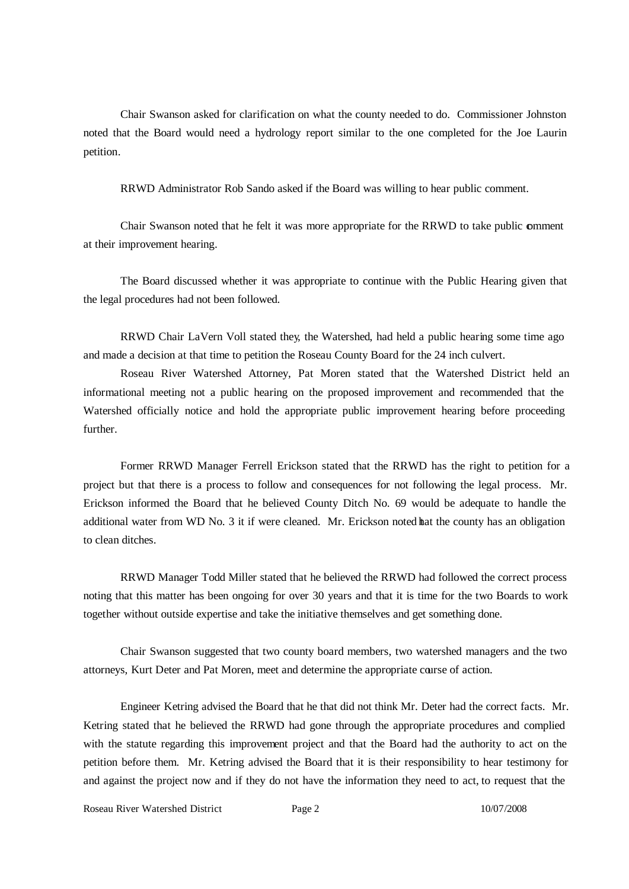Chair Swanson asked for clarification on what the county needed to do. Commissioner Johnston noted that the Board would need a hydrology report similar to the one completed for the Joe Laurin petition.

RRWD Administrator Rob Sando asked if the Board was willing to hear public comment.

Chair Swanson noted that he felt it was more appropriate for the RRWD to take public comment at their improvement hearing.

The Board discussed whether it was appropriate to continue with the Public Hearing given that the legal procedures had not been followed.

RRWD Chair LaVern Voll stated they, the Watershed, had held a public hearing some time ago and made a decision at that time to petition the Roseau County Board for the 24 inch culvert.

Roseau River Watershed Attorney, Pat Moren stated that the Watershed District held an informational meeting not a public hearing on the proposed improvement and recommended that the Watershed officially notice and hold the appropriate public improvement hearing before proceeding further.

Former RRWD Manager Ferrell Erickson stated that the RRWD has the right to petition for a project but that there is a process to follow and consequences for not following the legal process. Mr. Erickson informed the Board that he believed County Ditch No. 69 would be adequate to handle the additional water from WD No. 3 it if were cleaned. Mr. Erickson noted hat the county has an obligation to clean ditches.

RRWD Manager Todd Miller stated that he believed the RRWD had followed the correct process noting that this matter has been ongoing for over 30 years and that it is time for the two Boards to work together without outside expertise and take the initiative themselves and get something done.

Chair Swanson suggested that two county board members, two watershed managers and the two attorneys, Kurt Deter and Pat Moren, meet and determine the appropriate course of action.

Engineer Ketring advised the Board that he that did not think Mr. Deter had the correct facts. Mr. Ketring stated that he believed the RRWD had gone through the appropriate procedures and complied with the statute regarding this improvement project and that the Board had the authority to act on the petition before them. Mr. Ketring advised the Board that it is their responsibility to hear testimony for and against the project now and if they do not have the information they need to act, to request that the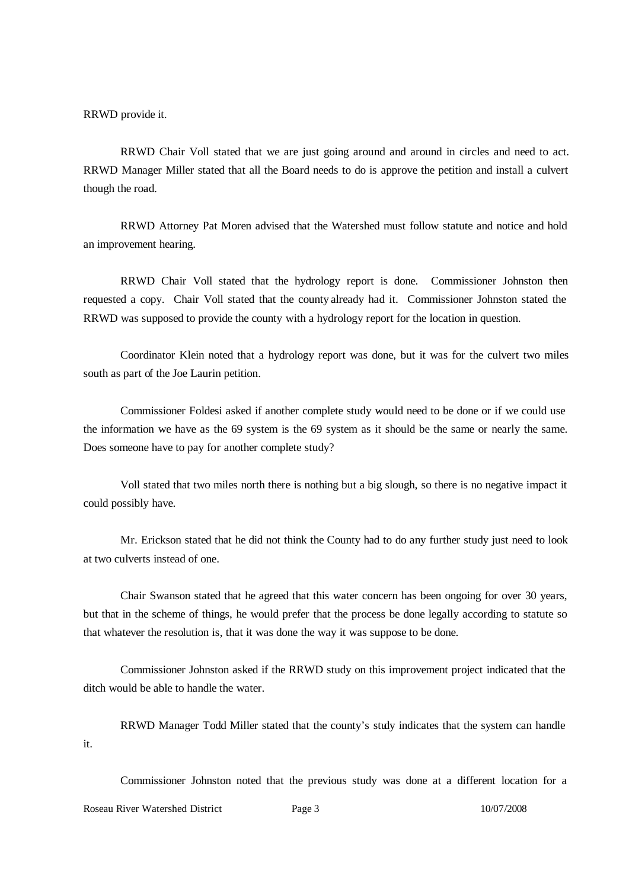RRWD provide it.

RRWD Chair Voll stated that we are just going around and around in circles and need to act. RRWD Manager Miller stated that all the Board needs to do is approve the petition and install a culvert though the road.

RRWD Attorney Pat Moren advised that the Watershed must follow statute and notice and hold an improvement hearing.

RRWD Chair Voll stated that the hydrology report is done. Commissioner Johnston then requested a copy. Chair Voll stated that the county already had it. Commissioner Johnston stated the RRWD was supposed to provide the county with a hydrology report for the location in question.

Coordinator Klein noted that a hydrology report was done, but it was for the culvert two miles south as part of the Joe Laurin petition.

Commissioner Foldesi asked if another complete study would need to be done or if we could use the information we have as the 69 system is the 69 system as it should be the same or nearly the same. Does someone have to pay for another complete study?

Voll stated that two miles north there is nothing but a big slough, so there is no negative impact it could possibly have.

Mr. Erickson stated that he did not think the County had to do any further study just need to look at two culverts instead of one.

Chair Swanson stated that he agreed that this water concern has been ongoing for over 30 years, but that in the scheme of things, he would prefer that the process be done legally according to statute so that whatever the resolution is, that it was done the way it was suppose to be done.

Commissioner Johnston asked if the RRWD study on this improvement project indicated that the ditch would be able to handle the water.

RRWD Manager Todd Miller stated that the county's study indicates that the system can handle it.

Commissioner Johnston noted that the previous study was done at a different location for a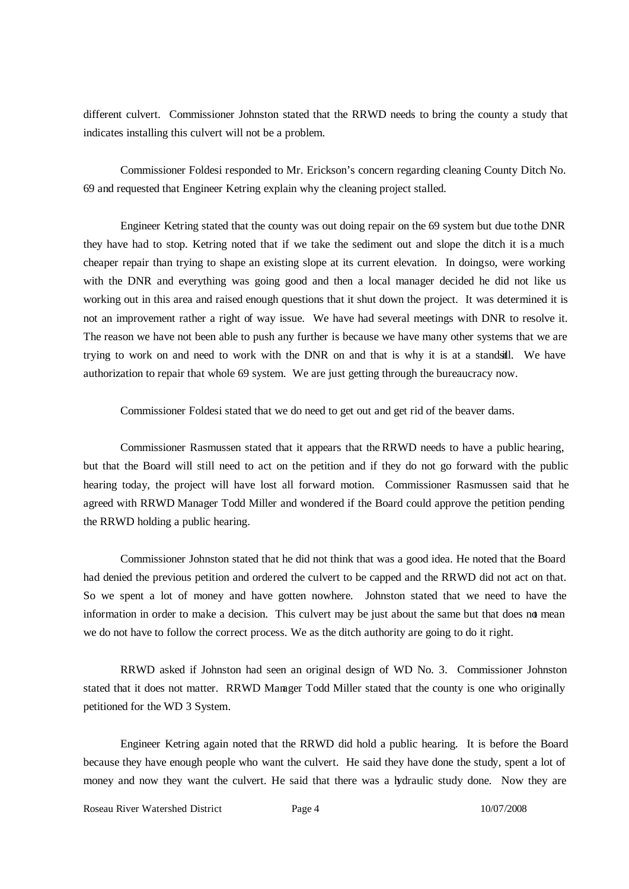different culvert. Commissioner Johnston stated that the RRWD needs to bring the county a study that indicates installing this culvert will not be a problem.

Commissioner Foldesi responded to Mr. Erickson's concern regarding cleaning County Ditch No. 69 and requested that Engineer Ketring explain why the cleaning project stalled.

Engineer Ketring stated that the county was out doing repair on the 69 system but due to the DNR they have had to stop. Ketring noted that if we take the sediment out and slope the ditch it is a much cheaper repair than trying to shape an existing slope at its current elevation. In doingso, were working with the DNR and everything was going good and then a local manager decided he did not like us working out in this area and raised enough questions that it shut down the project. It was determined it is not an improvement rather a right of way issue. We have had several meetings with DNR to resolve it. The reason we have not been able to push any further is because we have many other systems that we are trying to work on and need to work with the DNR on and that is why it is at a standstill. We have authorization to repair that whole 69 system. We are just getting through the bureaucracy now.

Commissioner Foldesi stated that we do need to get out and get rid of the beaver dams.

Commissioner Rasmussen stated that it appears that the RRWD needs to have a public hearing, but that the Board will still need to act on the petition and if they do not go forward with the public hearing today, the project will have lost all forward motion. Commissioner Rasmussen said that he agreed with RRWD Manager Todd Miller and wondered if the Board could approve the petition pending the RRWD holding a public hearing.

Commissioner Johnston stated that he did not think that was a good idea. He noted that the Board had denied the previous petition and ordered the culvert to be capped and the RRWD did not act on that. So we spent a lot of money and have gotten nowhere. Johnston stated that we need to have the information in order to make a decision. This culvert may be just about the same but that does not mean we do not have to follow the correct process. We as the ditch authority are going to do it right.

RRWD asked if Johnston had seen an original design of WD No. 3. Commissioner Johnston stated that it does not matter. RRWD Manager Todd Miller stated that the county is one who originally petitioned for the WD 3 System.

Engineer Ketring again noted that the RRWD did hold a public hearing. It is before the Board because they have enough people who want the culvert. He said they have done the study, spent a lot of money and now they want the culvert. He said that there was a hydraulic study done. Now they are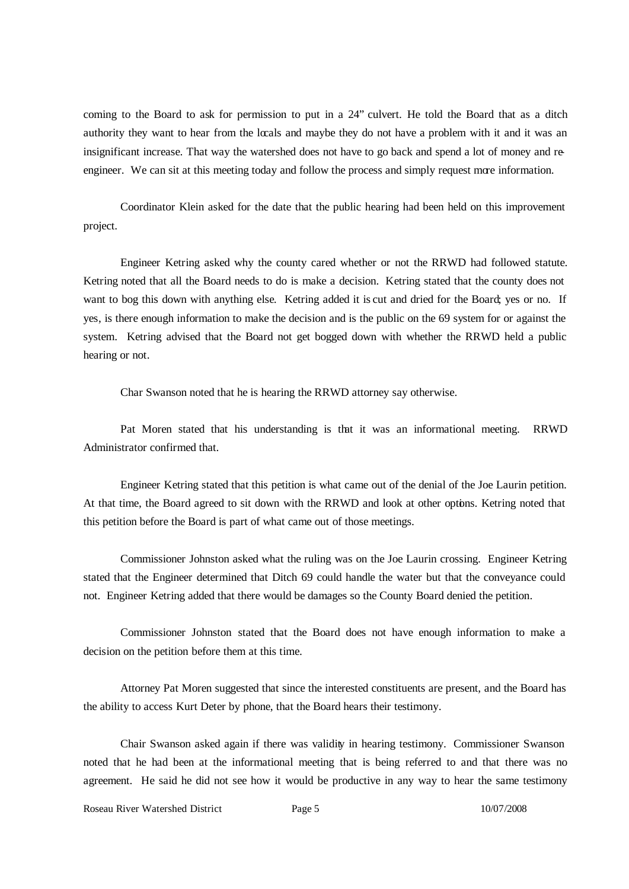coming to the Board to ask for permission to put in a 24" culvert. He told the Board that as a ditch authority they want to hear from the locals and maybe they do not have a problem with it and it was an insignificant increase. That way the watershed does not have to go back and spend a lot of money and reengineer. We can sit at this meeting today and follow the process and simply request more information.

Coordinator Klein asked for the date that the public hearing had been held on this improvement project.

Engineer Ketring asked why the county cared whether or not the RRWD had followed statute. Ketring noted that all the Board needs to do is make a decision. Ketring stated that the county does not want to bog this down with anything else. Ketring added it is cut and dried for the Board; yes or no. If yes, is there enough information to make the decision and is the public on the 69 system for or against the system. Ketring advised that the Board not get bogged down with whether the RRWD held a public hearing or not.

Char Swanson noted that he is hearing the RRWD attorney say otherwise.

Pat Moren stated that his understanding is that it was an informational meeting. RRWD Administrator confirmed that.

Engineer Ketring stated that this petition is what came out of the denial of the Joe Laurin petition. At that time, the Board agreed to sit down with the RRWD and look at other options. Ketring noted that this petition before the Board is part of what came out of those meetings.

Commissioner Johnston asked what the ruling was on the Joe Laurin crossing. Engineer Ketring stated that the Engineer determined that Ditch 69 could handle the water but that the conveyance could not. Engineer Ketring added that there would be damages so the County Board denied the petition.

Commissioner Johnston stated that the Board does not have enough information to make a decision on the petition before them at this time.

Attorney Pat Moren suggested that since the interested constituents are present, and the Board has the ability to access Kurt Deter by phone, that the Board hears their testimony.

Chair Swanson asked again if there was validity in hearing testimony. Commissioner Swanson noted that he had been at the informational meeting that is being referred to and that there was no agreement. He said he did not see how it would be productive in any way to hear the same testimony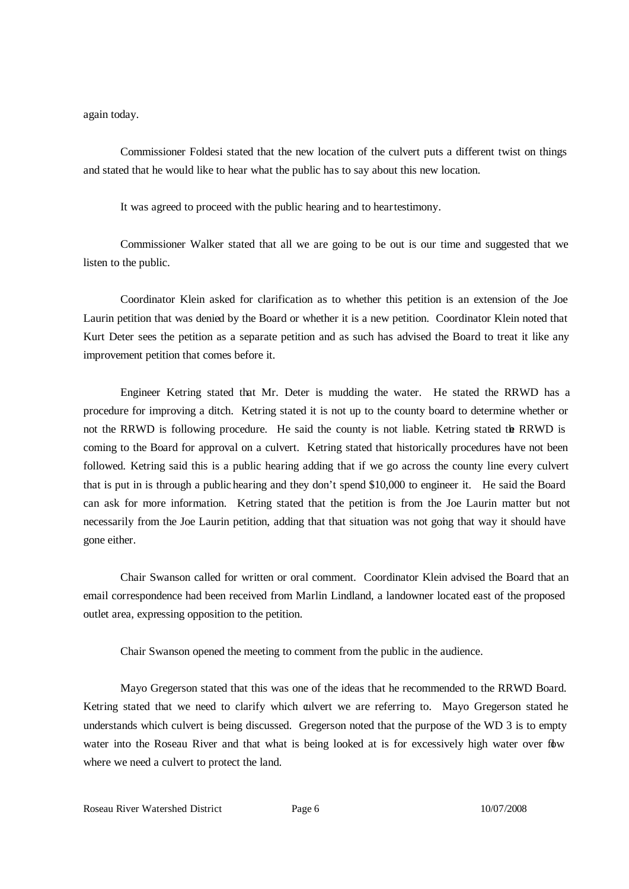again today.

Commissioner Foldesi stated that the new location of the culvert puts a different twist on things and stated that he would like to hear what the public has to say about this new location.

It was agreed to proceed with the public hearing and to hear testimony.

Commissioner Walker stated that all we are going to be out is our time and suggested that we listen to the public.

Coordinator Klein asked for clarification as to whether this petition is an extension of the Joe Laurin petition that was denied by the Board or whether it is a new petition. Coordinator Klein noted that Kurt Deter sees the petition as a separate petition and as such has advised the Board to treat it like any improvement petition that comes before it.

Engineer Ketring stated that Mr. Deter is mudding the water. He stated the RRWD has a procedure for improving a ditch. Ketring stated it is not up to the county board to determine whether or not the RRWD is following procedure. He said the county is not liable. Ketring stated the RRWD is coming to the Board for approval on a culvert. Ketring stated that historically procedures have not been followed. Ketring said this is a public hearing adding that if we go across the county line every culvert that is put in is through a public hearing and they don't spend \$10,000 to engineer it. He said the Board can ask for more information. Ketring stated that the petition is from the Joe Laurin matter but not necessarily from the Joe Laurin petition, adding that that situation was not going that way it should have gone either.

Chair Swanson called for written or oral comment. Coordinator Klein advised the Board that an email correspondence had been received from Marlin Lindland, a landowner located east of the proposed outlet area, expressing opposition to the petition.

Chair Swanson opened the meeting to comment from the public in the audience.

Mayo Gregerson stated that this was one of the ideas that he recommended to the RRWD Board. Ketring stated that we need to clarify which culvert we are referring to. Mayo Gregerson stated he understands which culvert is being discussed. Gregerson noted that the purpose of the WD 3 is to empty water into the Roseau River and that what is being looked at is for excessively high water over fow where we need a culvert to protect the land.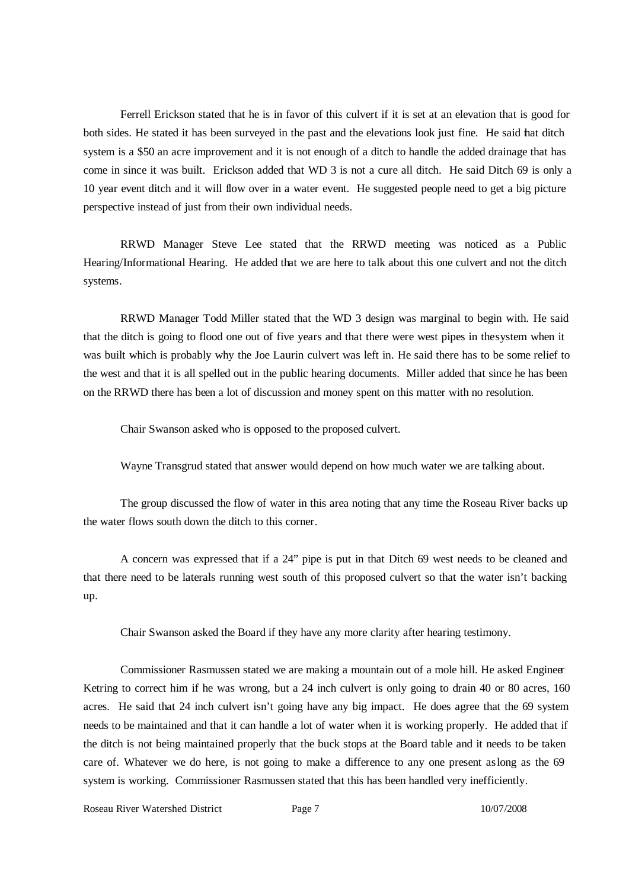Ferrell Erickson stated that he is in favor of this culvert if it is set at an elevation that is good for both sides. He stated it has been surveyed in the past and the elevations look just fine. He said that ditch system is a \$50 an acre improvement and it is not enough of a ditch to handle the added drainage that has come in since it was built. Erickson added that WD 3 is not a cure all ditch. He said Ditch 69 is only a 10 year event ditch and it will flow over in a water event. He suggested people need to get a big picture perspective instead of just from their own individual needs.

RRWD Manager Steve Lee stated that the RRWD meeting was noticed as a Public Hearing/Informational Hearing. He added that we are here to talk about this one culvert and not the ditch systems.

RRWD Manager Todd Miller stated that the WD 3 design was marginal to begin with. He said that the ditch is going to flood one out of five years and that there were west pipes in thesystem when it was built which is probably why the Joe Laurin culvert was left in. He said there has to be some relief to the west and that it is all spelled out in the public hearing documents. Miller added that since he has been on the RRWD there has been a lot of discussion and money spent on this matter with no resolution.

Chair Swanson asked who is opposed to the proposed culvert.

Wayne Transgrud stated that answer would depend on how much water we are talking about.

The group discussed the flow of water in this area noting that any time the Roseau River backs up the water flows south down the ditch to this corner.

A concern was expressed that if a 24" pipe is put in that Ditch 69 west needs to be cleaned and that there need to be laterals running west south of this proposed culvert so that the water isn't backing up.

Chair Swanson asked the Board if they have any more clarity after hearing testimony.

Commissioner Rasmussen stated we are making a mountain out of a mole hill. He asked Engineer Ketring to correct him if he was wrong, but a 24 inch culvert is only going to drain 40 or 80 acres, 160 acres. He said that 24 inch culvert isn't going have any big impact. He does agree that the 69 system needs to be maintained and that it can handle a lot of water when it is working properly. He added that if the ditch is not being maintained properly that the buck stops at the Board table and it needs to be taken care of. Whatever we do here, is not going to make a difference to any one present aslong as the 69 system is working. Commissioner Rasmussen stated that this has been handled very inefficiently.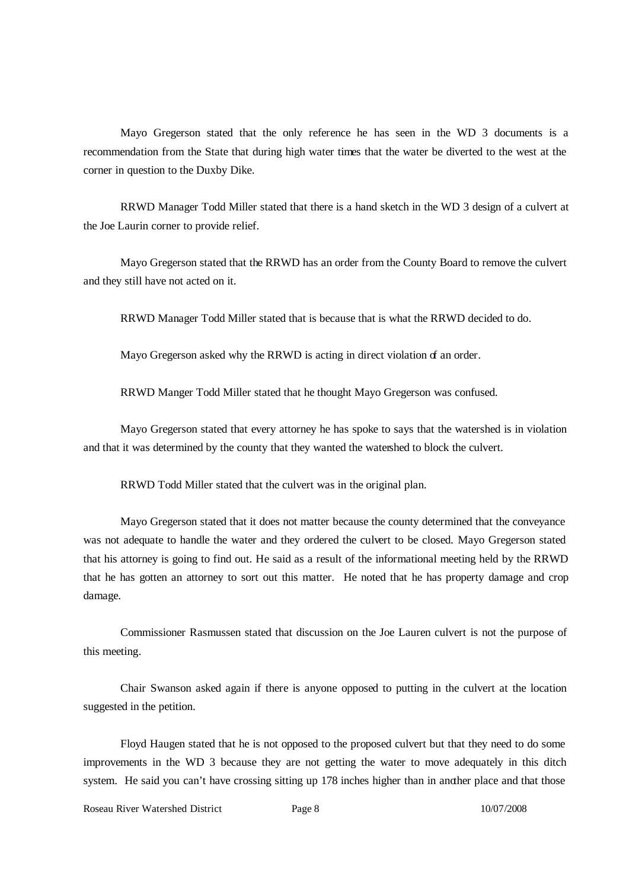Mayo Gregerson stated that the only reference he has seen in the WD 3 documents is a recommendation from the State that during high water times that the water be diverted to the west at the corner in question to the Duxby Dike.

RRWD Manager Todd Miller stated that there is a hand sketch in the WD 3 design of a culvert at the Joe Laurin corner to provide relief.

Mayo Gregerson stated that the RRWD has an order from the County Board to remove the culvert and they still have not acted on it.

RRWD Manager Todd Miller stated that is because that is what the RRWD decided to do.

Mayo Gregerson asked why the RRWD is acting in direct violation of an order.

RRWD Manger Todd Miller stated that he thought Mayo Gregerson was confused.

Mayo Gregerson stated that every attorney he has spoke to says that the watershed is in violation and that it was determined by the county that they wanted the watershed to block the culvert.

RRWD Todd Miller stated that the culvert was in the original plan.

Mayo Gregerson stated that it does not matter because the county determined that the conveyance was not adequate to handle the water and they ordered the culvert to be closed. Mayo Gregerson stated that his attorney is going to find out. He said as a result of the informational meeting held by the RRWD that he has gotten an attorney to sort out this matter. He noted that he has property damage and crop damage.

Commissioner Rasmussen stated that discussion on the Joe Lauren culvert is not the purpose of this meeting.

Chair Swanson asked again if there is anyone opposed to putting in the culvert at the location suggested in the petition.

Floyd Haugen stated that he is not opposed to the proposed culvert but that they need to do some improvements in the WD 3 because they are not getting the water to move adequately in this ditch system. He said you can't have crossing sitting up 178 inches higher than in another place and that those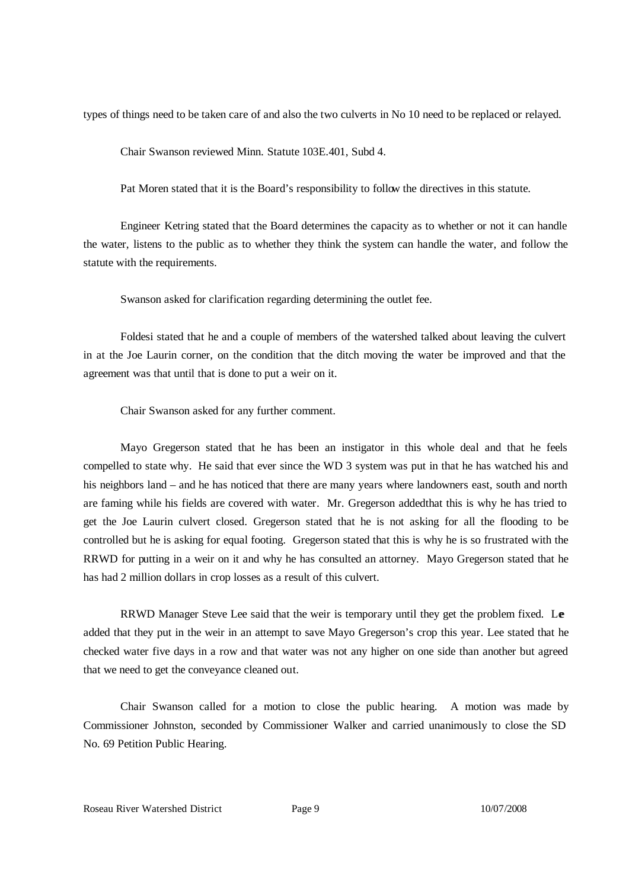types of things need to be taken care of and also the two culverts in No 10 need to be replaced or relayed.

Chair Swanson reviewed Minn. Statute 103E.401, Subd 4.

Pat Moren stated that it is the Board's responsibility to follow the directives in this statute.

Engineer Ketring stated that the Board determines the capacity as to whether or not it can handle the water, listens to the public as to whether they think the system can handle the water, and follow the statute with the requirements.

Swanson asked for clarification regarding determining the outlet fee.

Foldesi stated that he and a couple of members of the watershed talked about leaving the culvert in at the Joe Laurin corner, on the condition that the ditch moving the water be improved and that the agreement was that until that is done to put a weir on it.

Chair Swanson asked for any further comment.

Mayo Gregerson stated that he has been an instigator in this whole deal and that he feels compelled to state why. He said that ever since the WD 3 system was put in that he has watched his and his neighbors land – and he has noticed that there are many years where landowners east, south and north are faming while his fields are covered with water. Mr. Gregerson addedthat this is why he has tried to get the Joe Laurin culvert closed. Gregerson stated that he is not asking for all the flooding to be controlled but he is asking for equal footing. Gregerson stated that this is why he is so frustrated with the RRWD for putting in a weir on it and why he has consulted an attorney. Mayo Gregerson stated that he has had 2 million dollars in crop losses as a result of this culvert.

RRWD Manager Steve Lee said that the weir is temporary until they get the problem fixed. Le added that they put in the weir in an attempt to save Mayo Gregerson's crop this year. Lee stated that he checked water five days in a row and that water was not any higher on one side than another but agreed that we need to get the conveyance cleaned out.

Chair Swanson called for a motion to close the public hearing. A motion was made by Commissioner Johnston, seconded by Commissioner Walker and carried unanimously to close the SD No. 69 Petition Public Hearing.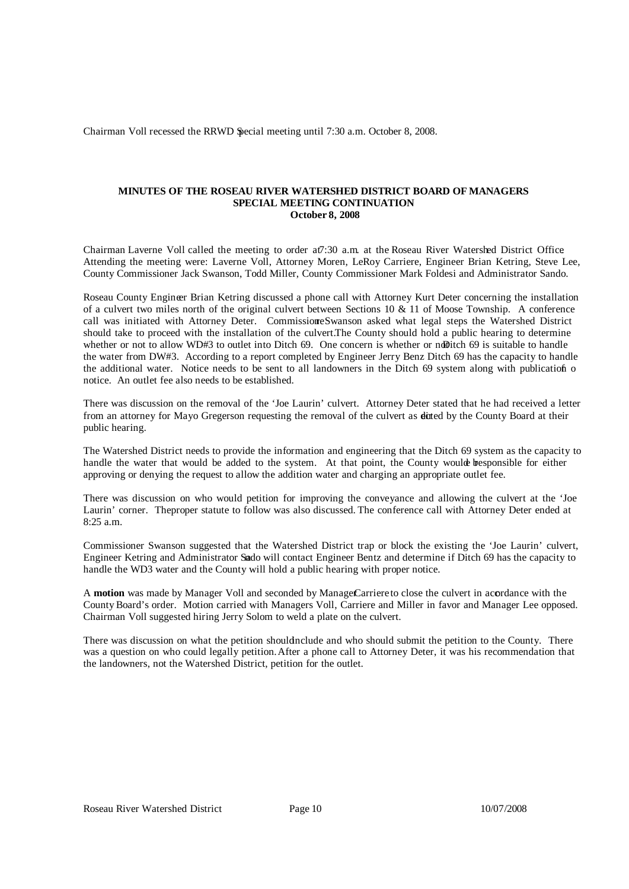Chairman Voll recessed the RRWD Special meeting until 7:30 a.m. October 8, 2008.

### **MINUTES OF THE ROSEAU RIVER WATERSHED DISTRICT BOARD OF MANAGERS SPECIAL MEETING CONTINUATION October 8, 2008**

Chairman Laverne Voll called the meeting to order at7:30 a.m. at the Roseau River Watershed District Office. Attending the meeting were: Laverne Voll, Attorney Moren, LeRoy Carriere, Engineer Brian Ketring, Steve Lee, County Commissioner Jack Swanson, Todd Miller, County Commissioner Mark Foldesi and Administrator Sando.

Roseau County Engineer Brian Ketring discussed a phone call with Attorney Kurt Deter concerning the installation of a culvert two miles north of the original culvert between Sections 10 & 11 of Moose Township. A conference call was initiated with Attorney Deter. CommissioneSwanson asked what legal steps the Watershed District should take to proceed with the installation of the culvert.The County should hold a public hearing to determine whether or not to allow WD#3 to outlet into Ditch 69. One concern is whether or not ich 69 is suitable to handle the water from DW#3. According to a report completed by Engineer Jerry Benz Ditch 69 has the capacity to handle the additional water. Notice needs to be sent to all landowners in the Ditch 69 system along with publication o notice. An outlet fee also needs to be established.

There was discussion on the removal of the 'Joe Laurin' culvert. Attorney Deter stated that he had received a letter from an attorney for Mayo Gregerson requesting the removal of the culvert as **directed** by the County Board at their public hearing.

The Watershed District needs to provide the information and engineering that the Ditch 69 system as the capacity to handle the water that would be added to the system. At that point, the County would be be sponsible for either approving or denying the request to allow the addition water and charging an appropriate outlet fee.

There was discussion on who would petition for improving the conveyance and allowing the culvert at the 'Joe Laurin' corner. Theproper statute to follow was also discussed. The conference call with Attorney Deter ended at 8:25 a.m.

Commissioner Swanson suggested that the Watershed District trap or block the existing the 'Joe Laurin' culvert, Engineer Ketring and Administrator Sando will contact Engineer Bentz and determine if Ditch 69 has the capacity to handle the WD3 water and the County will hold a public hearing with proper notice.

A **motion** was made by Manager Voll and seconded by ManageCarriere to close the culvert in accordance with the County Board's order. Motion carried with Managers Voll, Carriere and Miller in favor and Manager Lee opposed. Chairman Voll suggested hiring Jerry Solom to weld a plate on the culvert.

There was discussion on what the petition shouldinclude and who should submit the petition to the County. There was a question on who could legally petition. After a phone call to Attorney Deter, it was his recommendation that the landowners, not the Watershed District, petition for the outlet.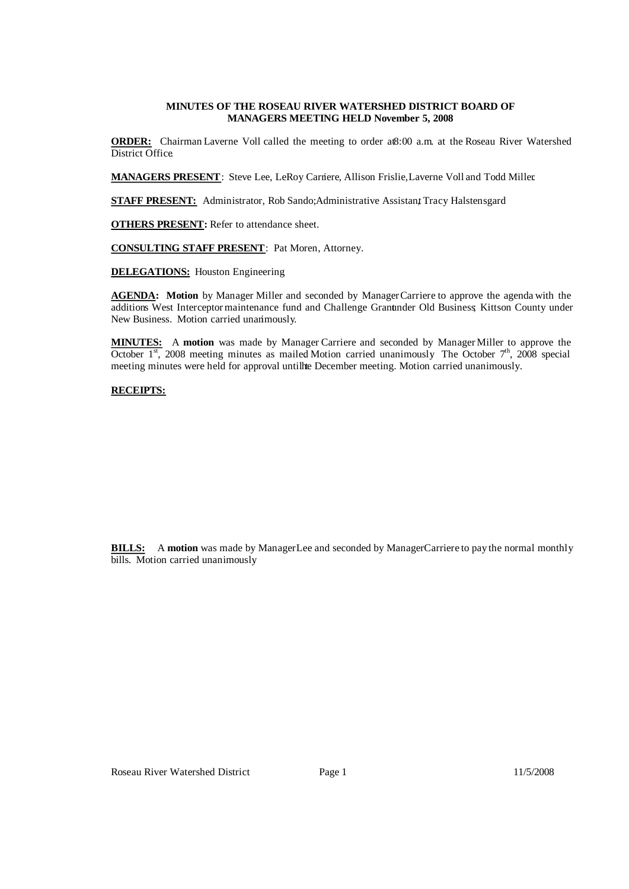### **MINUTES OF THE ROSEAU RIVER WATERSHED DISTRICT BOARD OF MANAGERS MEETING HELD November 5, 2008**

**ORDER:** Chairman Laverne Voll called the meeting to order at8:00 a.m. at the Roseau River Watershed District Office

**MANAGERS PRESENT**: Steve Lee, LeRoy Carriere, Allison Frislie, Laverne Voll and Todd Miller.

**STAFF PRESENT:** Administrator, Rob Sando; Administrative Assistant Tracy Halstensgard

**OTHERS PRESENT:** Refer to attendance sheet.

**CONSULTING STAFF PRESENT**: Pat Moren, Attorney.

**DELEGATIONS:** Houston Engineering

AGENDA: Motion by Manager Miller and seconded by Manager Carriere to approve the agenda with the additions West Interceptor maintenance fund and Challenge Grantunder Old Business; Kittson County under New Business. Motion carried unanimously.

**MINUTES:** A **motion** was made by Manager Carriere and seconded by ManagerMiller to approve the October  $1<sup>st</sup>$ , 2008 meeting minutes as mailed Motion carried unanimously. The October  $7<sup>th</sup>$ , 2008 special meeting minutes were held for approval untilhte December meeting. Motion carried unanimously.

# **RECEIPTS:**

| <b>Receipts -- Memo</b>                      |    | <b>Balance</b> |
|----------------------------------------------|----|----------------|
| Interest -- Checking account                 | \$ | 157.75         |
| Border State Bank -- interest on CD #200240  |    | 1,423.89       |
| Citizens State Bank -- interest on CD #43275 | \$ | 618.30         |
| State of Minnesota -- Market Value Credit    | S  | 24,093.76      |
| Roseau County -- share of taxes              | S  | 132,405.91     |
|                                              |    | 158,699.61     |

**BILLS:** A motion was made by ManagerLee and seconded by Manager Carriere to pay the normal monthly bills. Motion carried unanimously.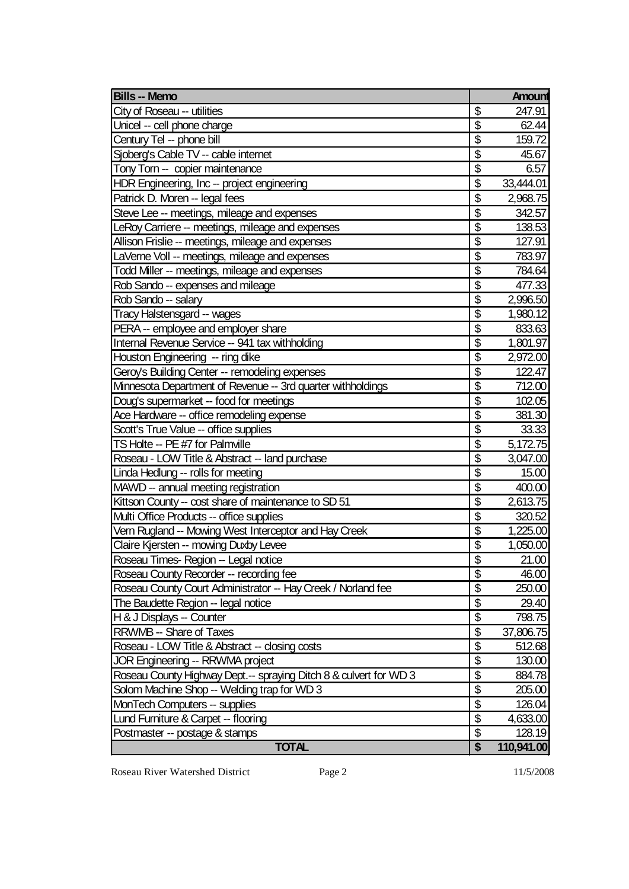| <b>Bills - Memo</b>                                               |                                      | <b>Amount</b> |
|-------------------------------------------------------------------|--------------------------------------|---------------|
| City of Roseau -- utilities                                       | \$                                   | 247.91        |
| Unicel -- cell phone charge                                       | \$                                   | 62.44         |
| Century Tel -- phone bill                                         | \$                                   | 159.72        |
| Sjoberg's Cable TV -- cable internet                              | $\overline{\$}$                      | 45.67         |
| Tony Torn -- copier maintenance                                   | \$                                   | 6.57          |
| HDR Engineering, Inc -- project engineering                       | $\overline{\mathbf{S}}$              | 33,444.01     |
| Patrick D. Moren -- legal fees                                    | \$                                   | 2,968.75      |
| Steve Lee -- meetings, mileage and expenses                       | $\overline{\$}$                      | 342.57        |
| LeRoy Carriere -- meetings, mileage and expenses                  | $\overline{\$}$                      | 138.53        |
| Allison Frislie -- meetings, mileage and expenses                 | $\overline{\mathcal{S}}$             | 127.91        |
| LaVerne Voll -- meetings, mileage and expenses                    | $\overline{\mathfrak{s}}$            | 783.97        |
| Todd Miller -- meetings, mileage and expenses                     | $\overline{\$}$                      | 784.64        |
| Rob Sando -- expenses and mileage                                 | \$                                   | 477.33        |
| Rob Sando -- salary                                               | \$                                   | 2,996.50      |
| Tracy Halstensgard -- wages                                       | \$                                   | 1,980.12      |
| PERA -- employee and employer share                               | $\overline{\$}$                      | 833.63        |
| Internal Revenue Service -- 941 tax withholding                   | $\overline{\mathbf{S}}$              | 1,801.97      |
| Houston Engineering -- ring dike                                  | $\overline{\boldsymbol{\mathsf{s}}}$ | 2,972.00      |
| Geroy's Building Center -- remodeling expenses                    | $\overline{\mathbf{S}}$              | 122.47        |
| Minnesota Department of Revenue -- 3rd quarter withholdings       | $\overline{\$}$                      | 712.00        |
| Doug's supermarket -- food for meetings                           | \$                                   | 102.05        |
| Ace Hardware -- office remodeling expense                         | \$                                   | 381.30        |
| Scott's True Value -- office supplies                             | $\overline{\mathbf{S}}$              | 33.33         |
| TS Holte -- PE #7 for Palmville                                   | $\overline{\$}$                      | 5,172.75      |
| Roseau - LOW Title & Abstract -- land purchase                    | $\overline{\mathfrak{s}}$            | 3,047.00      |
| Linda Hedlung -- rolls for meeting                                | $\overline{\mathcal{S}}$             | 15.00         |
| MAWD -- annual meeting registration                               | $\overline{\mathbf{S}}$              | 400.00        |
| Kittson County -- cost share of maintenance to SD 51              | \$                                   | 2,613.75      |
| Multi Office Products -- office supplies                          | \$                                   | 320.52        |
| Vern Rugland -- Mowing West Interceptor and Hay Creek             | $\overline{\mathcal{S}}$             | 1,225.00      |
| Claire Kjersten -- mowing Duxby Levee                             | \$                                   | 1,050.00      |
| Roseau Times- Region -- Legal notice                              | $\overline{\$}$                      | 21.00         |
| Roseau County Recorder -- recording fee                           | $\overline{\mathbb{S}}$              | 46.00         |
| Roseau County Court Administrator -- Hay Creek / Norland fee      | $\overline{\$}$                      | 250.00        |
| The Baudette Region -- legal notice                               | \$                                   | 29.40         |
| H & J Displays -- Counter                                         | $\overline{\mathcal{E}}$             | 798.75        |
| <b>RRWMB -- Share of Taxes</b>                                    | \$                                   | 37,806.75     |
| Roseau - LOW Title & Abstract -- closing costs                    | $\overline{\mathcal{G}}$             | 512.68        |
| JOR Engineering -- RRWMA project                                  | $\overline{\$}$                      | 130.00        |
| Roseau County Highway Dept.-- spraying Ditch 8 & culvert for WD 3 | $\overline{\mathcal{G}}$             | 884.78        |
| Solom Machine Shop -- Welding trap for WD 3                       | $\overline{\mathcal{L}}$             | 205.00        |
| <b>MonTech Computers -- supplies</b>                              | $\overline{\$}$                      | 126.04        |
| Lund Furniture & Carpet -- flooring                               | $\overline{\mathcal{S}}$             | 4,633.00      |
| Postmaster -- postage & stamps                                    | \$                                   | 128.19        |
| <b>TOTAL</b>                                                      | \$                                   | 110,941.00    |

Roseau River Watershed District Page 2 11/5/2008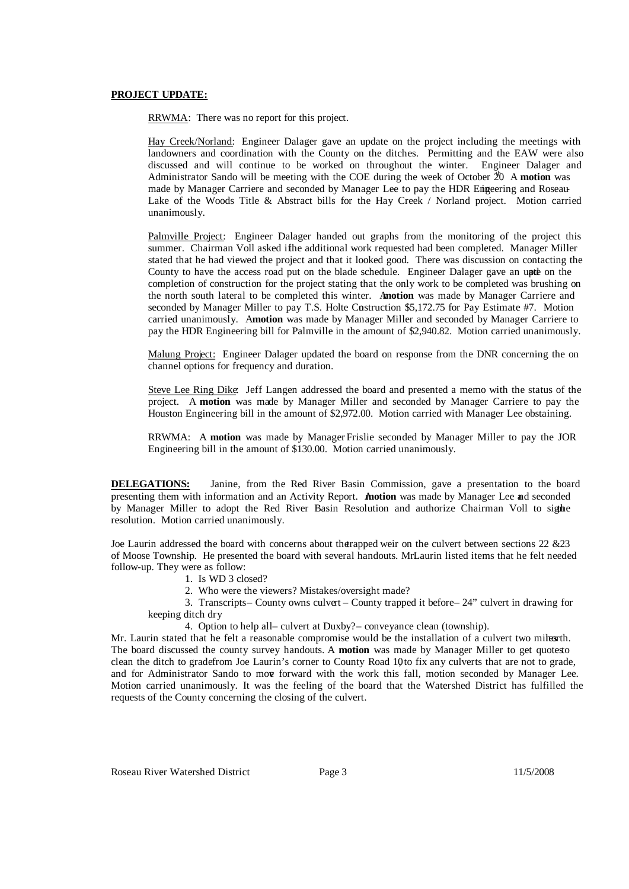#### **PROJECT UPDATE:**

RRWMA: There was no report for this project.

Hay Creek/Norland: Engineer Dalager gave an update on the project including the meetings with landowners and coordination with the County on the ditches. Permitting and the EAW were also discussed and will continue to be worked on throughout the winter. Engineer Dalager and Administrator Sando will be meeting with the COE during the week of October 20 A motion was made by Manager Carriere and seconded by Manager Lee to pay the HDR Engeering and Roseau-Lake of the Woods Title & Abstract bills for the Hay Creek / Norland project. Motion carried unanimously.

Palmville Project: Engineer Dalager handed out graphs from the monitoring of the project this summer. Chairman Voll asked ifhe additional work requested had been completed. Manager Miller stated that he had viewed the project and that it looked good. There was discussion on contacting the County to have the access road put on the blade schedule. Engineer Dalager gave an upte on the completion of construction for the project stating that the only work to be completed was brushing on the north south lateral to be completed this winter. A**motion** was made by Manager Carriere and seconded by Manager Miller to pay T.S. Holte Construction \$5,172.75 for Pay Estimate #7. Motion carried unanimously. A**motion** was made by Manager Miller and seconded by Manager Carriere to pay the HDR Engineering bill for Palmville in the amount of \$2,940.82. Motion carried unanimously.

Malung Project: Engineer Dalager updated the board on response from the DNR concerning the on channel options for frequency and duration.

Steve Lee Ring Dike: Jeff Langen addressed the board and presented a memo with the status of the project. A **motion** was made by Manager Miller and seconded by Manager Carriere to pay the Houston Engineering bill in the amount of \$2,972.00. Motion carried with Manager Lee obstaining.

RRWMA: A motion was made by Manager Frislie seconded by Manager Miller to pay the JOR Engineering bill in the amount of \$130.00. Motion carried unanimously.

**DELEGATIONS:** Janine, from the Red River Basin Commission, gave a presentation to the board presenting them with information and an Activity Report. A **motion** was made by Manager Lee and seconded by Manager Miller to adopt the Red River Basin Resolution and authorize Chairman Voll to signe resolution. Motion carried unanimously.

Joe Laurin addressed the board with concerns about the trapped weir on the culvert between sections 22 &23 of Moose Township. He presented the board with several handouts. MrLaurin listed items that he felt needed follow-up. They were as follow:

- 1. Is WD 3 closed?
- 2. Who were the viewers? Mistakes/oversight made?

3. Transcripts– County owns culvert – County trapped it before– 24" culvert in drawing for keeping ditch dry

4. Option to help all– culvert at Duxby?– conveyance clean (township).

Mr. Laurin stated that he felt a reasonable compromise would be the installation of a culvert two milres inter-The board discussed the county survey handouts. A **motion** was made by Manager Miller to get quotesto clean the ditch to gradefrom Joe Laurin's corner to County Road 10to fix any culverts that are not to grade, and for Administrator Sando to move forward with the work this fall, motion seconded by Manager Lee. Motion carried unanimously. It was the feeling of the board that the Watershed District has fulfilled the requests of the County concerning the closing of the culvert.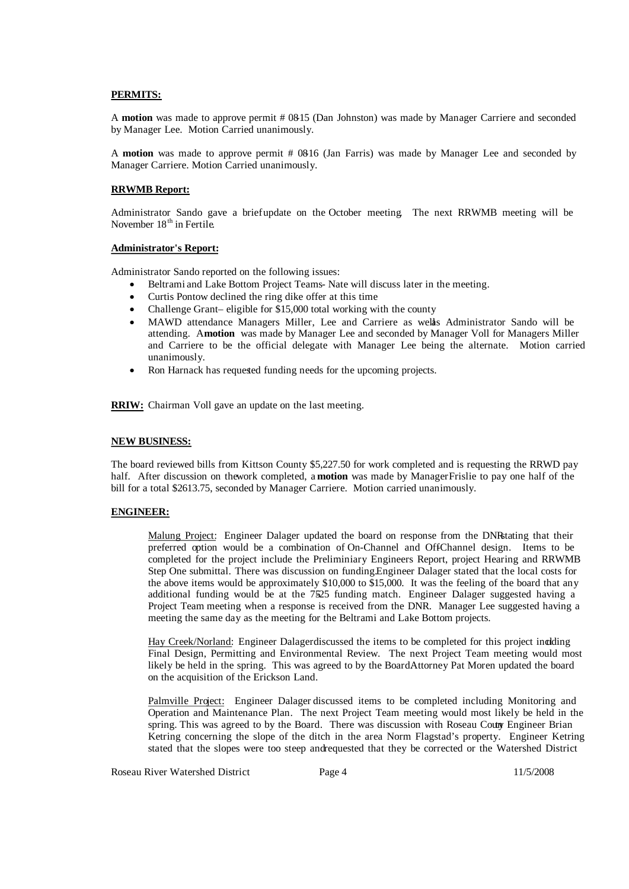### **PERMITS:**

A **motion** was made to approve permit # 08-15 (Dan Johnston) was made by Manager Carriere and seconded by Manager Lee. Motion Carried unanimously.

A **motion** was made to approve permit # 08-16 (Jan Farris) was made by Manager Lee and seconded by Manager Carriere. Motion Carried unanimously.

### **RRWMB Report:**

Administrator Sando gave a briefupdate on the October meeting. The next RRWMB meeting will be November 18<sup>th</sup> in Fertile.

### **Administrator's Report:**

Administrator Sando reported on the following issues:

- Beltrami and Lake Bottom Project Teams- Nate will discuss later in the meeting.
- Curtis Pontow declined the ring dike offer at this time
- Challenge Grant– eligible for \$15,000 total working with the county
- MAWD attendance Managers Miller, Lee and Carriere as welas Administrator Sando will be attending. A**motion** was made by Manager Lee and seconded by Manager Voll for Managers Miller and Carriere to be the official delegate with Manager Lee being the alternate. Motion carried unanimously.
- Ron Harnack has requested funding needs for the upcoming projects.

**RRIW:** Chairman Voll gave an update on the last meeting.

### **NEW BUSINESS:**

The board reviewed bills from Kittson County \$5,227.50 for work completed and is requesting the RRWD pay half. After discussion on thework completed, a **motion** was made by ManagerFrislie to pay one half of the bill for a total \$2613.75, seconded by Manager Carriere. Motion carried unanimously.

# **ENGINEER:**

Malung Project: Engineer Dalager updated the board on response from the DNRstating that their preferred option would be a combination of On-Channel and OffChannel design. Items to be completed for the project include the Preliminiary Engineers Report, project Hearing and RRWMB Step One submittal. There was discussion on funding.Engineer Dalager stated that the local costs for the above items would be approximately \$10,000 to \$15,000. It was the feeling of the board that any additional funding would be at the 7525 funding match. Engineer Dalager suggested having a Project Team meeting when a response is received from the DNR. Manager Lee suggested having a meeting the same day as the meeting for the Beltrami and Lake Bottom projects.

Hay Creek/Norland: Engineer Dalagerdiscussed the items to be completed for this project inciding Final Design, Permitting and Environmental Review. The next Project Team meeting would most likely be held in the spring. This was agreed to by the BoardAttorney Pat Moren updated the board on the acquisition of the Erickson Land.

Palmville Project: Engineer Dalager discussed items to be completed including Monitoring and Operation and Maintenance Plan. The next Project Team meeting would most likely be held in the spring. This was agreed to by the Board. There was discussion with Roseau Coury Engineer Brian Ketring concerning the slope of the ditch in the area Norm Flagstad's property. Engineer Ketring stated that the slopes were too steep andrequested that they be corrected or the Watershed District

Roseau River Watershed District Page 4 11/5/2008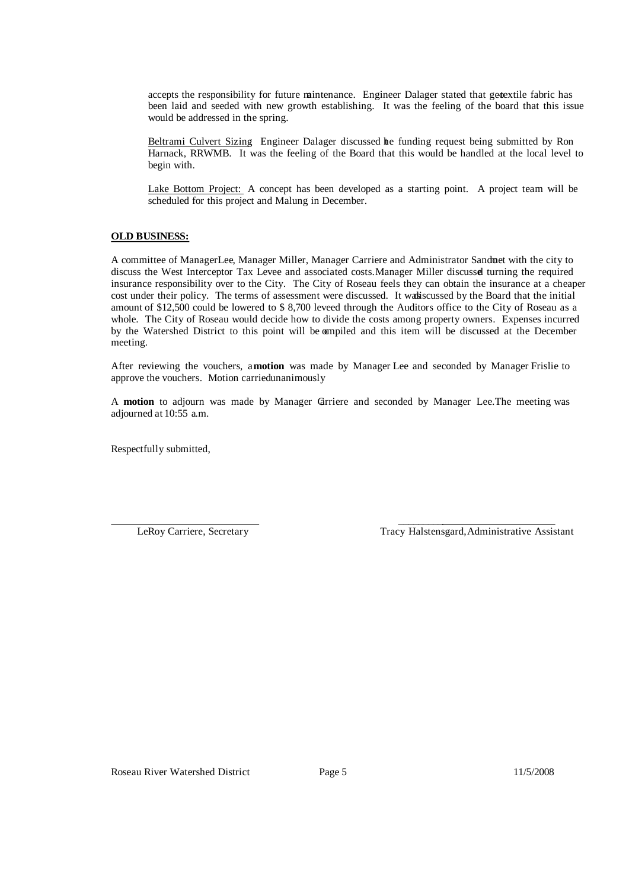accepts the responsibility for future mintenance. Engineer Dalager stated that getextile fabric has been laid and seeded with new growth establishing. It was the feeling of the board that this issue would be addressed in the spring.

Beltrami Culvert Sizing: Engineer Dalager discussed he funding request being submitted by Ron Harnack, RRWMB. It was the feeling of the Board that this would be handled at the local level to begin with.

Lake Bottom Project: A concept has been developed as a starting point. A project team will be scheduled for this project and Malung in December.

# **OLD BUSINESS:**

A committee of ManagerLee, Manager Miller, Manager Carriere and Administrator Sanduet with the city to discuss the West Interceptor Tax Levee and associated costs. Manager Miller discussel turning the required insurance responsibility over to the City. The City of Roseau feels they can obtain the insurance at a cheaper cost under their policy. The terms of assessment were discussed. It was scussed by the Board that the initial amount of \$12,500 could be lowered to \$ 8,700 leveed through the Auditors office to the City of Roseau as a whole. The City of Roseau would decide how to divide the costs among property owners. Expenses incurred by the Watershed District to this point will be ampiled and this item will be discussed at the December meeting.

After reviewing the vouchers, a**motion** was made by Manager Lee and seconded by Manager Frislie to approve the vouchers. Motion carriedunanimously

A **motion** to adjourn was made by Manager Carriere and seconded by Manager Lee.The meeting was adjourned at 10:55 a.m.

Respectfully submitted,

 $\frac{1}{2}$  ,  $\frac{1}{2}$  ,  $\frac{1}{2}$  ,  $\frac{1}{2}$  ,  $\frac{1}{2}$  ,  $\frac{1}{2}$  ,  $\frac{1}{2}$  ,  $\frac{1}{2}$ LeRoy Carriere, Secretary Tracy Halstensgard,Administrative Assistant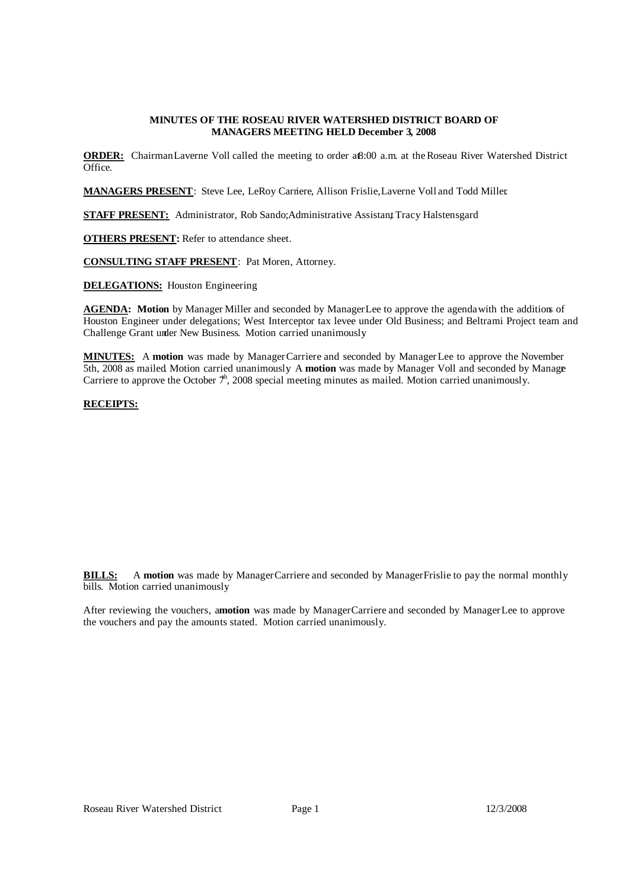### **MINUTES OF THE ROSEAU RIVER WATERSHED DISTRICT BOARD OF MANAGERS MEETING HELD December 3, 2008**

**ORDER:** ChairmanLaverne Voll called the meeting to order aß:00 a.m. at the Roseau River Watershed District Office.

**MANAGERS PRESENT**: Steve Lee, LeRoy Carriere, Allison Frislie, Laverne Voll and Todd Miller.

**STAFF PRESENT:** Administrator, Rob Sando; Administrative Assistant Tracy Halstensgard

**OTHERS PRESENT:** Refer to attendance sheet.

**CONSULTING STAFF PRESENT**: Pat Moren, Attorney.

**DELEGATIONS:** Houston Engineering

**AGENDA: Motion** by Manager Miller and seconded by ManagerLee to approve the agendawith the additions of Houston Engineer under delegations; West Interceptor tax levee under Old Business; and Beltrami Project team and Challenge Grant under New Business. Motion carried unanimously.

**MINUTES:** A **motion** was made by ManagerCarriere and seconded by ManagerLee to approve the November 5th, 2008 as mailed Motion carried unanimously A **motion** was made by Manager Voll and seconded by Manage Carriere to approve the October  $7<sup>h</sup>$ , 2008 special meeting minutes as mailed. Motion carried unanimously.

### **RECEIPTS:**

| Receipts -- Memo                               |     | <b>Balance</b> |
|------------------------------------------------|-----|----------------|
| Interest -- Checking account                   | S   | 308.97         |
| State of Minnesota -- RRIW grant reimbursement |     | 5,000.00       |
| Citizens State Bank -- CD interest             | \$  | 618.30         |
| Kittson County -- share of taxes               | \$  | 2,053.77       |
| City of Roseau -- WI final reimbursement       | \$. | 58,264.79      |
|                                                |     | 66,245.83      |

**BILLS:** A **motion** was made by ManagerCarriere and seconded by ManagerFrislie to pay the normal monthly bills. Motion carried unanimously.

After reviewing the vouchers, a**motion** was made by ManagerCarriere and seconded by ManagerLee to approve the vouchers and pay the amounts stated. Motion carried unanimously.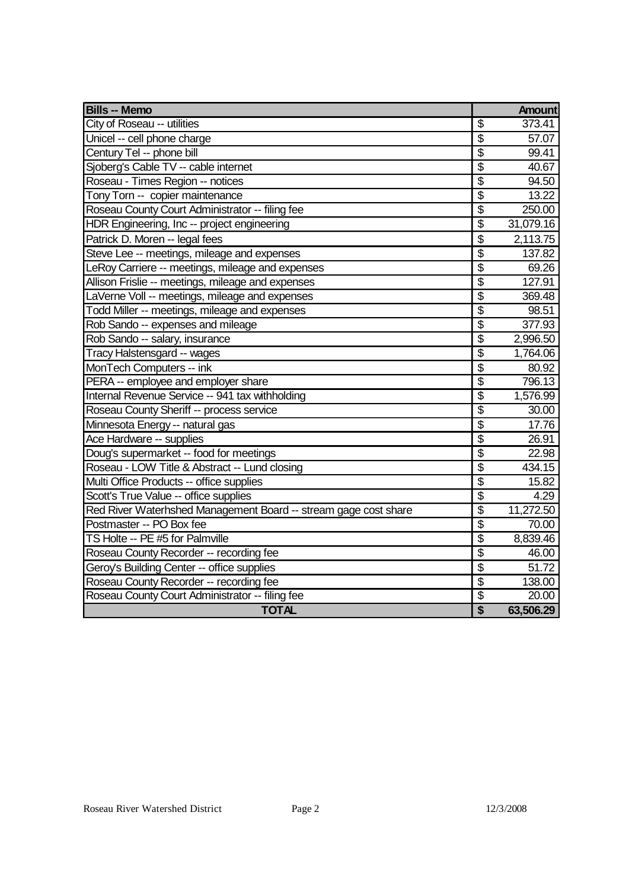| <b>Bills -- Memo</b>                                            |                           | <b>Amount</b> |
|-----------------------------------------------------------------|---------------------------|---------------|
| City of Roseau -- utilities                                     | \$                        | 373.41        |
| Unicel -- cell phone charge                                     | $\overline{\mathfrak{s}}$ | 57.07         |
| Century Tel -- phone bill                                       | \$                        | 99.41         |
| Sjoberg's Cable TV -- cable internet                            | $\overline{\mathbb{S}}$   | 40.67         |
| Roseau - Times Region -- notices                                | $\overline{\mathbb{S}}$   | 94.50         |
| Tony Torn -- copier maintenance                                 | $\overline{\mathcal{S}}$  | 13.22         |
| Roseau County Court Administrator -- filing fee                 | $\overline{\mathcal{S}}$  | 250.00        |
| HDR Engineering, Inc -- project engineering                     | \$                        | 31,079.16     |
| Patrick D. Moren -- legal fees                                  | \$                        | 2,113.75      |
| Steve Lee -- meetings, mileage and expenses                     | $\overline{\$}$           | 137.82        |
| LeRoy Carriere -- meetings, mileage and expenses                | $\overline{\$}$           | 69.26         |
| Allison Frislie -- meetings, mileage and expenses               | $\overline{\$}$           | 127.91        |
| LaVerne Voll -- meetings, mileage and expenses                  | $\overline{\$}$           | 369.48        |
| Todd Miller -- meetings, mileage and expenses                   | $\overline{\$}$           | 98.51         |
| Rob Sando -- expenses and mileage                               | \$                        | 377.93        |
| Rob Sando -- salary, insurance                                  | \$                        | 2,996.50      |
| Tracy Halstensgard -- wages                                     | $\overline{\mathcal{S}}$  | 1,764.06      |
| MonTech Computers -- ink                                        | \$                        | 80.92         |
| PERA -- employee and employer share                             | $\overline{\mathbb{S}}$   | 796.13        |
| Internal Revenue Service -- 941 tax withholding                 | \$                        | 1,576.99      |
| Roseau County Sheriff -- process service                        | $\overline{\$}$           | 30.00         |
| Minnesota Energy -- natural gas                                 | \$                        | 17.76         |
| Ace Hardware -- supplies                                        | \$                        | 26.91         |
| Doug's supermarket -- food for meetings                         | \$                        | 22.98         |
| Roseau - LOW Title & Abstract -- Lund closing                   | $\overline{\mathcal{S}}$  | 434.15        |
| Multi Office Products -- office supplies                        | $\overline{\$}$           | 15.82         |
| Scott's True Value -- office supplies                           | $\overline{\$}$           | 4.29          |
| Red River Waterhshed Management Board -- stream gage cost share | $\overline{\$}$           | 11,272.50     |
| Postmaster -- PO Box fee                                        | $\overline{\$}$           | 70.00         |
| TS Holte -- PE #5 for Palmville                                 | $\overline{\$}$           | 8,839.46      |
| Roseau County Recorder -- recording fee                         | \$                        | 46.00         |
| Geroy's Building Center -- office supplies                      | $\overline{\mathfrak{s}}$ | 51.72         |
| Roseau County Recorder -- recording fee                         | $\overline{\$}$           | 138.00        |
| Roseau County Court Administrator -- filing fee                 | $\overline{\$}$           | 20.00         |
| <b>TOTAL</b>                                                    | $\overline{\mathbf{S}}$   | 63,506.29     |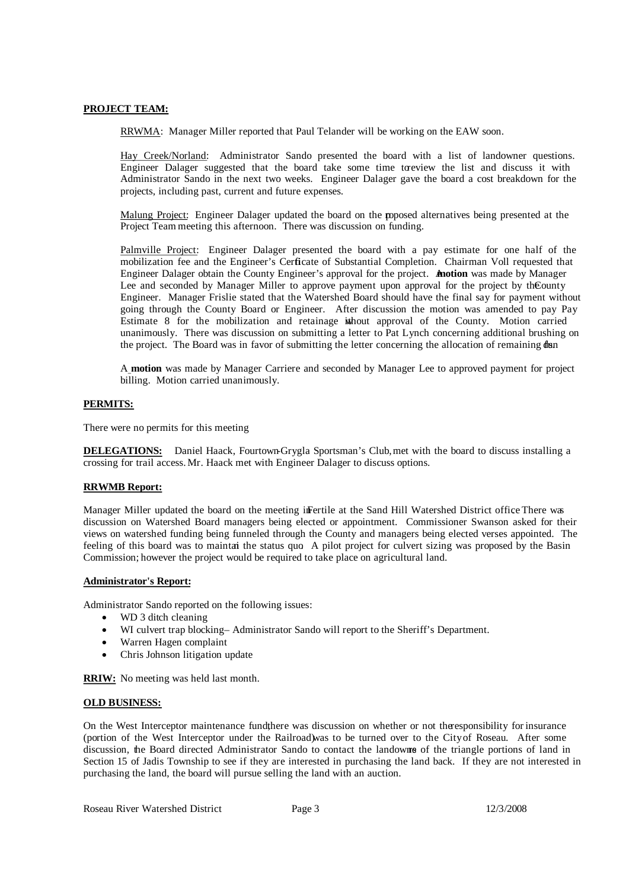# **PROJECT TEAM:**

RRWMA: Manager Miller reported that Paul Telander will be working on the EAW soon.

Hay Creek/Norland: Administrator Sando presented the board with a list of landowner questions. Engineer Dalager suggested that the board take some time toreview the list and discuss it with Administrator Sando in the next two weeks. Engineer Dalager gave the board a cost breakdown for the projects, including past, current and future expenses.

Malung Project: Engineer Dalager updated the board on the rpoposed alternatives being presented at the Project Team meeting this afternoon. There was discussion on funding.

Palmville Project: Engineer Dalager presented the board with a pay estimate for one half of the mobilization fee and the Engineer's Certicate of Substantial Completion. Chairman Voll requested that Engineer Dalager obtain the County Engineer's approval for the project. A**motion** was made by Manager Lee and seconded by Manager Miller to approve payment upon approval for the project by the County Engineer. Manager Frislie stated that the Watershed Board should have the final say for payment without going through the County Board or Engineer. After discussion the motion was amended to pay Pay Estimate 8 for the mobilization and retainage ithout approval of the County. Motion carried unanimously. There was discussion on submitting a letter to Pat Lynch concerning additional brushing on the project. The Board was in favor of submitting the letter concerning the allocation of remaining dan

A **motion** was made by Manager Carriere and seconded by Manager Lee to approved payment for project billing. Motion carried unanimously.

# **PERMITS:**

There were no permits for this meeting

**DELEGATIONS:** Daniel Haack, Fourtown-Grygla Sportsman's Club, met with the board to discuss installing a crossing for trail access. Mr. Haack met with Engineer Dalager to discuss options.

# **RRWMB Report:**

Manager Miller updated the board on the meeting inFertile at the Sand Hill Watershed District office There was discussion on Watershed Board managers being elected or appointment. Commissioner Swanson asked for their views on watershed funding being funneled through the County and managers being elected verses appointed. The feeling of this board was to maintai the status quo. A pilot project for culvert sizing was proposed by the Basin Commission; however the project would be required to take place on agricultural land.

### **Administrator's Report:**

Administrator Sando reported on the following issues:

- WD 3 ditch cleaning
- WI culvert trap blocking– Administrator Sando will report to the Sheriff's Department.
- Warren Hagen complaint
- Chris Johnson litigation update

**RRIW:** No meeting was held last month.

### **OLD BUSINESS:**

On the West Interceptor maintenance fundthere was discussion on whether or not theresponsibility for insurance (portion of the West Interceptor under the Railroad)was to be turned over to the City of Roseau. After some discussion, the Board directed Administrator Sando to contact the landowners of the triangle portions of land in Section 15 of Jadis Township to see if they are interested in purchasing the land back. If they are not interested in purchasing the land, the board will pursue selling the land with an auction.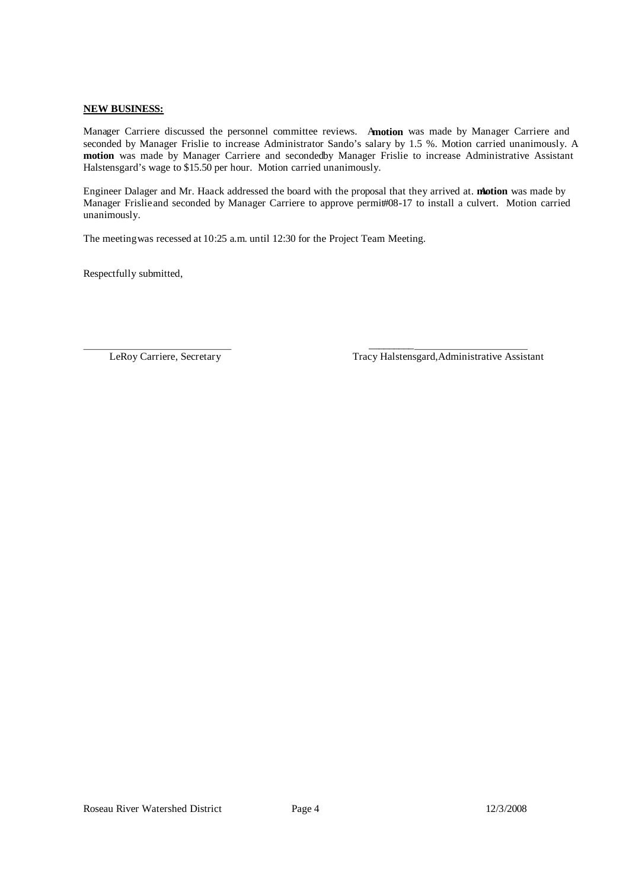### **NEW BUSINESS:**

Manager Carriere discussed the personnel committee reviews. A**motion** was made by Manager Carriere and seconded by Manager Frislie to increase Administrator Sando's salary by 1.5 %. Motion carried unanimously. A **motion** was made by Manager Carriere and secondedby Manager Frislie to increase Administrative Assistant Halstensgard's wage to \$15.50 per hour. Motion carried unanimously.

Engineer Dalager and Mr. Haack addressed the board with the proposal that they arrived at. **motion** was made by Manager Frislieand seconded by Manager Carriere to approve permi#08-17 to install a culvert. Motion carried unanimously.

 $\frac{1}{2}$  ,  $\frac{1}{2}$  ,  $\frac{1}{2}$  ,  $\frac{1}{2}$  ,  $\frac{1}{2}$  ,  $\frac{1}{2}$  ,  $\frac{1}{2}$  ,  $\frac{1}{2}$  ,  $\frac{1}{2}$  ,  $\frac{1}{2}$  ,  $\frac{1}{2}$  ,  $\frac{1}{2}$  ,  $\frac{1}{2}$  ,  $\frac{1}{2}$  ,  $\frac{1}{2}$  ,  $\frac{1}{2}$  ,  $\frac{1}{2}$  ,  $\frac{1}{2}$  ,  $\frac{1$ 

The meeting was recessed at 10:25 a.m. until 12:30 for the Project Team Meeting.

Respectfully submitted,

LeRoy Carriere, Secretary Tracy Halstensgard,Administrative Assistant